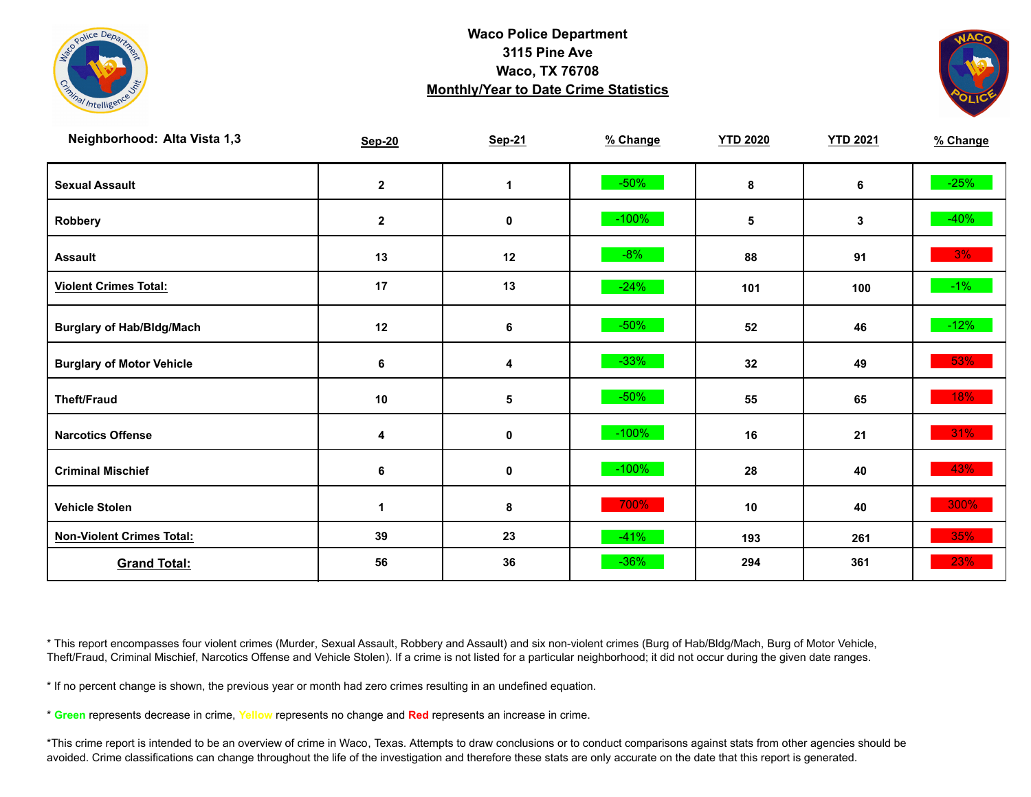



| Neighborhood: Alta Vista 1,3     | <b>Sep-20</b> | <b>Sep-21</b> | % Change | <b>YTD 2020</b> | <b>YTD 2021</b> | % Change |
|----------------------------------|---------------|---------------|----------|-----------------|-----------------|----------|
| <b>Sexual Assault</b>            | $\bf 2$       | 1             | $-50%$   | 8               | 6               | $-25%$   |
| Robbery                          | $\mathbf{2}$  | $\pmb{0}$     | $-100%$  | 5               | 3               | $-40%$   |
| <b>Assault</b>                   | 13            | 12            | $-8%$    | 88              | 91              | 3%       |
| <b>Violent Crimes Total:</b>     | 17            | 13            | $-24%$   | 101             | 100             | $-1\%$   |
| <b>Burglary of Hab/Bldg/Mach</b> | 12            | 6             | $-50%$   | 52              | 46              | $-12%$   |
| <b>Burglary of Motor Vehicle</b> | $\bf 6$       | 4             | $-33%$   | 32              | 49              | 53%      |
| <b>Theft/Fraud</b>               | $10$          | 5             | $-50%$   | 55              | 65              | 18%      |
| <b>Narcotics Offense</b>         | 4             | $\pmb{0}$     | $-100%$  | 16              | 21              | 31%      |
| <b>Criminal Mischief</b>         | $\bf 6$       | $\pmb{0}$     | $-100%$  | 28              | 40              | 43%      |
| <b>Vehicle Stolen</b>            | $\mathbf{1}$  | 8             | 700%     | 10              | 40              | 300%     |
| <b>Non-Violent Crimes Total:</b> | 39            | 23            | $-41%$   | 193             | 261             | 35%      |
| <b>Grand Total:</b>              | 56            | 36            | $-36%$   | 294             | 361             | 23%      |

\* This report encompasses four violent crimes (Murder, Sexual Assault, Robbery and Assault) and six non-violent crimes (Burg of Hab/Bldg/Mach, Burg of Motor Vehicle, Theft/Fraud, Criminal Mischief, Narcotics Offense and Vehicle Stolen). If a crime is not listed for a particular neighborhood; it did not occur during the given date ranges.

\* If no percent change is shown, the previous year or month had zero crimes resulting in an undefined equation.

\* **Green** represents decrease in crime, **Yellow** represents no change and **Red** represents an increase in crime.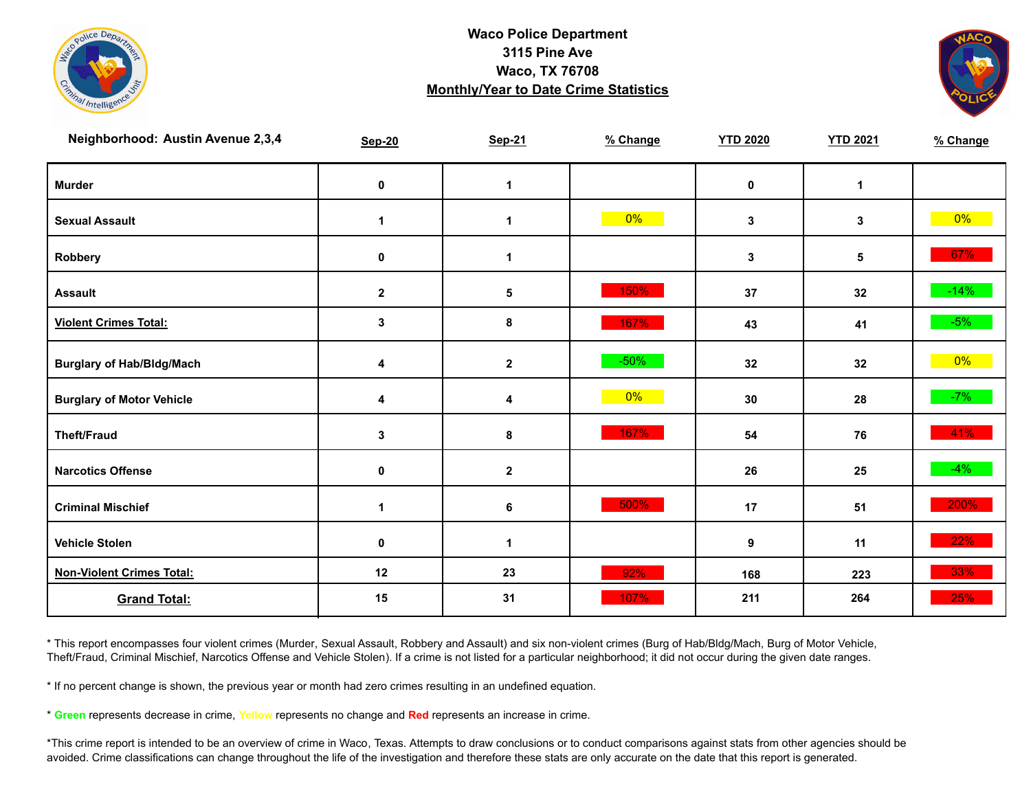



| Neighborhood: Austin Avenue 2,3,4 | <b>Sep-20</b>        | <b>Sep-21</b>   | % Change | <b>YTD 2020</b> | <b>YTD 2021</b> | % Change |
|-----------------------------------|----------------------|-----------------|----------|-----------------|-----------------|----------|
| <b>Murder</b>                     | $\mathbf 0$          | $\mathbf 1$     |          | $\mathbf 0$     | $\mathbf{1}$    |          |
| <b>Sexual Assault</b>             | $\mathbf{1}$         | 1               | $0\%$    | 3               | 3               | $0\%$    |
| Robbery                           | 0                    | 1               |          | 3               | 5               | 67%      |
| <b>Assault</b>                    | $\mathbf{2}$         | $5\phantom{.0}$ | 150%     | 37              | 32              | $-14%$   |
| <b>Violent Crimes Total:</b>      | $\mathbf{3}$         | 8               | 167%     | 43              | 41              | $-5%$    |
| <b>Burglary of Hab/Bldg/Mach</b>  | 4                    | $\mathbf{2}$    | $-50%$   | 32              | 32              | $0\%$    |
| <b>Burglary of Motor Vehicle</b>  | 4                    | 4               | $0\%$    | 30              | 28              | $-7%$    |
| <b>Theft/Fraud</b>                | 3                    | 8               | 167%     | 54              | 76              | 41%      |
| <b>Narcotics Offense</b>          | $\mathbf 0$          | $\mathbf{2}$    |          | 26              | 25              | $-4%$    |
| <b>Criminal Mischief</b>          | $\blacktriangleleft$ | 6               | 500%     | 17              | 51              | 200%     |
| <b>Vehicle Stolen</b>             | $\pmb{0}$            | 1               |          | 9               | 11              | 22%      |
| <b>Non-Violent Crimes Total:</b>  | 12                   | 23              | 92%      | 168             | 223             | 33%      |
| <b>Grand Total:</b>               | 15                   | 31              | 107%     | 211             | 264             | 25%      |

\* This report encompasses four violent crimes (Murder, Sexual Assault, Robbery and Assault) and six non-violent crimes (Burg of Hab/Bldg/Mach, Burg of Motor Vehicle, Theft/Fraud, Criminal Mischief, Narcotics Offense and Vehicle Stolen). If a crime is not listed for a particular neighborhood; it did not occur during the given date ranges.

\* If no percent change is shown, the previous year or month had zero crimes resulting in an undefined equation.

\* **Green** represents decrease in crime, **Yellow** represents no change and **Red** represents an increase in crime.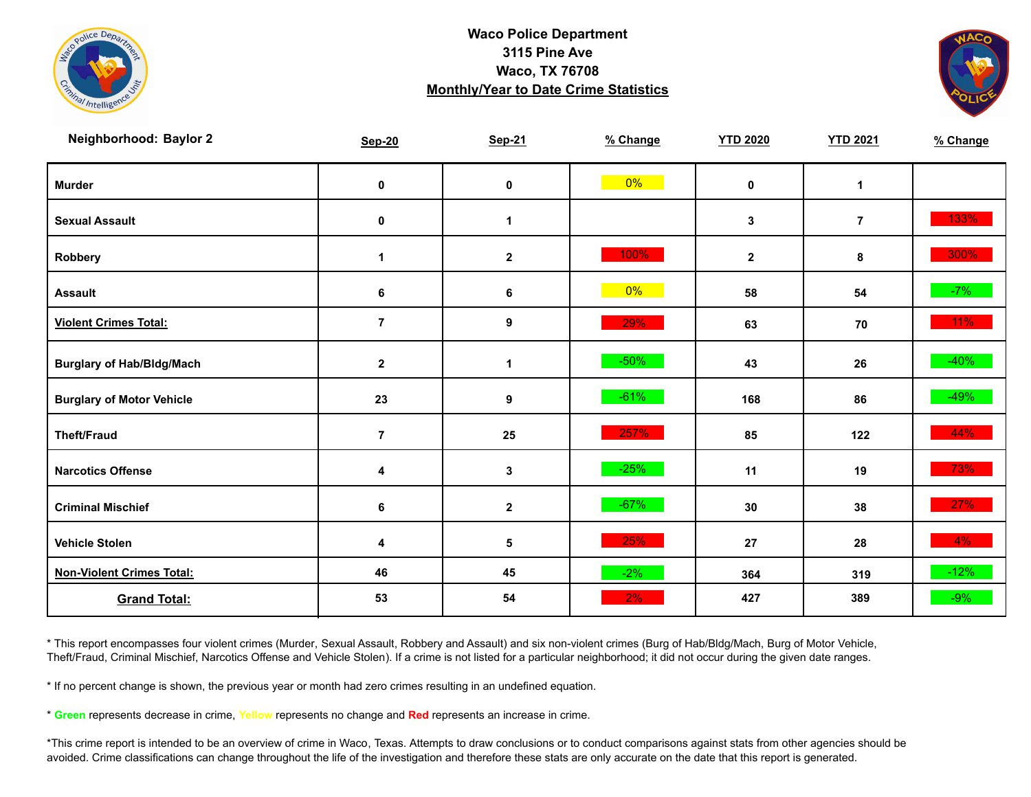



| Neighborhood: Baylor 2           | <b>Sep-20</b>  | <b>Sep-21</b> | % Change | <b>YTD 2020</b> | <b>YTD 2021</b> | % Change |
|----------------------------------|----------------|---------------|----------|-----------------|-----------------|----------|
| <b>Murder</b>                    | $\mathbf 0$    | $\mathbf 0$   | $0\%$    | $\mathbf 0$     | $\mathbf{1}$    |          |
| <b>Sexual Assault</b>            | 0              | 1             |          | $\mathbf{3}$    | $\overline{7}$  | 133%     |
| <b>Robbery</b>                   | 1              | $\mathbf{2}$  | 100%     | $\mathbf{2}$    | 8               | $300\%$  |
| <b>Assault</b>                   | $\bf 6$        | 6             | $0\%$    | 58              | 54              | $-7%$    |
| <b>Violent Crimes Total:</b>     | $\overline{7}$ | 9             | 29%      | 63              | 70              | $11\%$   |
| <b>Burglary of Hab/Bldg/Mach</b> | $\mathbf{2}$   | $\mathbf 1$   | $-50%$   | 43              | 26              | $-40%$   |
| <b>Burglary of Motor Vehicle</b> | 23             | 9             | $-61%$   | 168             | 86              | $-49%$   |
| <b>Theft/Fraud</b>               | $\overline{7}$ | 25            | 257%     | 85              | 122             | 44%      |
| <b>Narcotics Offense</b>         | 4              | 3             | $-25%$   | 11              | 19              | 73%      |
| <b>Criminal Mischief</b>         | $\bf 6$        | $\mathbf{2}$  | $-67%$   | 30              | 38              | 27%      |
| <b>Vehicle Stolen</b>            | 4              | 5             | 25%      | 27              | 28              | $4\%$    |
| <b>Non-Violent Crimes Total:</b> | 46             | 45            | $-2%$    | 364             | 319             | $-12%$   |
| <b>Grand Total:</b>              | 53             | 54            | 2%       | 427             | 389             | $-9%$    |

\* This report encompasses four violent crimes (Murder, Sexual Assault, Robbery and Assault) and six non-violent crimes (Burg of Hab/Bldg/Mach, Burg of Motor Vehicle, Theft/Fraud, Criminal Mischief, Narcotics Offense and Vehicle Stolen). If a crime is not listed for a particular neighborhood; it did not occur during the given date ranges.

\* If no percent change is shown, the previous year or month had zero crimes resulting in an undefined equation.

\* **Green** represents decrease in crime, **Yellow** represents no change and **Red** represents an increase in crime.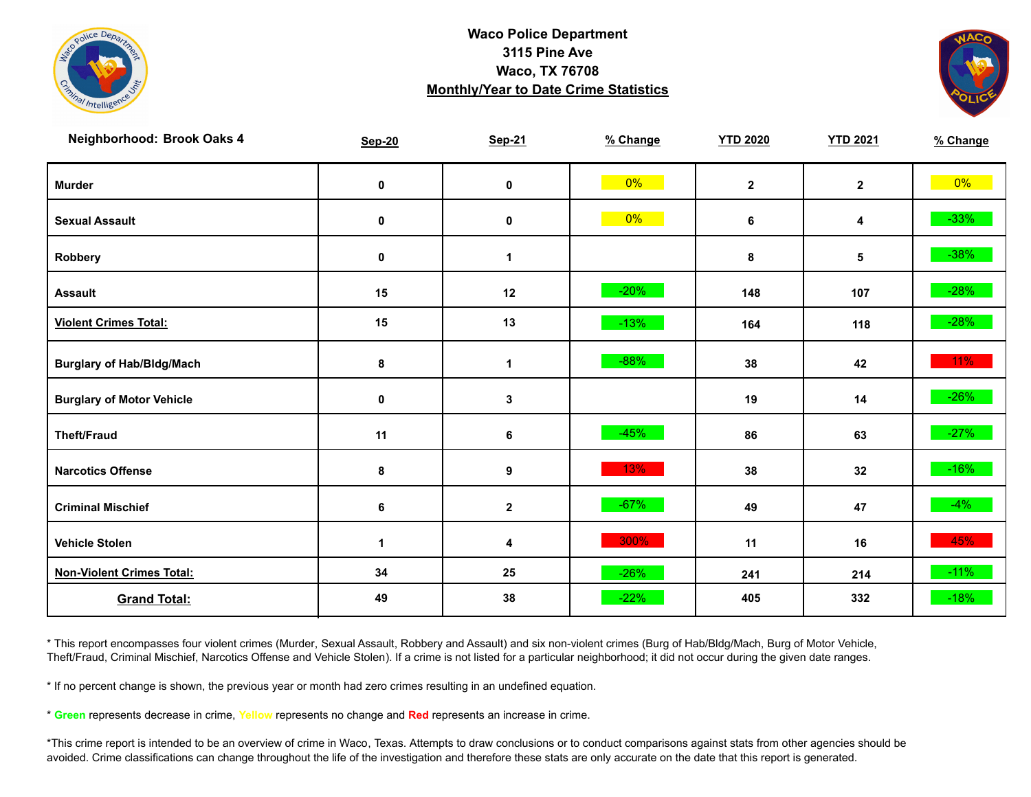



| Neighborhood: Brook Oaks 4       | <b>Sep-20</b> | <b>Sep-21</b>    | % Change | <b>YTD 2020</b> | <b>YTD 2021</b> | % Change |
|----------------------------------|---------------|------------------|----------|-----------------|-----------------|----------|
| <b>Murder</b>                    | $\mathbf 0$   | $\pmb{0}$        | $0\%$    | $\mathbf{2}$    | $\overline{2}$  | $0\%$    |
| <b>Sexual Assault</b>            | $\mathbf 0$   | $\mathbf 0$      | $0\%$    | 6               | 4               | $-33%$   |
| Robbery                          | 0             | 1                |          | 8               | 5               | $-38%$   |
| <b>Assault</b>                   | 15            | 12               | $-20%$   | 148             | 107             | $-28%$   |
| <b>Violent Crimes Total:</b>     | 15            | 13               | $-13%$   | 164             | 118             | $-28%$   |
| <b>Burglary of Hab/Bldg/Mach</b> | 8             | $\mathbf{1}$     | $-88%$   | 38              | 42              | $11\%$   |
| <b>Burglary of Motor Vehicle</b> | 0             | 3                |          | 19              | 14              | $-26%$   |
| <b>Theft/Fraud</b>               | 11            | 6                | $-45%$   | 86              | 63              | $-27%$   |
| <b>Narcotics Offense</b>         | 8             | $\boldsymbol{9}$ | 13%      | 38              | 32              | $-16%$   |
| <b>Criminal Mischief</b>         | 6             | $\mathbf{2}$     | $-67%$   | 49              | 47              | $-4%$    |
| <b>Vehicle Stolen</b>            | $\mathbf{1}$  | 4                | 300%     | 11              | 16              | 45%      |
| <b>Non-Violent Crimes Total:</b> | 34            | 25               | $-26%$   | 241             | 214             | $-11%$   |
| <b>Grand Total:</b>              | 49            | 38               | $-22%$   | 405             | 332             | $-18%$   |

\* This report encompasses four violent crimes (Murder, Sexual Assault, Robbery and Assault) and six non-violent crimes (Burg of Hab/Bldg/Mach, Burg of Motor Vehicle, Theft/Fraud, Criminal Mischief, Narcotics Offense and Vehicle Stolen). If a crime is not listed for a particular neighborhood; it did not occur during the given date ranges.

\* If no percent change is shown, the previous year or month had zero crimes resulting in an undefined equation.

\* **Green** represents decrease in crime, **Yellow** represents no change and **Red** represents an increase in crime.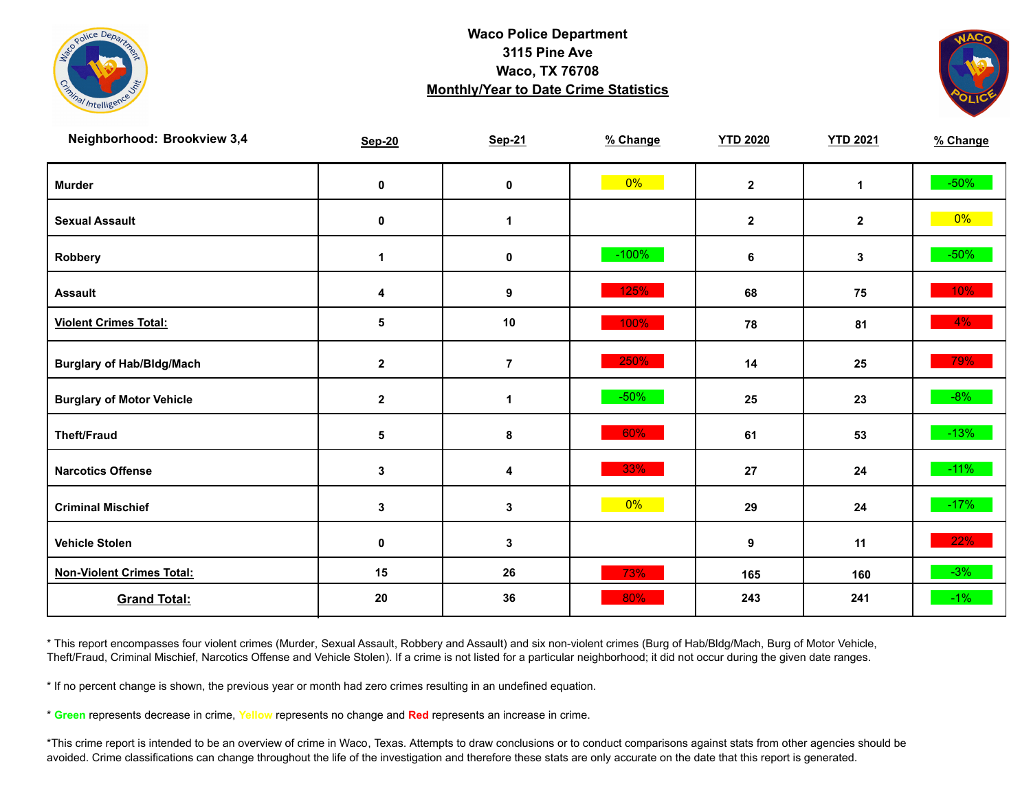



| Neighborhood: Brookview 3,4      | <b>Sep-20</b> | <b>Sep-21</b>  | % Change | <b>YTD 2020</b> | <b>YTD 2021</b> | % Change |
|----------------------------------|---------------|----------------|----------|-----------------|-----------------|----------|
| <b>Murder</b>                    | $\pmb{0}$     | $\mathbf 0$    | $0\%$    | $\mathbf{2}$    | $\mathbf{1}$    | $-50\%$  |
| <b>Sexual Assault</b>            | 0             | 1              |          | $\mathbf{2}$    | $\mathbf{2}$    | $0\%$    |
| Robbery                          | 1             | 0              | $-100%$  | 6               | 3               | $-50\%$  |
| <b>Assault</b>                   | 4             | 9              | 125%     | 68              | 75              | 10%      |
| <b>Violent Crimes Total:</b>     | 5             | 10             | 100%     | 78              | 81              | $4\%$    |
| <b>Burglary of Hab/Bldg/Mach</b> | $\mathbf{2}$  | $\overline{7}$ | 250%     | 14              | 25              | 79%      |
| <b>Burglary of Motor Vehicle</b> | $\mathbf 2$   | 1              | $-50%$   | 25              | 23              | $-8%$    |
| <b>Theft/Fraud</b>               | 5             | 8              | 60%      | 61              | 53              | $-13%$   |
| <b>Narcotics Offense</b>         | $\mathbf 3$   | 4              | 33%      | 27              | 24              | $-11\%$  |
| <b>Criminal Mischief</b>         | $\mathbf{3}$  | 3              | 0%       | 29              | 24              | $-17%$   |
| <b>Vehicle Stolen</b>            | $\pmb{0}$     | 3              |          | 9               | 11              | 22%      |
| <b>Non-Violent Crimes Total:</b> | 15            | 26             | 73%      | 165             | 160             | $-3%$    |
| <b>Grand Total:</b>              | 20            | 36             | 80%      | 243             | 241             | $-1\%$   |

\* This report encompasses four violent crimes (Murder, Sexual Assault, Robbery and Assault) and six non-violent crimes (Burg of Hab/Bldg/Mach, Burg of Motor Vehicle, Theft/Fraud, Criminal Mischief, Narcotics Offense and Vehicle Stolen). If a crime is not listed for a particular neighborhood; it did not occur during the given date ranges.

\* If no percent change is shown, the previous year or month had zero crimes resulting in an undefined equation.

\* **Green** represents decrease in crime, **Yellow** represents no change and **Red** represents an increase in crime.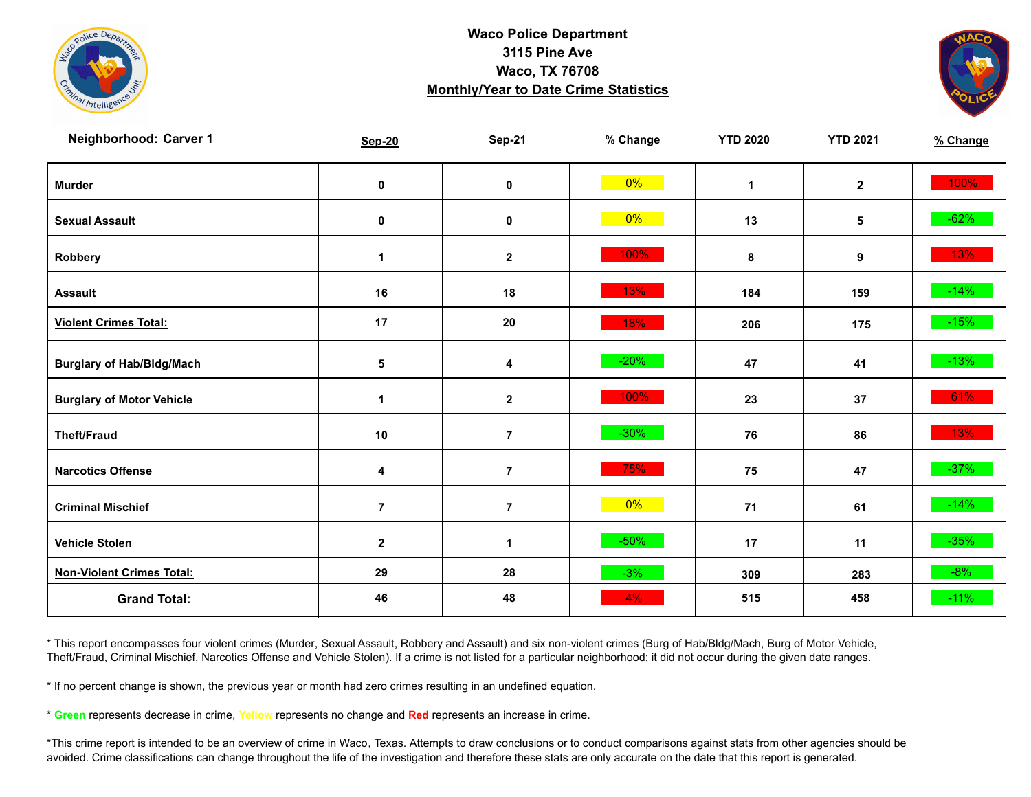



| Neighborhood: Carver 1           | <b>Sep-20</b>        | <b>Sep-21</b>    | % Change | <b>YTD 2020</b> | <b>YTD 2021</b> | % Change |
|----------------------------------|----------------------|------------------|----------|-----------------|-----------------|----------|
| <b>Murder</b>                    | $\mathbf 0$          | $\pmb{0}$        | $0\%$    | $\mathbf{1}$    | $\mathbf{2}$    | 100%     |
| <b>Sexual Assault</b>            | 0                    | 0                | $0\%$    | 13              | 5               | $-62%$   |
| Robbery                          | $\blacktriangleleft$ | $\mathbf{2}$     | 100%     | 8               | 9               | 13%      |
| <b>Assault</b>                   | 16                   | 18               | 13%      | 184             | 159             | $-14%$   |
| <b>Violent Crimes Total:</b>     | 17                   | 20               | 18%      | 206             | 175             | $-15%$   |
| <b>Burglary of Hab/Bldg/Mach</b> | $\sqrt{5}$           | 4                | $-20%$   | 47              | 41              | $-13%$   |
| <b>Burglary of Motor Vehicle</b> | 1                    | $\boldsymbol{2}$ | 100%     | 23              | 37              | 61%      |
| <b>Theft/Fraud</b>               | $10$                 | $\overline{7}$   | $-30%$   | 76              | 86              | 13%      |
| <b>Narcotics Offense</b>         | 4                    | $\overline{7}$   | 75%      | 75              | 47              | $-37%$   |
| <b>Criminal Mischief</b>         | $\overline{7}$       | $\overline{7}$   | $0\%$    | 71              | 61              | $-14%$   |
| <b>Vehicle Stolen</b>            | $\mathbf{2}$         | 1                | $-50%$   | 17              | 11              | $-35%$   |
| <b>Non-Violent Crimes Total:</b> | 29                   | 28               | $-3%$    | 309             | 283             | $-8%$    |
| <b>Grand Total:</b>              | 46                   | 48               | 4%       | 515             | 458             | $-11%$   |

\* This report encompasses four violent crimes (Murder, Sexual Assault, Robbery and Assault) and six non-violent crimes (Burg of Hab/Bldg/Mach, Burg of Motor Vehicle, Theft/Fraud, Criminal Mischief, Narcotics Offense and Vehicle Stolen). If a crime is not listed for a particular neighborhood; it did not occur during the given date ranges.

\* If no percent change is shown, the previous year or month had zero crimes resulting in an undefined equation.

\* **Green** represents decrease in crime, **Yellow** represents no change and **Red** represents an increase in crime.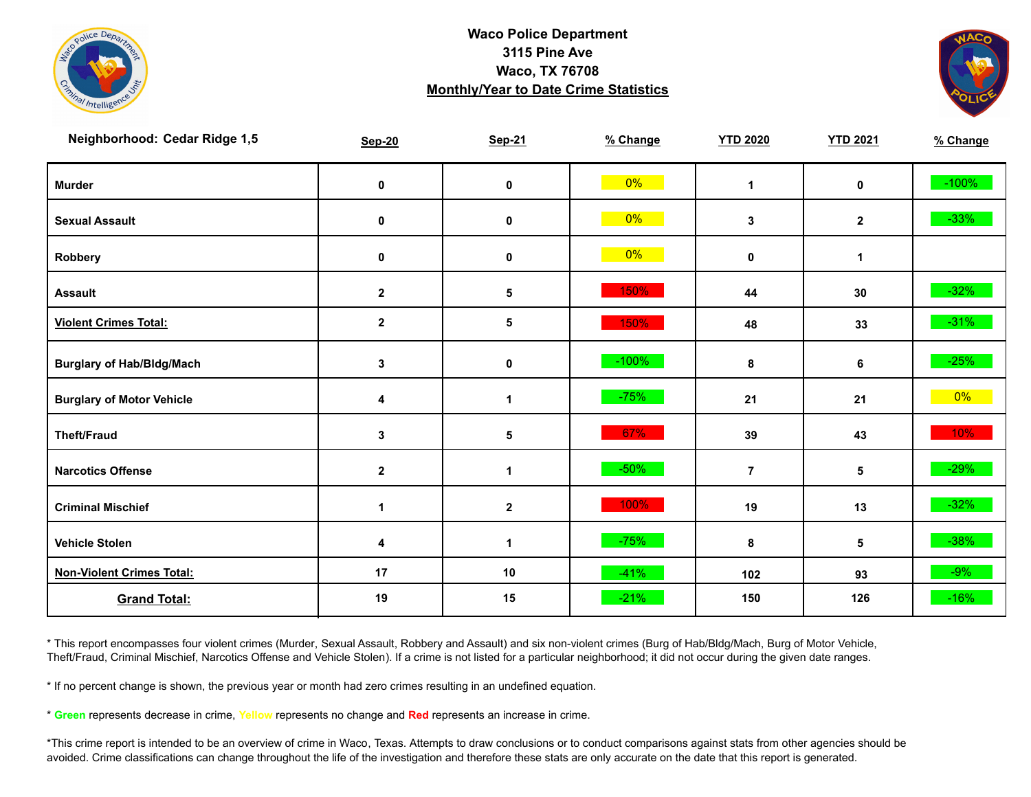



| Neighborhood: Cedar Ridge 1,5    | <b>Sep-20</b>           | <b>Sep-21</b>        | % Change | <b>YTD 2020</b> | <b>YTD 2021</b> | % Change |
|----------------------------------|-------------------------|----------------------|----------|-----------------|-----------------|----------|
| <b>Murder</b>                    | $\mathbf 0$             | $\pmb{0}$            | $0\%$    | $\mathbf{1}$    | $\mathbf 0$     | $-100%$  |
| <b>Sexual Assault</b>            | 0                       | 0                    | $0\%$    | $\mathbf 3$     | $\mathbf{2}$    | $-33%$   |
| Robbery                          | 0                       | 0                    | $0\%$    | 0               | $\mathbf{1}$    |          |
| <b>Assault</b>                   | $\mathbf{2}$            | 5                    | 150%     | 44              | 30              | $-32%$   |
| <b>Violent Crimes Total:</b>     | $\overline{\mathbf{2}}$ | 5                    | 150%     | 48              | 33              | $-31\%$  |
| <b>Burglary of Hab/Bldg/Mach</b> | $\mathbf{3}$            | $\mathbf 0$          | $-100%$  | 8               | 6               | $-25%$   |
| <b>Burglary of Motor Vehicle</b> | 4                       | 1                    | $-75%$   | 21              | 21              | $0\%$    |
| <b>Theft/Fraud</b>               | 3                       | 5                    | 67%      | 39              | 43              | 10%      |
| <b>Narcotics Offense</b>         | $\mathbf{2}$            | $\blacktriangleleft$ | $-50%$   | $\overline{7}$  | $\sqrt{5}$      | $-29%$   |
| <b>Criminal Mischief</b>         | $\blacktriangleleft$    | $\mathbf{2}$         | 100%     | 19              | 13              | $-32%$   |
| <b>Vehicle Stolen</b>            | 4                       | $\mathbf 1$          | $-75%$   | 8               | 5               | $-38%$   |
| <b>Non-Violent Crimes Total:</b> | 17                      | 10                   | $-41%$   | 102             | 93              | $-9%$    |
| <b>Grand Total:</b>              | 19                      | 15                   | $-21%$   | 150             | 126             | $-16%$   |

\* This report encompasses four violent crimes (Murder, Sexual Assault, Robbery and Assault) and six non-violent crimes (Burg of Hab/Bldg/Mach, Burg of Motor Vehicle, Theft/Fraud, Criminal Mischief, Narcotics Offense and Vehicle Stolen). If a crime is not listed for a particular neighborhood; it did not occur during the given date ranges.

\* If no percent change is shown, the previous year or month had zero crimes resulting in an undefined equation.

\* **Green** represents decrease in crime, **Yellow** represents no change and **Red** represents an increase in crime.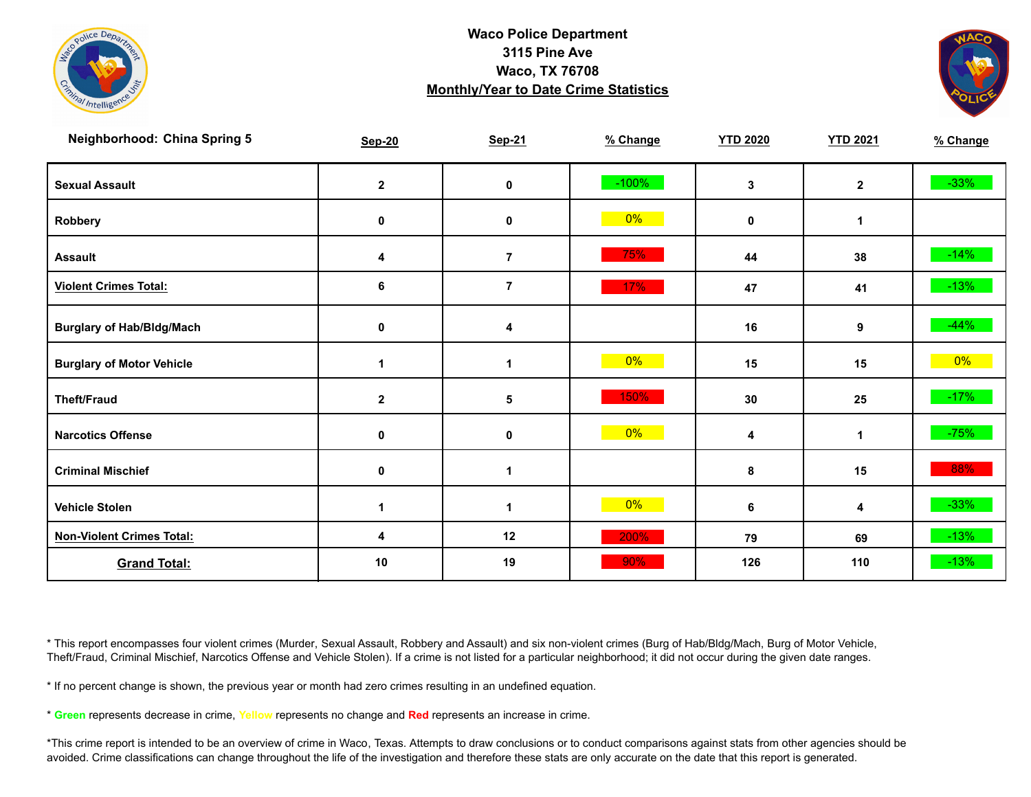



| <b>Neighborhood: China Spring 5</b> | <b>Sep-20</b> | <b>Sep-21</b>  | % Change | <b>YTD 2020</b> | <b>YTD 2021</b> | % Change |
|-------------------------------------|---------------|----------------|----------|-----------------|-----------------|----------|
| <b>Sexual Assault</b>               | $\mathbf{2}$  | 0              | $-100%$  | 3               | $\mathbf{2}$    | $-33%$   |
| Robbery                             | $\mathbf 0$   | $\pmb{0}$      | $0\%$    | $\mathbf 0$     | 1               |          |
| <b>Assault</b>                      | 4             | $\overline{7}$ | 75%      | 44              | 38              | $-14%$   |
| <b>Violent Crimes Total:</b>        | 6             | $\overline{7}$ | 17%      | 47              | 41              | $-13%$   |
| <b>Burglary of Hab/Bldg/Mach</b>    | 0             | 4              |          | 16              | 9               | $-44%$   |
| <b>Burglary of Motor Vehicle</b>    | $\mathbf 1$   | 1              | $0\%$    | 15              | 15              | $0\%$    |
| <b>Theft/Fraud</b>                  | $\mathbf 2$   | $\sqrt{5}$     | 150%     | 30              | 25              | $-17%$   |
| <b>Narcotics Offense</b>            | $\mathbf 0$   | $\mathbf 0$    | $0\%$    | 4               | 1               | $-75%$   |
| <b>Criminal Mischief</b>            | $\mathbf 0$   | 1              |          | 8               | 15              | 88%      |
| <b>Vehicle Stolen</b>               | 1             | 1              | 0%       | 6               | 4               | $-33%$   |
| <b>Non-Violent Crimes Total:</b>    | 4             | 12             | 200%     | 79              | 69              | $-13%$   |
| <b>Grand Total:</b>                 | 10            | 19             | 90%      | 126             | 110             | $-13%$   |

\* This report encompasses four violent crimes (Murder, Sexual Assault, Robbery and Assault) and six non-violent crimes (Burg of Hab/Bldg/Mach, Burg of Motor Vehicle, Theft/Fraud, Criminal Mischief, Narcotics Offense and Vehicle Stolen). If a crime is not listed for a particular neighborhood; it did not occur during the given date ranges.

\* If no percent change is shown, the previous year or month had zero crimes resulting in an undefined equation.

\* **Green** represents decrease in crime, **Yellow** represents no change and **Red** represents an increase in crime.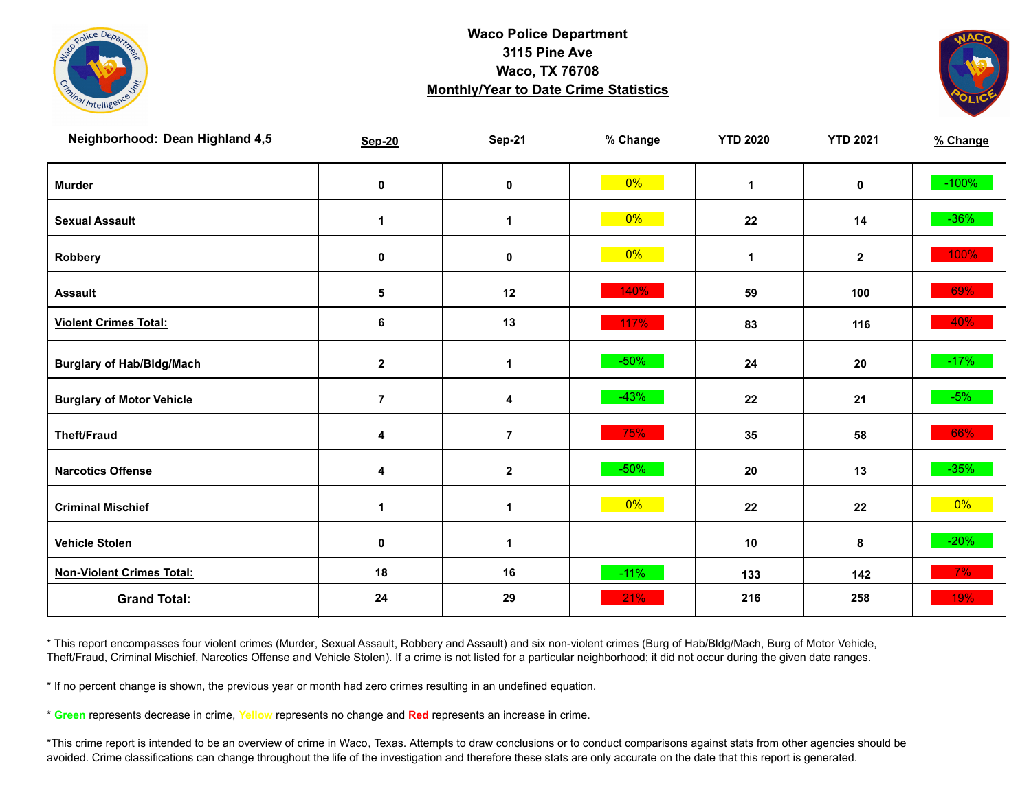



| Neighborhood: Dean Highland 4,5  | <b>Sep-20</b>        | <b>Sep-21</b>        | % Change | <b>YTD 2020</b> | <b>YTD 2021</b> | % Change |
|----------------------------------|----------------------|----------------------|----------|-----------------|-----------------|----------|
| <b>Murder</b>                    | $\pmb{0}$            | 0                    | $0\%$    | $\mathbf{1}$    | $\mathbf 0$     | $-100%$  |
| <b>Sexual Assault</b>            | $\blacktriangleleft$ | $\mathbf{1}$         | $0\%$    | 22              | 14              | $-36\%$  |
| Robbery                          | 0                    | 0                    | $0\%$    | $\mathbf{1}$    | $\mathbf{2}$    | 100%     |
| <b>Assault</b>                   | 5                    | 12                   | 140%     | 59              | 100             | 69%      |
| <b>Violent Crimes Total:</b>     | 6                    | 13                   | 117%     | 83              | 116             | 40%      |
| <b>Burglary of Hab/Bldg/Mach</b> | $\mathbf{2}$         | $\blacktriangleleft$ | $-50%$   | 24              | 20              | $-17%$   |
| <b>Burglary of Motor Vehicle</b> | $\overline{7}$       | 4                    | $-43%$   | 22              | 21              | $-5%$    |
| <b>Theft/Fraud</b>               | 4                    | $\overline{7}$       | 75%      | 35              | 58              | 66%      |
| <b>Narcotics Offense</b>         | 4                    | $\boldsymbol{2}$     | $-50%$   | 20              | 13              | $-35%$   |
| <b>Criminal Mischief</b>         | $\blacktriangleleft$ | $\blacktriangleleft$ | $0\%$    | 22              | 22              | $0\%$    |
| <b>Vehicle Stolen</b>            | $\pmb{0}$            | $\mathbf{1}$         |          | 10              | 8               | $-20%$   |
| <b>Non-Violent Crimes Total:</b> | 18                   | 16                   | $-11%$   | 133             | 142             | 7%       |
| <b>Grand Total:</b>              | 24                   | 29                   | 21%      | 216             | 258             | 19%      |

\* This report encompasses four violent crimes (Murder, Sexual Assault, Robbery and Assault) and six non-violent crimes (Burg of Hab/Bldg/Mach, Burg of Motor Vehicle, Theft/Fraud, Criminal Mischief, Narcotics Offense and Vehicle Stolen). If a crime is not listed for a particular neighborhood; it did not occur during the given date ranges.

\* If no percent change is shown, the previous year or month had zero crimes resulting in an undefined equation.

\* **Green** represents decrease in crime, **Yellow** represents no change and **Red** represents an increase in crime.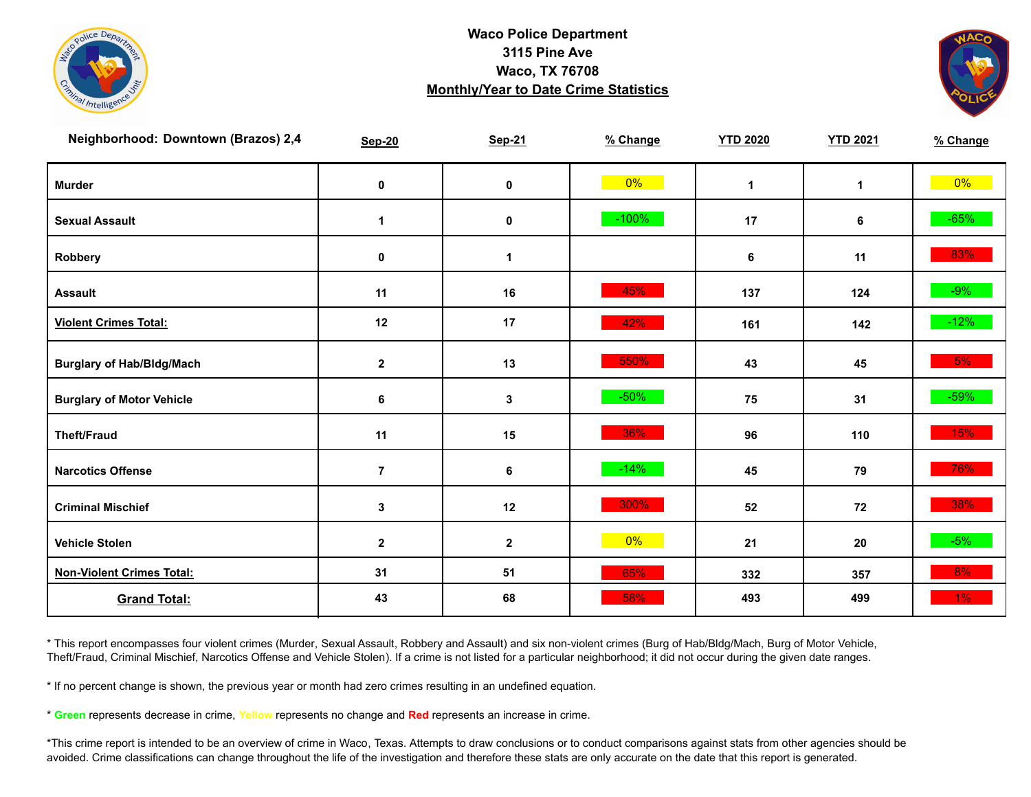



| Neighborhood: Downtown (Brazos) 2,4 | <b>Sep-20</b>  | <b>Sep-21</b> | % Change | <b>YTD 2020</b> | <b>YTD 2021</b> | % Change |
|-------------------------------------|----------------|---------------|----------|-----------------|-----------------|----------|
| <b>Murder</b>                       | $\mathbf 0$    | $\mathbf 0$   | $0\%$    | $\mathbf 1$     | $\mathbf{1}$    | $0\%$    |
| <b>Sexual Assault</b>               | $\mathbf 1$    | 0             | $-100%$  | 17              | 6               | $-65%$   |
| Robbery                             | 0              | 1             |          | 6               | 11              | 83%      |
| <b>Assault</b>                      | 11             | 16            | 45%      | 137             | 124             | $-9%$    |
| <b>Violent Crimes Total:</b>        | 12             | 17            | 42%      | 161             | 142             | $-12%$   |
| <b>Burglary of Hab/Bldg/Mach</b>    | $\mathbf{2}$   | 13            | 550%     | 43              | 45              | 5%       |
| <b>Burglary of Motor Vehicle</b>    | 6              | $\mathbf{3}$  | $-50%$   | 75              | 31              | $-59%$   |
| <b>Theft/Fraud</b>                  | 11             | 15            | 36%      | 96              | 110             | 15%      |
| <b>Narcotics Offense</b>            | $\overline{7}$ | 6             | $-14%$   | 45              | 79              | 76%      |
| <b>Criminal Mischief</b>            | $\mathbf{3}$   | 12            | 300%     | 52              | 72              | 38%      |
| <b>Vehicle Stolen</b>               | $\mathbf 2$    | $\mathbf{2}$  | $0\%$    | 21              | 20              | $-5%$    |
| <b>Non-Violent Crimes Total:</b>    | 31             | 51            | 65%      | 332             | 357             | 8%       |
| <b>Grand Total:</b>                 | 43             | 68            | 58%      | 493             | 499             | 1%       |

\* This report encompasses four violent crimes (Murder, Sexual Assault, Robbery and Assault) and six non-violent crimes (Burg of Hab/Bldg/Mach, Burg of Motor Vehicle, Theft/Fraud, Criminal Mischief, Narcotics Offense and Vehicle Stolen). If a crime is not listed for a particular neighborhood; it did not occur during the given date ranges.

\* If no percent change is shown, the previous year or month had zero crimes resulting in an undefined equation.

\* **Green** represents decrease in crime, **Yellow** represents no change and **Red** represents an increase in crime.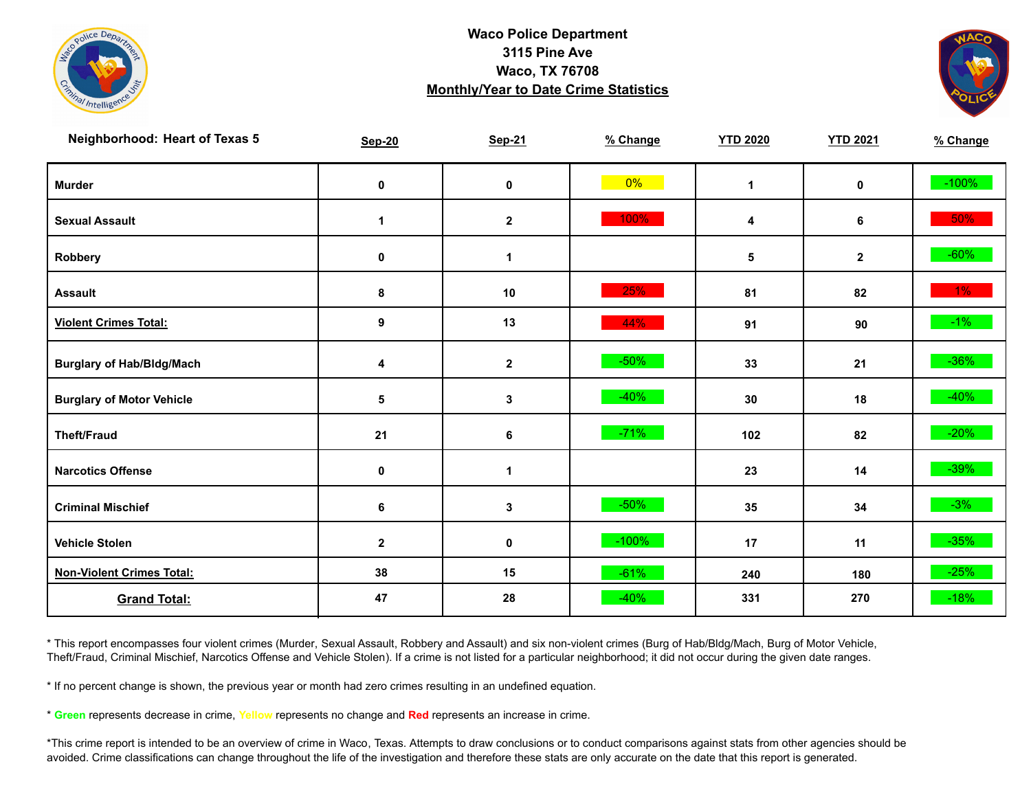



| <b>Neighborhood: Heart of Texas 5</b> | <b>Sep-20</b>    | <b>Sep-21</b> | % Change | <b>YTD 2020</b> | <b>YTD 2021</b> | % Change |
|---------------------------------------|------------------|---------------|----------|-----------------|-----------------|----------|
| <b>Murder</b>                         | $\pmb{0}$        | $\mathbf 0$   | $0\%$    | $\mathbf{1}$    | $\mathbf 0$     | $-100%$  |
| <b>Sexual Assault</b>                 | 1                | $\mathbf 2$   | 100%     | 4               | 6               | 50%      |
| Robbery                               | 0                | 1             |          | 5               | $\mathbf{2}$    | $-60%$   |
| <b>Assault</b>                        | 8                | 10            | 25%      | 81              | 82              | $1\%$    |
| <b>Violent Crimes Total:</b>          | 9                | 13            | 44%      | 91              | 90              | $-1\%$   |
| <b>Burglary of Hab/Bldg/Mach</b>      | 4                | $\mathbf 2$   | $-50%$   | 33              | 21              | $-36\%$  |
| <b>Burglary of Motor Vehicle</b>      | 5                | 3             | $-40%$   | 30              | 18              | $-40%$   |
| <b>Theft/Fraud</b>                    | 21               | 6             | $-71%$   | 102             | 82              | $-20%$   |
| <b>Narcotics Offense</b>              | $\pmb{0}$        | $\mathbf 1$   |          | 23              | 14              | $-39\%$  |
| <b>Criminal Mischief</b>              | 6                | 3             | $-50%$   | 35              | 34              | $-3%$    |
| <b>Vehicle Stolen</b>                 | $\boldsymbol{2}$ | $\pmb{0}$     | $-100%$  | 17              | 11              | $-35%$   |
| <b>Non-Violent Crimes Total:</b>      | 38               | 15            | $-61%$   | 240             | 180             | $-25%$   |
| <b>Grand Total:</b>                   | 47               | 28            | $-40%$   | 331             | 270             | $-18%$   |

\* This report encompasses four violent crimes (Murder, Sexual Assault, Robbery and Assault) and six non-violent crimes (Burg of Hab/Bldg/Mach, Burg of Motor Vehicle, Theft/Fraud, Criminal Mischief, Narcotics Offense and Vehicle Stolen). If a crime is not listed for a particular neighborhood; it did not occur during the given date ranges.

\* If no percent change is shown, the previous year or month had zero crimes resulting in an undefined equation.

\* **Green** represents decrease in crime, **Yellow** represents no change and **Red** represents an increase in crime.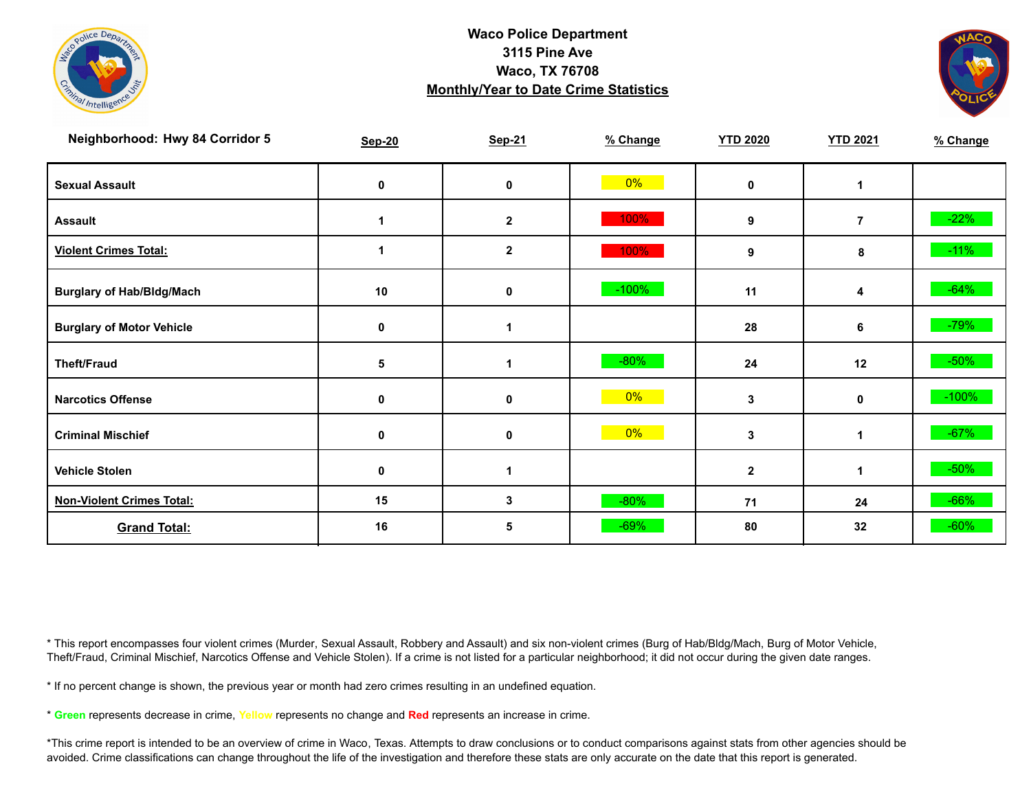



| Neighborhood: Hwy 84 Corridor 5  | <b>Sep-20</b> | <b>Sep-21</b> | % Change | <b>YTD 2020</b> | <b>YTD 2021</b> | % Change |
|----------------------------------|---------------|---------------|----------|-----------------|-----------------|----------|
| <b>Sexual Assault</b>            | 0             | 0             | $0\%$    | $\mathbf{0}$    | 1               |          |
| <b>Assault</b>                   |               | $\mathbf{2}$  | 100%     | 9               | $\overline{7}$  | $-22%$   |
| <b>Violent Crimes Total:</b>     |               | $\mathbf 2$   | 100%     | 9               | 8               | $-11%$   |
| <b>Burglary of Hab/Bldg/Mach</b> | 10            | 0             | $-100%$  | 11              | 4               | $-64%$   |
| <b>Burglary of Motor Vehicle</b> | 0             | 1             |          | 28              | 6               | $-79%$   |
| <b>Theft/Fraud</b>               | 5             |               | $-80%$   | 24              | 12              | $-50%$   |
| <b>Narcotics Offense</b>         | 0             | 0             | $0\%$    | 3               | 0               | $-100%$  |
| <b>Criminal Mischief</b>         | 0             | 0             | $0\%$    | 3               | 1               | $-67%$   |
| <b>Vehicle Stolen</b>            | 0             | 1             |          | $\mathbf{2}$    | 1               | $-50%$   |
| <b>Non-Violent Crimes Total:</b> | 15            | 3             | $-80%$   | 71              | 24              | $-66%$   |
| <b>Grand Total:</b>              | 16            | 5             | $-69%$   | 80              | 32              | $-60%$   |

\* This report encompasses four violent crimes (Murder, Sexual Assault, Robbery and Assault) and six non-violent crimes (Burg of Hab/Bldg/Mach, Burg of Motor Vehicle, Theft/Fraud, Criminal Mischief, Narcotics Offense and Vehicle Stolen). If a crime is not listed for a particular neighborhood; it did not occur during the given date ranges.

\* If no percent change is shown, the previous year or month had zero crimes resulting in an undefined equation.

\* **Green** represents decrease in crime, **Yellow** represents no change and **Red** represents an increase in crime.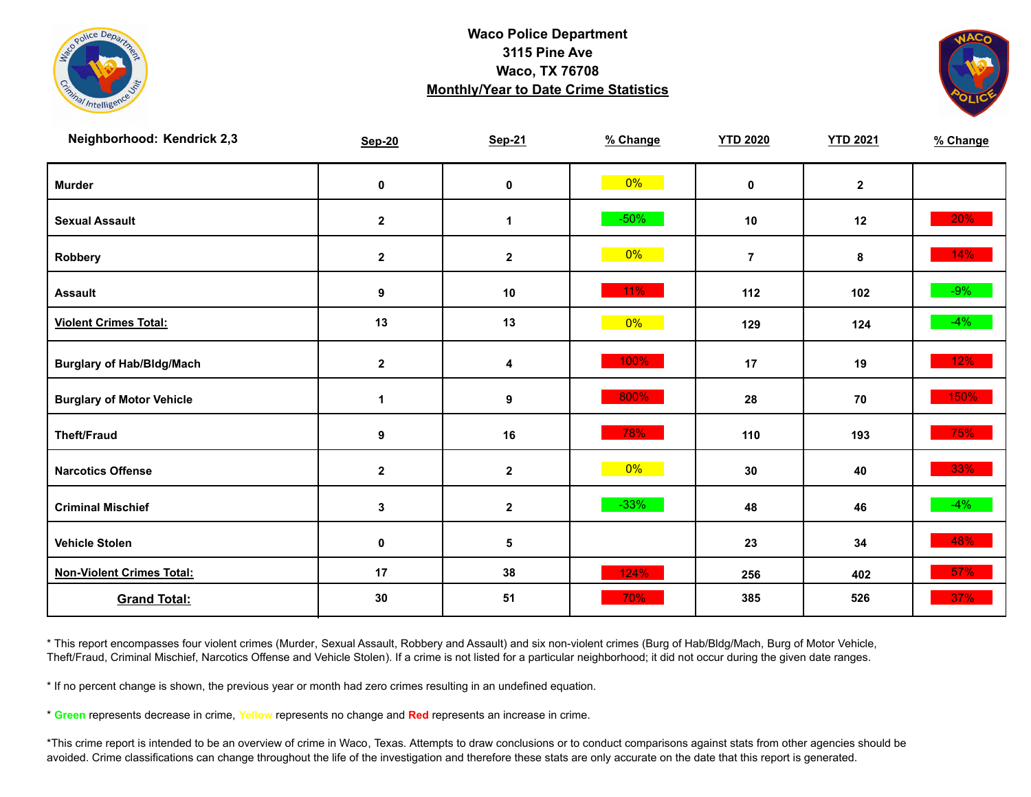



| Neighborhood: Kendrick 2,3       | <b>Sep-20</b> | <b>Sep-21</b>    | % Change | <b>YTD 2020</b> | <b>YTD 2021</b> | % Change |
|----------------------------------|---------------|------------------|----------|-----------------|-----------------|----------|
| <b>Murder</b>                    | $\mathbf 0$   | $\pmb{0}$        | $0\%$    | $\mathbf 0$     | $\overline{2}$  |          |
| <b>Sexual Assault</b>            | $\mathbf{2}$  | $\mathbf{1}$     | $-50%$   | 10              | 12              | $20\%$   |
| Robbery                          | $\mathbf{2}$  | $\mathbf{2}$     | $0\%$    | $\overline{7}$  | 8               | 14%      |
| <b>Assault</b>                   | 9             | 10               | 11%      | 112             | 102             | $-9%$    |
| <b>Violent Crimes Total:</b>     | 13            | 13               | $0\%$    | 129             | 124             | $-4%$    |
| <b>Burglary of Hab/Bldg/Mach</b> | $\mathbf{2}$  | 4                | 100%     | 17              | 19              | 12%      |
| <b>Burglary of Motor Vehicle</b> | 1             | $\boldsymbol{9}$ | 800%     | 28              | 70              | 150%     |
| <b>Theft/Fraud</b>               | 9             | 16               | 78%      | 110             | 193             | 75%      |
| <b>Narcotics Offense</b>         | $\mathbf{2}$  | $\mathbf{2}$     | 0%       | 30              | 40              | 33%      |
| <b>Criminal Mischief</b>         | $\mathbf{3}$  | $\boldsymbol{2}$ | $-33%$   | 48              | 46              | $-4%$    |
| <b>Vehicle Stolen</b>            | 0             | 5                |          | 23              | 34              | 48%      |
| <b>Non-Violent Crimes Total:</b> | 17            | 38               | 124%     | 256             | 402             | 57%      |
| <b>Grand Total:</b>              | 30            | 51               | 70%      | 385             | 526             | $37\%$   |

\* This report encompasses four violent crimes (Murder, Sexual Assault, Robbery and Assault) and six non-violent crimes (Burg of Hab/Bldg/Mach, Burg of Motor Vehicle, Theft/Fraud, Criminal Mischief, Narcotics Offense and Vehicle Stolen). If a crime is not listed for a particular neighborhood; it did not occur during the given date ranges.

\* If no percent change is shown, the previous year or month had zero crimes resulting in an undefined equation.

\* **Green** represents decrease in crime, **Yellow** represents no change and **Red** represents an increase in crime.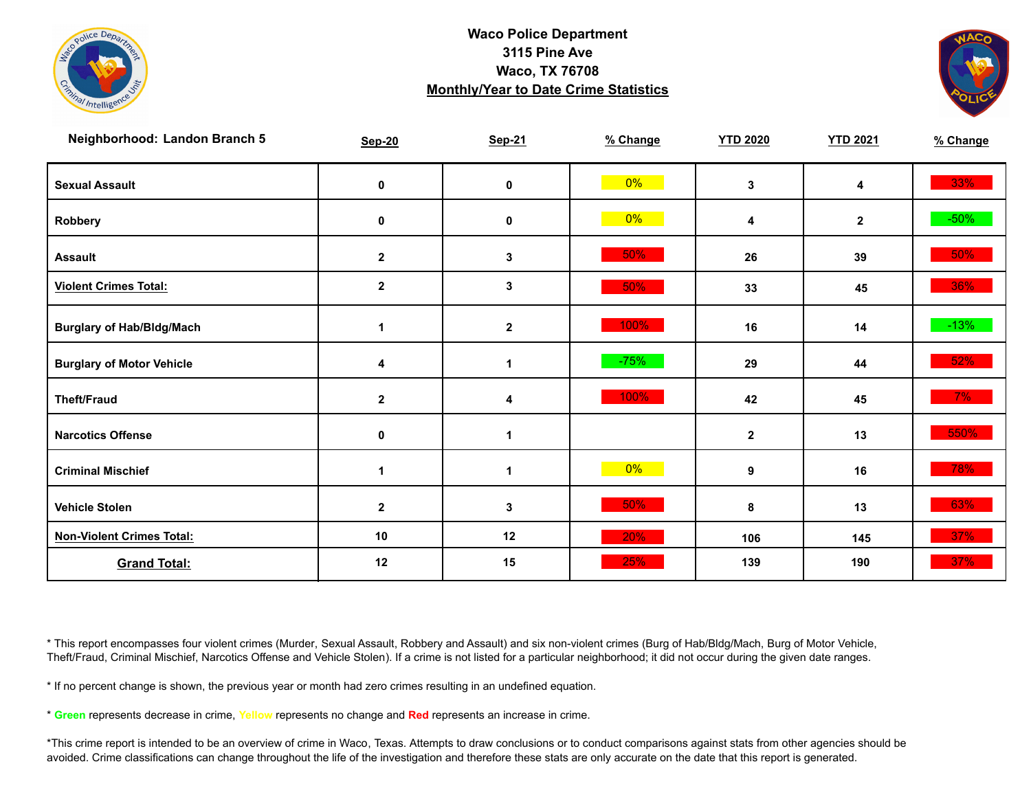



| Neighborhood: Landon Branch 5    | <b>Sep-20</b>        | <b>Sep-21</b>    | % Change | <b>YTD 2020</b> | <b>YTD 2021</b> | % Change |
|----------------------------------|----------------------|------------------|----------|-----------------|-----------------|----------|
| <b>Sexual Assault</b>            | 0                    | $\pmb{0}$        | 0%       | 3               | 4               | 33%      |
| Robbery                          | 0                    | $\pmb{0}$        | $0\%$    | 4               | $\mathbf{2}$    | $-50\%$  |
| <b>Assault</b>                   | $\mathbf 2$          | 3                | 50%      | 26              | 39              | $50\%$   |
| <b>Violent Crimes Total:</b>     | $\mathbf{2}$         | $\mathbf 3$      | 50%      | 33              | 45              | 36%      |
| <b>Burglary of Hab/Bldg/Mach</b> | $\mathbf 1$          | $\boldsymbol{2}$ | 100%     | 16              | 14              | $-13%$   |
| <b>Burglary of Motor Vehicle</b> | 4                    | $\mathbf{1}$     | $-75%$   | 29              | 44              | 52%      |
| <b>Theft/Fraud</b>               | $\mathbf 2$          | 4                | 100%     | 42              | 45              | $7\%$    |
| <b>Narcotics Offense</b>         | 0                    | $\mathbf 1$      |          | $\mathbf 2$     | 13              | 550%     |
| <b>Criminal Mischief</b>         | $\blacktriangleleft$ | $\mathbf 1$      | $0\%$    | 9               | 16              | 78%      |
| <b>Vehicle Stolen</b>            | $\mathbf{2}$         | $\mathbf{3}$     | 50%      | 8               | 13              | 63%      |
| <b>Non-Violent Crimes Total:</b> | 10                   | 12               | 20%      | 106             | 145             | 37%      |
| <b>Grand Total:</b>              | 12                   | 15               | 25%      | 139             | 190             | 37%      |

\* This report encompasses four violent crimes (Murder, Sexual Assault, Robbery and Assault) and six non-violent crimes (Burg of Hab/Bldg/Mach, Burg of Motor Vehicle, Theft/Fraud, Criminal Mischief, Narcotics Offense and Vehicle Stolen). If a crime is not listed for a particular neighborhood; it did not occur during the given date ranges.

\* If no percent change is shown, the previous year or month had zero crimes resulting in an undefined equation.

\* **Green** represents decrease in crime, **Yellow** represents no change and **Red** represents an increase in crime.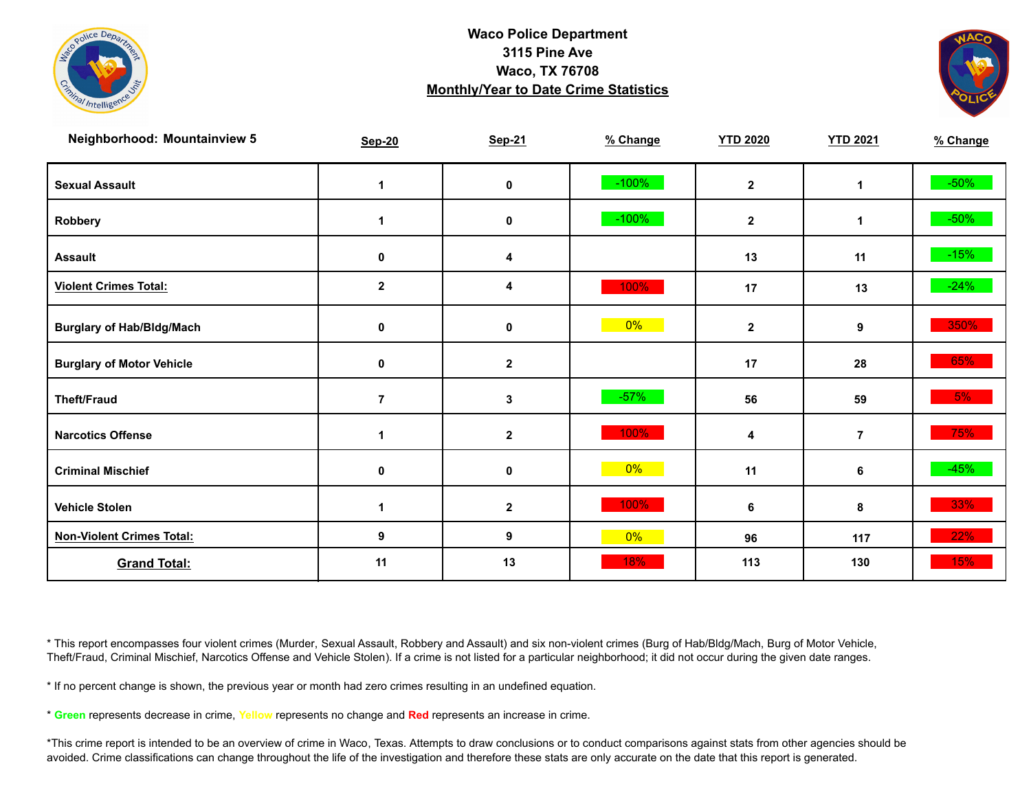



| <b>Neighborhood: Mountainview 5</b> | <b>Sep-20</b>        | <b>Sep-21</b>    | % Change | <b>YTD 2020</b> | <b>YTD 2021</b> | % Change |
|-------------------------------------|----------------------|------------------|----------|-----------------|-----------------|----------|
| <b>Sexual Assault</b>               | $\blacktriangleleft$ | 0                | $-100%$  | $\mathbf{2}$    | $\mathbf 1$     | $-50\%$  |
| Robbery                             | 1                    | $\pmb{0}$        | $-100%$  | $\mathbf{2}$    | $\mathbf 1$     | $-50\%$  |
| <b>Assault</b>                      | 0                    | 4                |          | 13              | 11              | $-15%$   |
| <b>Violent Crimes Total:</b>        | $\mathbf{2}$         | 4                | 100%     | 17              | 13              | $-24%$   |
| <b>Burglary of Hab/Bldg/Mach</b>    | 0                    | $\pmb{0}$        | 0%       | $\mathbf 2$     | 9               | 350%     |
| <b>Burglary of Motor Vehicle</b>    | 0                    | $\mathbf{2}$     |          | 17              | 28              | 65%      |
| <b>Theft/Fraud</b>                  | $\overline{7}$       | $\mathbf{3}$     | $-57%$   | 56              | 59              | 5%       |
| <b>Narcotics Offense</b>            |                      | $\mathbf{2}$     | 100%     | 4               | $\overline{7}$  | 75%      |
| <b>Criminal Mischief</b>            | 0                    | $\pmb{0}$        | 0%       | 11              | 6               | $-45%$   |
| <b>Vehicle Stolen</b>               |                      | $\boldsymbol{2}$ | 100%     | 6               | 8               | 33%      |
| <b>Non-Violent Crimes Total:</b>    | 9                    | 9                | 0%       | 96              | 117             | 22%      |
| <b>Grand Total:</b>                 | 11                   | 13               | 18%      | 113             | 130             | 15%      |

\* This report encompasses four violent crimes (Murder, Sexual Assault, Robbery and Assault) and six non-violent crimes (Burg of Hab/Bldg/Mach, Burg of Motor Vehicle, Theft/Fraud, Criminal Mischief, Narcotics Offense and Vehicle Stolen). If a crime is not listed for a particular neighborhood; it did not occur during the given date ranges.

\* If no percent change is shown, the previous year or month had zero crimes resulting in an undefined equation.

\* **Green** represents decrease in crime, **Yellow** represents no change and **Red** represents an increase in crime.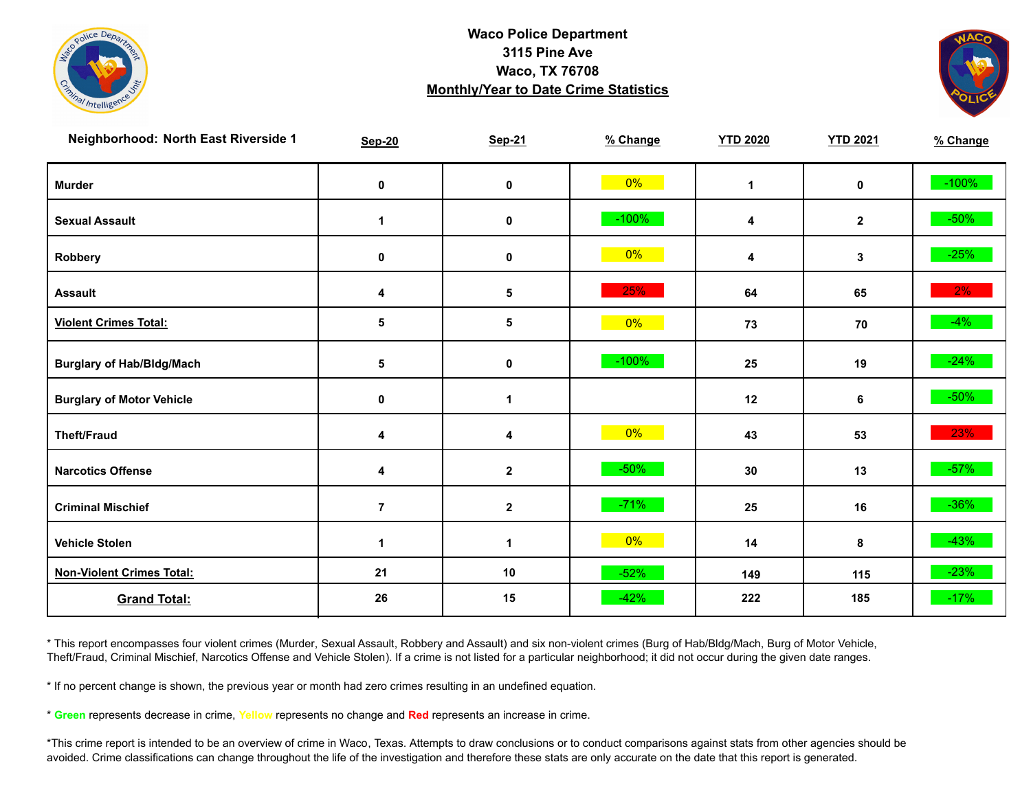



| Neighborhood: North East Riverside 1 | <b>Sep-20</b>  | <b>Sep-21</b> | % Change | <b>YTD 2020</b> | <b>YTD 2021</b> | % Change |
|--------------------------------------|----------------|---------------|----------|-----------------|-----------------|----------|
| <b>Murder</b>                        | $\pmb{0}$      | $\pmb{0}$     | $0\%$    | $\mathbf{1}$    | $\mathbf 0$     | $-100%$  |
| <b>Sexual Assault</b>                | 1              | 0             | $-100%$  | 4               | $\mathbf{2}$    | $-50\%$  |
| Robbery                              | 0              | 0             | 0%       | 4               | 3               | $-25%$   |
| <b>Assault</b>                       | 4              | $\sqrt{5}$    | 25%      | 64              | 65              | $2\%$    |
| <b>Violent Crimes Total:</b>         | 5              | 5             | $0\%$    | 73              | 70              | $-4\%$   |
| <b>Burglary of Hab/Bldg/Mach</b>     | 5              | $\pmb{0}$     | $-100%$  | 25              | 19              | $-24%$   |
| <b>Burglary of Motor Vehicle</b>     | 0              | 1             |          | 12              | 6               | $-50\%$  |
| <b>Theft/Fraud</b>                   | 4              | 4             | 0%       | 43              | 53              | 23%      |
| <b>Narcotics Offense</b>             | 4              | $\mathbf 2$   | $-50%$   | 30              | 13              | $-57%$   |
| <b>Criminal Mischief</b>             | $\overline{7}$ | $\mathbf 2$   | $-71%$   | 25              | 16              | $-36\%$  |
| <b>Vehicle Stolen</b>                | $\mathbf{1}$   | $\mathbf{1}$  | $0\%$    | 14              | 8               | $-43%$   |
| <b>Non-Violent Crimes Total:</b>     | 21             | 10            | $-52%$   | 149             | 115             | $-23%$   |
| <b>Grand Total:</b>                  | 26             | 15            | $-42%$   | 222             | 185             | $-17%$   |

\* This report encompasses four violent crimes (Murder, Sexual Assault, Robbery and Assault) and six non-violent crimes (Burg of Hab/Bldg/Mach, Burg of Motor Vehicle, Theft/Fraud, Criminal Mischief, Narcotics Offense and Vehicle Stolen). If a crime is not listed for a particular neighborhood; it did not occur during the given date ranges.

\* If no percent change is shown, the previous year or month had zero crimes resulting in an undefined equation.

\* **Green** represents decrease in crime, **Yellow** represents no change and **Red** represents an increase in crime.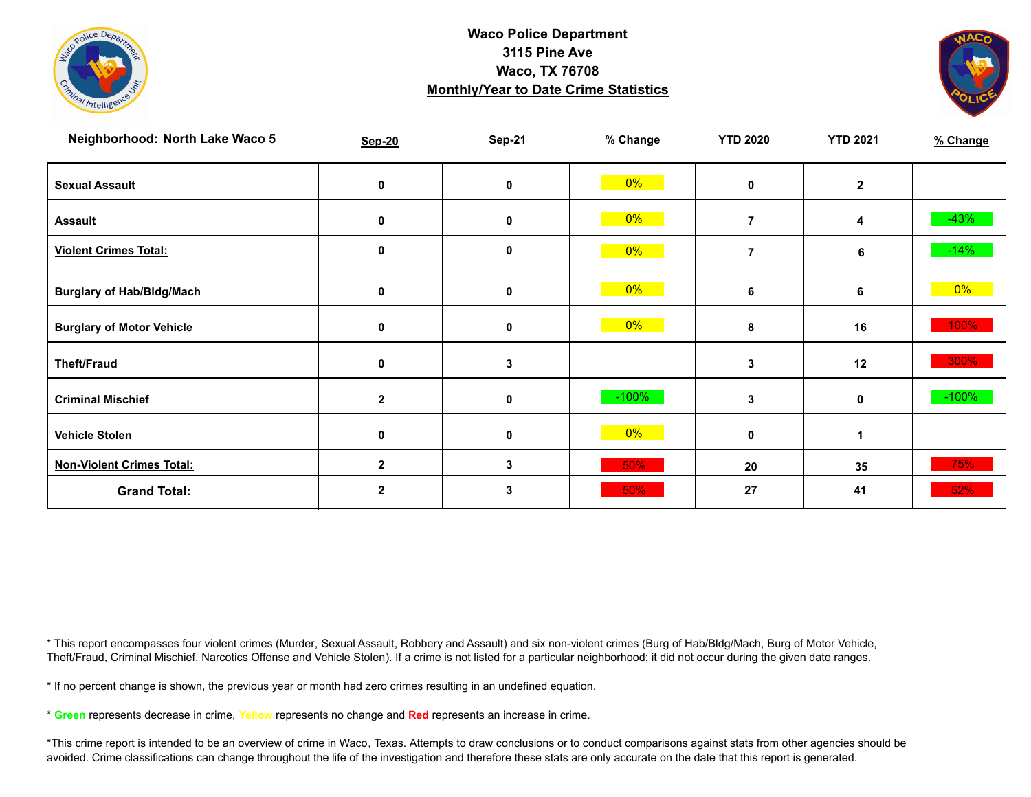



| Neighborhood: North Lake Waco 5  | <b>Sep-20</b> | Sep-21       | % Change | <b>YTD 2020</b> | <b>YTD 2021</b> | % Change |
|----------------------------------|---------------|--------------|----------|-----------------|-----------------|----------|
| <b>Sexual Assault</b>            | 0             | 0            | $0\%$    | 0               | $\overline{2}$  |          |
| <b>Assault</b>                   | 0             | $\mathbf 0$  | $0\%$    | 7               | 4               | $-43%$   |
| <b>Violent Crimes Total:</b>     | 0             | 0            | $0\%$    | 7               | 6               | $-14%$   |
| <b>Burglary of Hab/Bldg/Mach</b> | 0             | 0            | $0\%$    | 6               | 6               | $0\%$    |
| <b>Burglary of Motor Vehicle</b> | 0             | 0            | $0\%$    | 8               | 16              | 100%     |
| <b>Theft/Fraud</b>               | 0             | 3            |          | 3               | 12              | 300%     |
| <b>Criminal Mischief</b>         | $\mathbf{2}$  | 0            | $-100%$  | 3               | $\mathbf 0$     | $-100%$  |
| <b>Vehicle Stolen</b>            | 0             | 0            | $0\%$    | 0               |                 |          |
| <b>Non-Violent Crimes Total:</b> | $\mathbf{2}$  | $\mathbf{3}$ | 50%      | 20              | 35              | 75%      |
| <b>Grand Total:</b>              |               | 3            | 50%      | 27              | 41              | 52%      |

\* This report encompasses four violent crimes (Murder, Sexual Assault, Robbery and Assault) and six non-violent crimes (Burg of Hab/Bldg/Mach, Burg of Motor Vehicle, Theft/Fraud, Criminal Mischief, Narcotics Offense and Vehicle Stolen). If a crime is not listed for a particular neighborhood; it did not occur during the given date ranges.

\* If no percent change is shown, the previous year or month had zero crimes resulting in an undefined equation.

\* **Green** represents decrease in crime, **Yellow** represents no change and **Red** represents an increase in crime.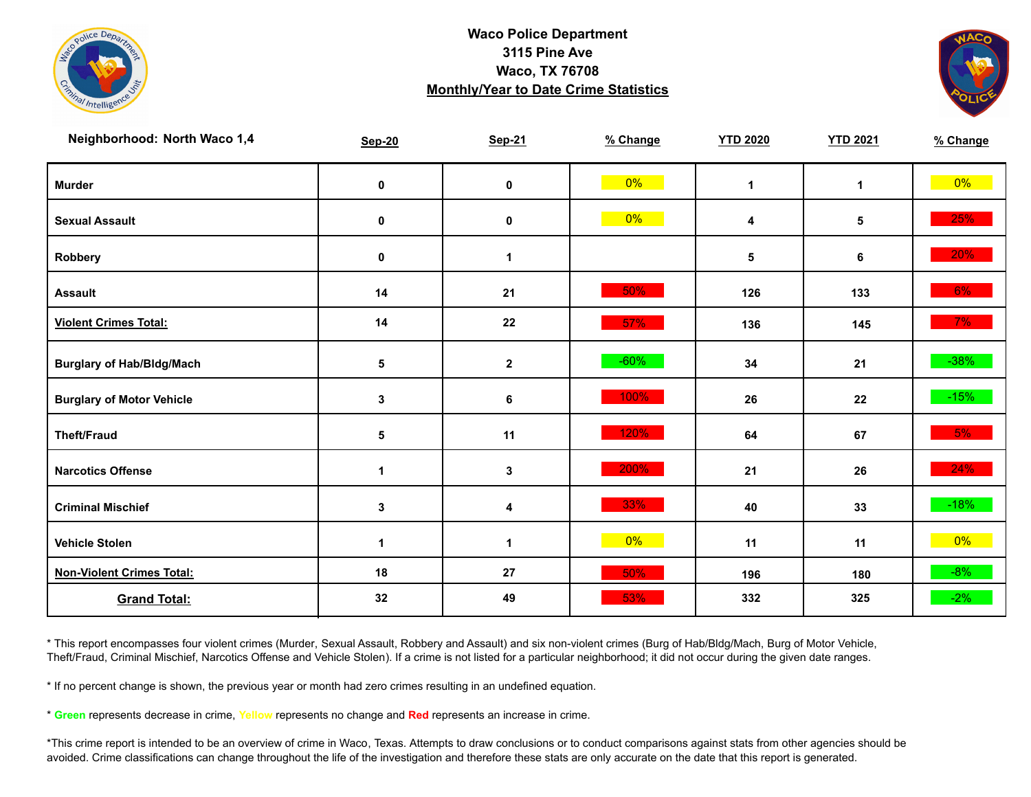



| Neighborhood: North Waco 1,4     | <b>Sep-20</b>        | <b>Sep-21</b> | % Change | <b>YTD 2020</b> | <b>YTD 2021</b> | % Change |
|----------------------------------|----------------------|---------------|----------|-----------------|-----------------|----------|
| <b>Murder</b>                    | $\pmb{0}$            | $\mathbf 0$   | $0\%$    | $\mathbf{1}$    | $\mathbf{1}$    | $0\%$    |
| <b>Sexual Assault</b>            | 0                    | $\pmb{0}$     | $0\%$    | 4               | 5               | 25%      |
| Robbery                          | 0                    | 1             |          | 5               | 6               | 20%      |
| <b>Assault</b>                   | 14                   | 21            | 50%      | 126             | 133             | 6%       |
| <b>Violent Crimes Total:</b>     | 14                   | 22            | 57%      | 136             | 145             | $7\%$    |
| <b>Burglary of Hab/Bldg/Mach</b> | ${\bf 5}$            | $\mathbf{2}$  | $-60%$   | 34              | 21              | $-38%$   |
| <b>Burglary of Motor Vehicle</b> | 3                    | 6             | 100%     | 26              | 22              | $-15%$   |
| <b>Theft/Fraud</b>               | 5                    | 11            | 120%     | 64              | 67              | 5%       |
| <b>Narcotics Offense</b>         | $\blacktriangleleft$ | $\mathbf 3$   | 200%     | 21              | 26              | 24%      |
| <b>Criminal Mischief</b>         | $\mathbf{3}$         | 4             | 33%      | 40              | 33              | $-18%$   |
| <b>Vehicle Stolen</b>            | $\mathbf 1$          | $\mathbf{1}$  | $0\%$    | 11              | 11              | $0\%$    |
| <b>Non-Violent Crimes Total:</b> | 18                   | 27            | 50%      | 196             | 180             | $-8%$    |
| <b>Grand Total:</b>              | 32                   | 49            | 53%      | 332             | 325             | $-2%$    |

\* This report encompasses four violent crimes (Murder, Sexual Assault, Robbery and Assault) and six non-violent crimes (Burg of Hab/Bldg/Mach, Burg of Motor Vehicle, Theft/Fraud, Criminal Mischief, Narcotics Offense and Vehicle Stolen). If a crime is not listed for a particular neighborhood; it did not occur during the given date ranges.

\* If no percent change is shown, the previous year or month had zero crimes resulting in an undefined equation.

\* **Green** represents decrease in crime, **Yellow** represents no change and **Red** represents an increase in crime.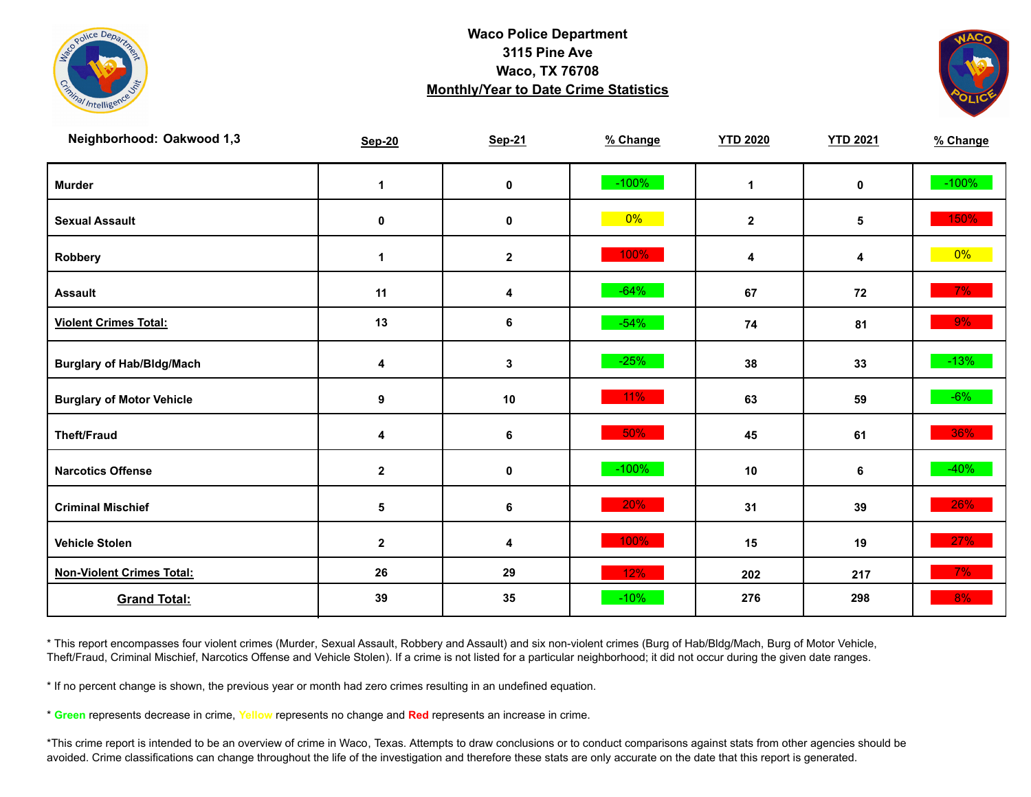



| Neighborhood: Oakwood 1,3        | <b>Sep-20</b> | <b>Sep-21</b> | % Change | <b>YTD 2020</b> | <b>YTD 2021</b> | % Change |
|----------------------------------|---------------|---------------|----------|-----------------|-----------------|----------|
| <b>Murder</b>                    | $\mathbf 1$   | $\mathbf 0$   | $-100%$  | $\mathbf{1}$    | $\mathbf 0$     | $-100%$  |
| <b>Sexual Assault</b>            | $\pmb{0}$     | $\pmb{0}$     | $0\%$    | $\mathbf{2}$    | 5               | 150%     |
| Robbery                          | $\mathbf 1$   | $\mathbf{2}$  | 100%     | 4               | 4               | $0\%$    |
| <b>Assault</b>                   | 11            | 4             | $-64%$   | 67              | 72              | 7%       |
| <b>Violent Crimes Total:</b>     | 13            | 6             | $-54%$   | 74              | 81              | 9%       |
| <b>Burglary of Hab/Bldg/Mach</b> | 4             | $\mathbf{3}$  | $-25%$   | 38              | 33              | $-13%$   |
| <b>Burglary of Motor Vehicle</b> | 9             | 10            | 11%      | 63              | 59              | $-6\%$   |
| <b>Theft/Fraud</b>               | 4             | 6             | 50%      | 45              | 61              | 36%      |
| <b>Narcotics Offense</b>         | $\mathbf 2$   | $\mathbf 0$   | $-100%$  | 10              | 6               | $-40%$   |
| <b>Criminal Mischief</b>         | $\sqrt{5}$    | 6             | 20%      | 31              | 39              | 26%      |
| <b>Vehicle Stolen</b>            | $\mathbf{2}$  | 4             | 100%     | 15              | 19              | 27%      |
| <b>Non-Violent Crimes Total:</b> | 26            | 29            | 12%      | 202             | 217             | 7%       |
| <b>Grand Total:</b>              | 39            | 35            | $-10%$   | 276             | 298             | 8%       |

\* This report encompasses four violent crimes (Murder, Sexual Assault, Robbery and Assault) and six non-violent crimes (Burg of Hab/Bldg/Mach, Burg of Motor Vehicle, Theft/Fraud, Criminal Mischief, Narcotics Offense and Vehicle Stolen). If a crime is not listed for a particular neighborhood; it did not occur during the given date ranges.

\* If no percent change is shown, the previous year or month had zero crimes resulting in an undefined equation.

\* **Green** represents decrease in crime, **Yellow** represents no change and **Red** represents an increase in crime.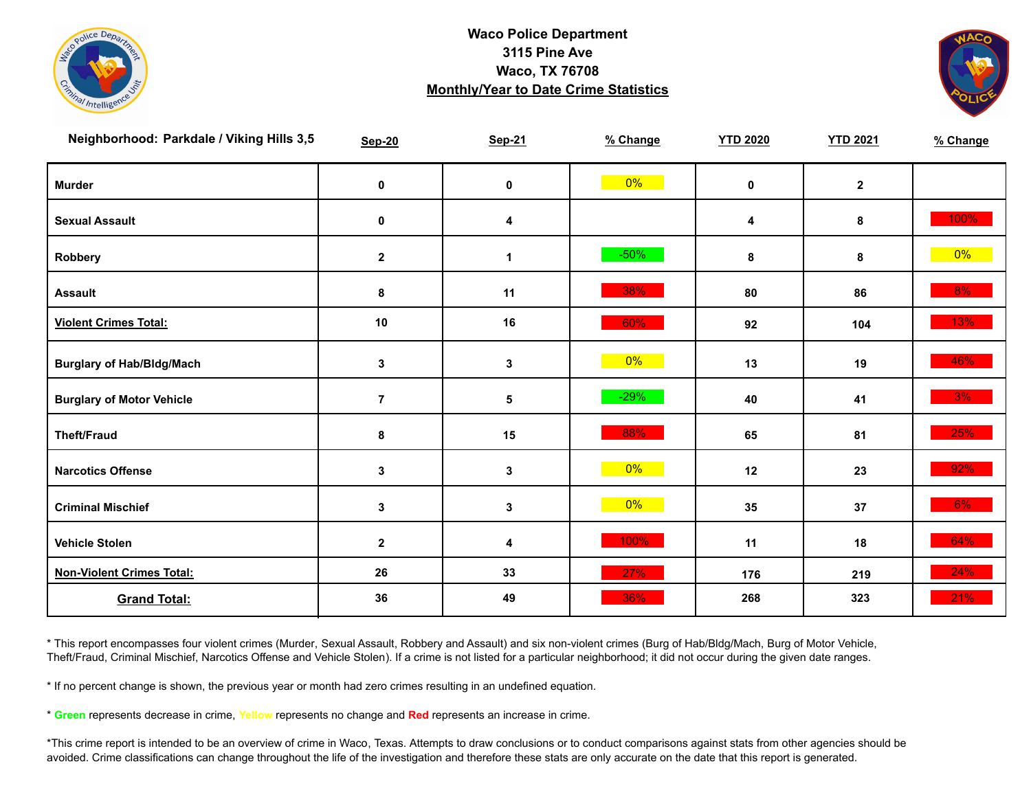



| Neighborhood: Parkdale / Viking Hills 3,5 | <b>Sep-20</b>  | <b>Sep-21</b> | % Change | <b>YTD 2020</b> | <b>YTD 2021</b> | % Change |
|-------------------------------------------|----------------|---------------|----------|-----------------|-----------------|----------|
| <b>Murder</b>                             | $\pmb{0}$      | $\pmb{0}$     | $0\%$    | $\mathbf 0$     | $\mathbf{2}$    |          |
| <b>Sexual Assault</b>                     | 0              | 4             |          | 4               | 8               | 100%     |
| Robbery                                   | $\mathbf{2}$   | 1             | $-50%$   | 8               | 8               | $0\%$    |
| <b>Assault</b>                            | 8              | 11            | 38%      | 80              | 86              | $8\%$    |
| <b>Violent Crimes Total:</b>              | 10             | 16            | 60%      | 92              | 104             | 13%      |
| <b>Burglary of Hab/Bldg/Mach</b>          | $\mathbf{3}$   | 3             | $0\%$    | 13              | 19              | 46%      |
| <b>Burglary of Motor Vehicle</b>          | $\overline{7}$ | 5             | $-29%$   | 40              | 41              | 3%       |
| <b>Theft/Fraud</b>                        | 8              | 15            | 88%      | 65              | 81              | 25%      |
| <b>Narcotics Offense</b>                  | $\mathbf 3$    | $\mathbf 3$   | $0\%$    | 12              | 23              | 92%      |
| <b>Criminal Mischief</b>                  | $\mathbf 3$    | $\mathbf 3$   | $0\%$    | 35              | 37              | $6\%$    |
| <b>Vehicle Stolen</b>                     | $\mathbf 2$    | 4             | 100%     | 11              | 18              | 64%      |
| <b>Non-Violent Crimes Total:</b>          | 26             | 33            | 27%      | 176             | 219             | 24%      |
| <b>Grand Total:</b>                       | 36             | 49            | 36%      | 268             | 323             | 21%      |

\* This report encompasses four violent crimes (Murder, Sexual Assault, Robbery and Assault) and six non-violent crimes (Burg of Hab/Bldg/Mach, Burg of Motor Vehicle, Theft/Fraud, Criminal Mischief, Narcotics Offense and Vehicle Stolen). If a crime is not listed for a particular neighborhood; it did not occur during the given date ranges.

\* If no percent change is shown, the previous year or month had zero crimes resulting in an undefined equation.

\* **Green** represents decrease in crime, **Yellow** represents no change and **Red** represents an increase in crime.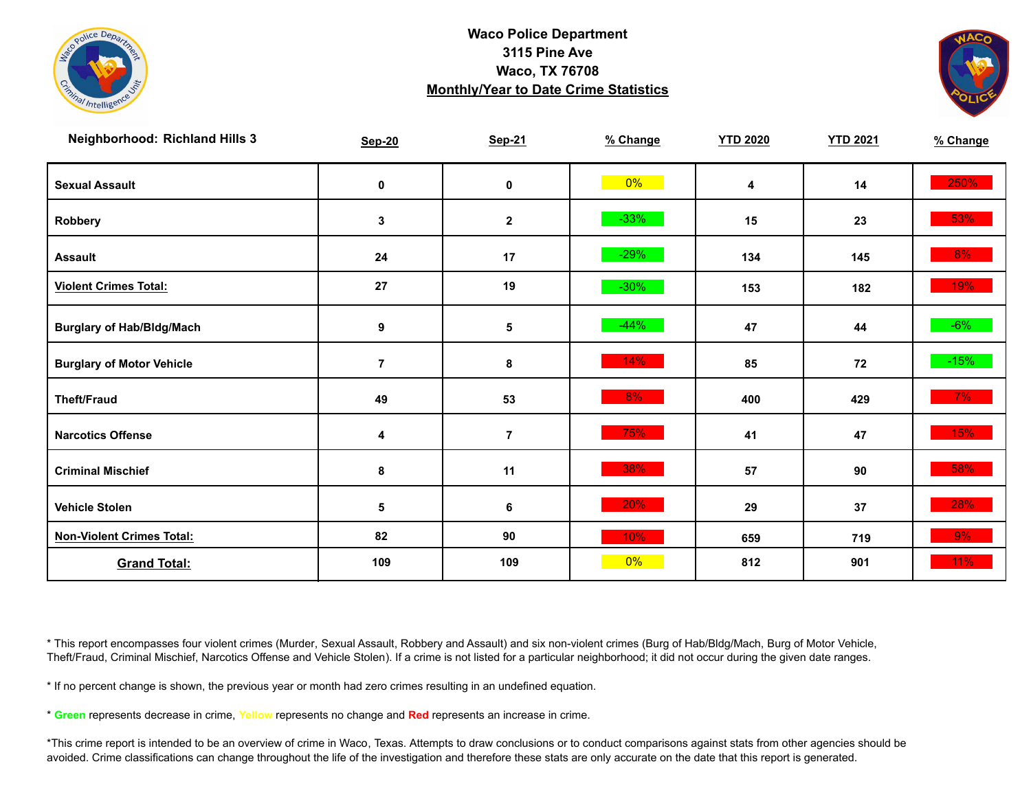



| <b>Neighborhood: Richland Hills 3</b> | <b>Sep-20</b>    | <b>Sep-21</b>  | % Change | <b>YTD 2020</b> | <b>YTD 2021</b> | % Change |
|---------------------------------------|------------------|----------------|----------|-----------------|-----------------|----------|
| <b>Sexual Assault</b>                 | $\mathbf 0$      | $\mathbf 0$    | $0\%$    | 4               | 14              | 250%     |
| Robbery                               | $\mathbf{3}$     | $\mathbf 2$    | $-33%$   | 15              | 23              | 53%      |
| <b>Assault</b>                        | 24               | 17             | $-29%$   | 134             | 145             | 8%       |
| <b>Violent Crimes Total:</b>          | 27               | 19             | $-30%$   | 153             | 182             | 19%      |
| <b>Burglary of Hab/Bldg/Mach</b>      | $\boldsymbol{9}$ | ${\bf 5}$      | $-44%$   | 47              | 44              | $-6%$    |
| <b>Burglary of Motor Vehicle</b>      | $\overline{7}$   | 8              | 14%      | 85              | 72              | $-15%$   |
| <b>Theft/Fraud</b>                    | 49               | 53             | 8%       | 400             | 429             | $7\%$    |
| <b>Narcotics Offense</b>              | 4                | $\overline{7}$ | 75%      | 41              | 47              | 15%      |
| <b>Criminal Mischief</b>              | 8                | 11             | 38%      | 57              | 90              | 58%      |
| <b>Vehicle Stolen</b>                 | $\sqrt{5}$       | 6              | 20%      | 29              | 37              | 28%      |
| <b>Non-Violent Crimes Total:</b>      | 82               | 90             | 10%      | 659             | 719             | 9%       |
| <b>Grand Total:</b>                   | 109              | 109            | 0%       | 812             | 901             | $11\%$   |

\* This report encompasses four violent crimes (Murder, Sexual Assault, Robbery and Assault) and six non-violent crimes (Burg of Hab/Bldg/Mach, Burg of Motor Vehicle, Theft/Fraud, Criminal Mischief, Narcotics Offense and Vehicle Stolen). If a crime is not listed for a particular neighborhood; it did not occur during the given date ranges.

\* If no percent change is shown, the previous year or month had zero crimes resulting in an undefined equation.

\* **Green** represents decrease in crime, **Yellow** represents no change and **Red** represents an increase in crime.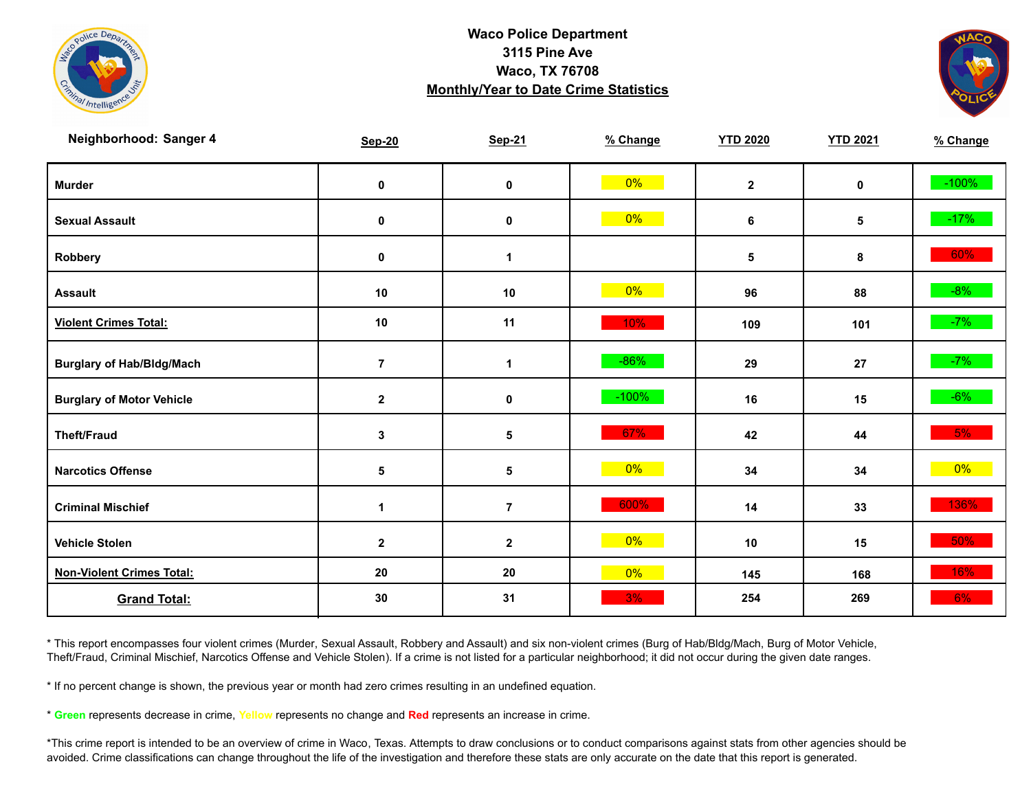



| Neighborhood: Sanger 4           | <b>Sep-20</b>        | <b>Sep-21</b>  | % Change | <b>YTD 2020</b> | <b>YTD 2021</b> | % Change |
|----------------------------------|----------------------|----------------|----------|-----------------|-----------------|----------|
| <b>Murder</b>                    | $\mathbf 0$          | $\pmb{0}$      | $0\%$    | $\mathbf{2}$    | $\mathbf 0$     | $-100%$  |
| <b>Sexual Assault</b>            | 0                    | 0              | $0\%$    | 6               | 5               | $-17%$   |
| Robbery                          | 0                    | 1              |          | ${\bf 5}$       | 8               | 60%      |
| <b>Assault</b>                   | $10\,$               | 10             | $0\%$    | 96              | 88              | $-8%$    |
| <b>Violent Crimes Total:</b>     | 10                   | 11             | 10%      | 109             | 101             | $-7%$    |
| <b>Burglary of Hab/Bldg/Mach</b> | $\bf 7$              | $\mathbf{1}$   | $-86%$   | 29              | 27              | $-7%$    |
| <b>Burglary of Motor Vehicle</b> | $\mathbf{2}$         | 0              | $-100%$  | 16              | 15              | $-6%$    |
| <b>Theft/Fraud</b>               | $\mathbf 3$          | 5              | 67%      | 42              | 44              | 5%       |
| <b>Narcotics Offense</b>         | $\sqrt{5}$           | 5              | $0\%$    | 34              | 34              | $0\%$    |
| <b>Criminal Mischief</b>         | $\blacktriangleleft$ | $\overline{7}$ | 600%     | 14              | 33              | 136%     |
| <b>Vehicle Stolen</b>            | $\mathbf{2}$         | $\mathbf{2}$   | $0\%$    | 10              | 15              | $50\%$   |
| <b>Non-Violent Crimes Total:</b> | 20                   | 20             | 0%       | 145             | 168             | 16%      |
| <b>Grand Total:</b>              | 30                   | 31             | 3%       | 254             | 269             | 6%       |

\* This report encompasses four violent crimes (Murder, Sexual Assault, Robbery and Assault) and six non-violent crimes (Burg of Hab/Bldg/Mach, Burg of Motor Vehicle, Theft/Fraud, Criminal Mischief, Narcotics Offense and Vehicle Stolen). If a crime is not listed for a particular neighborhood; it did not occur during the given date ranges.

\* If no percent change is shown, the previous year or month had zero crimes resulting in an undefined equation.

\* **Green** represents decrease in crime, **Yellow** represents no change and **Red** represents an increase in crime.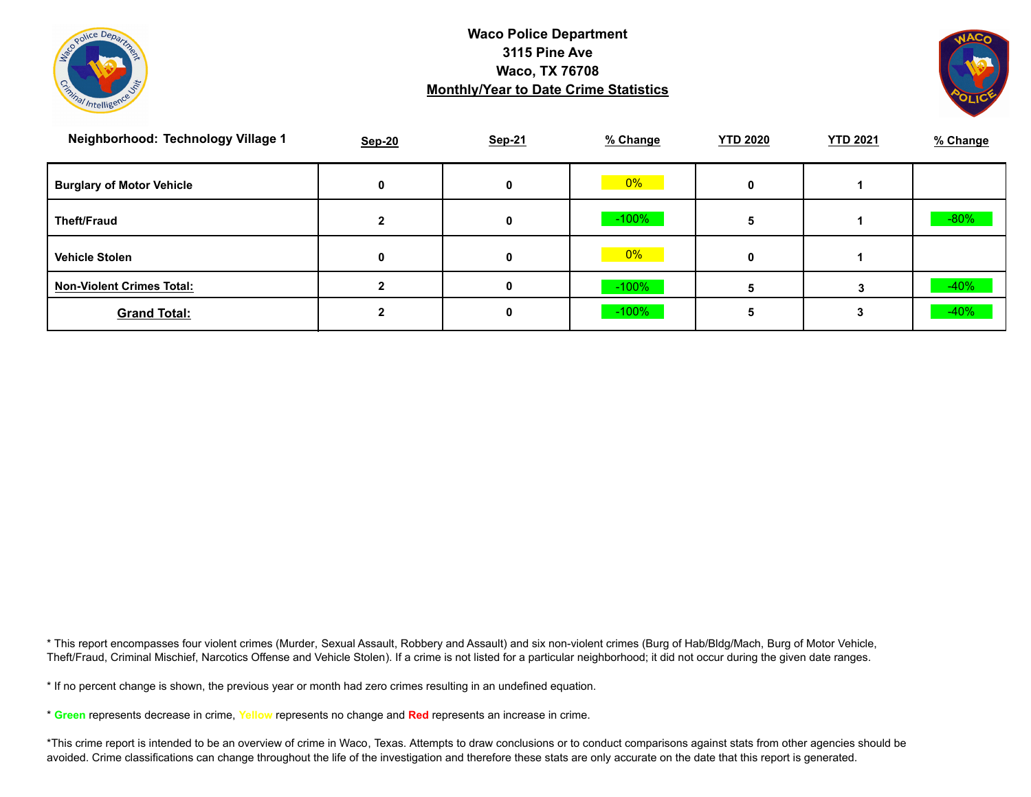



| Neighborhood: Technology Village 1 | <b>Sep-20</b> | Sep-21 | % Change | <b>YTD 2020</b> | <b>YTD 2021</b> | % Change |
|------------------------------------|---------------|--------|----------|-----------------|-----------------|----------|
| <b>Burglary of Motor Vehicle</b>   |               | 0      | $0\%$    | 0               |                 |          |
| <b>Theft/Fraud</b>                 |               | 0      | $-100\%$ |                 |                 | $-80%$   |
| <b>Vehicle Stolen</b>              | 0             | 0      | $0\%$    | 0               |                 |          |
| <b>Non-Violent Crimes Total:</b>   |               | 0      | $-100\%$ |                 |                 | $-40%$   |
| <b>Grand Total:</b>                |               | 0      | $-100%$  |                 |                 | $-40%$   |

\* This report encompasses four violent crimes (Murder, Sexual Assault, Robbery and Assault) and six non-violent crimes (Burg of Hab/Bldg/Mach, Burg of Motor Vehicle, Theft/Fraud, Criminal Mischief, Narcotics Offense and Vehicle Stolen). If a crime is not listed for a particular neighborhood; it did not occur during the given date ranges.

\* If no percent change is shown, the previous year or month had zero crimes resulting in an undefined equation.

\* **Green** represents decrease in crime, **Yellow** represents no change and **Red** represents an increase in crime.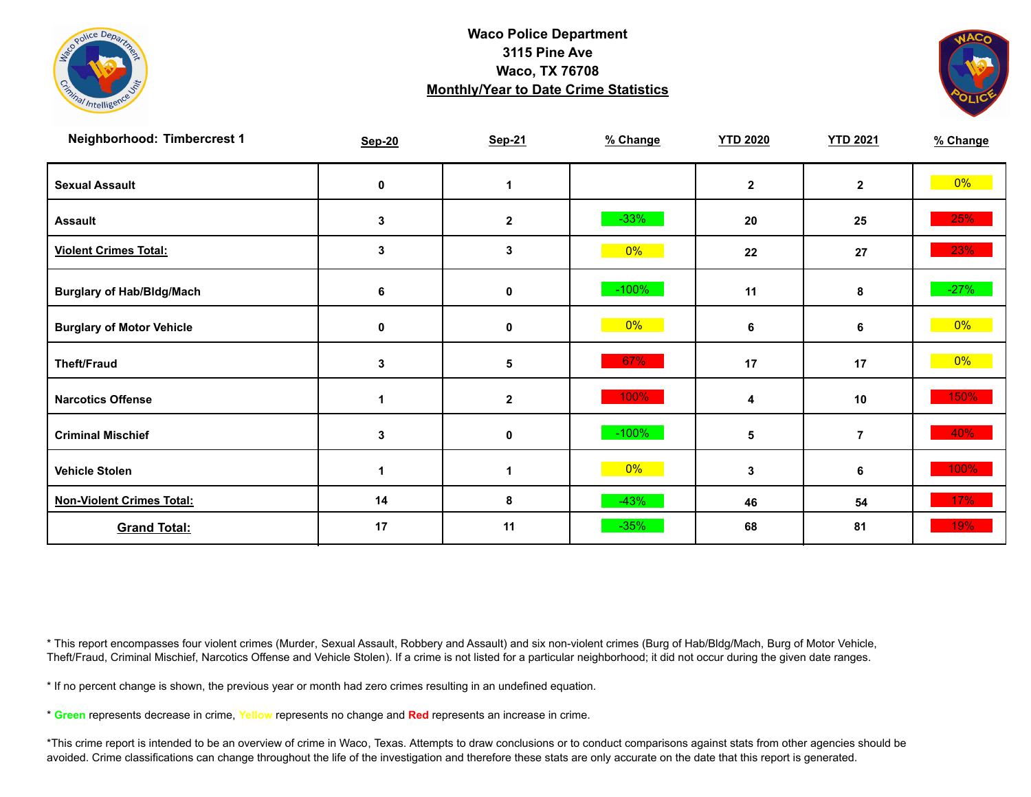



| Neighborhood: Timbercrest 1      | <b>Sep-20</b> | <b>Sep-21</b>    | % Change | <b>YTD 2020</b> | <b>YTD 2021</b> | % Change |
|----------------------------------|---------------|------------------|----------|-----------------|-----------------|----------|
| <b>Sexual Assault</b>            | 0             |                  |          | $\overline{2}$  | $\mathbf{2}$    | $0\%$    |
| <b>Assault</b>                   | 3             | $\mathbf 2$      | $-33%$   | 20              | 25              | 25%      |
| <b>Violent Crimes Total:</b>     | 3             | 3                | $0\%$    | 22              | 27              | 23%      |
| <b>Burglary of Hab/Bldg/Mach</b> | 6             | 0                | $-100%$  | 11              | 8               | $-27%$   |
| <b>Burglary of Motor Vehicle</b> | 0             | 0                | 0%       | 6               | 6               | $0\%$    |
| <b>Theft/Fraud</b>               | 3             | 5                | 67%      | 17              | 17              | $0\%$    |
| <b>Narcotics Offense</b>         |               | $\boldsymbol{2}$ | 100%     | 4               | 10              | 150%     |
| <b>Criminal Mischief</b>         | 3             | 0                | $-100%$  | 5               | $\overline{7}$  | 40%      |
| <b>Vehicle Stolen</b>            | 1             | 1                | $0\%$    | 3               | 6               | 100%     |
| <b>Non-Violent Crimes Total:</b> | 14            | 8                | $-43%$   | 46              | 54              | 17%      |
| <b>Grand Total:</b>              | 17            | 11               | $-35%$   | 68              | 81              | 19%      |

\* This report encompasses four violent crimes (Murder, Sexual Assault, Robbery and Assault) and six non-violent crimes (Burg of Hab/Bldg/Mach, Burg of Motor Vehicle, Theft/Fraud, Criminal Mischief, Narcotics Offense and Vehicle Stolen). If a crime is not listed for a particular neighborhood; it did not occur during the given date ranges.

\* If no percent change is shown, the previous year or month had zero crimes resulting in an undefined equation.

\* **Green** represents decrease in crime, **Yellow** represents no change and **Red** represents an increase in crime.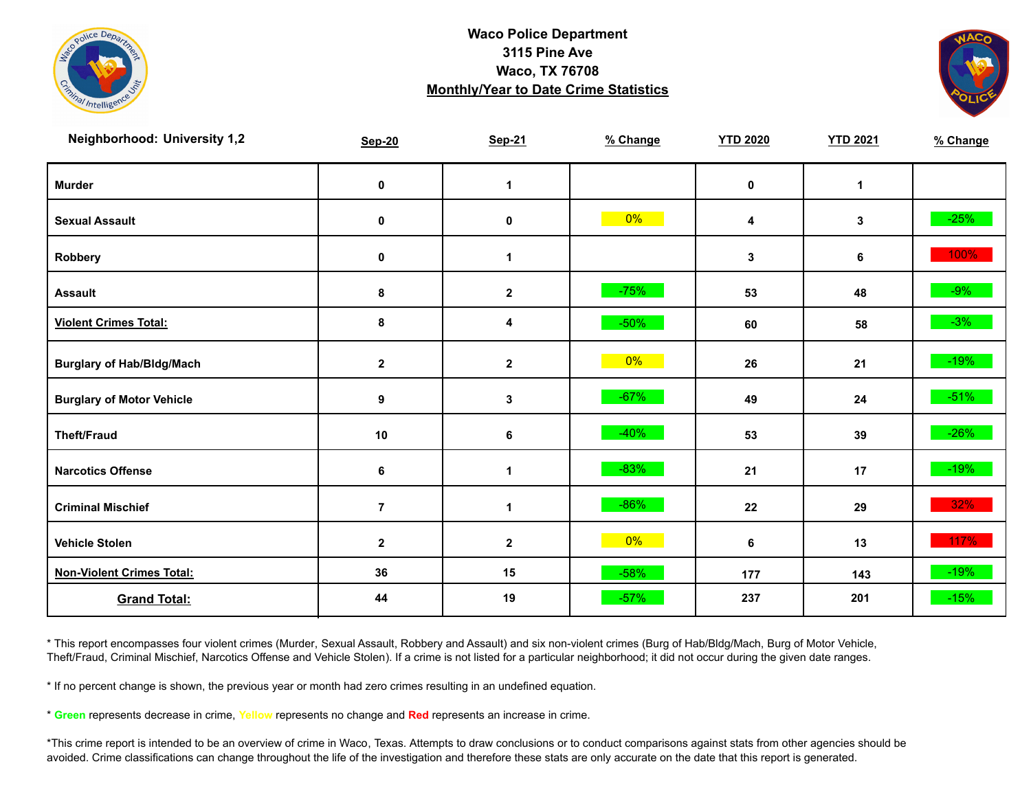



| <b>Neighborhood: University 1,2</b> | <b>Sep-20</b>  | <b>Sep-21</b>        | % Change | <b>YTD 2020</b> | <b>YTD 2021</b> | % Change |
|-------------------------------------|----------------|----------------------|----------|-----------------|-----------------|----------|
| <b>Murder</b>                       | $\mathbf 0$    | $\mathbf{1}$         |          | $\pmb{0}$       | $\mathbf{1}$    |          |
| <b>Sexual Assault</b>               | $\mathbf 0$    | $\pmb{0}$            | $0\%$    | 4               | 3               | $-25%$   |
| Robbery                             | 0              | $\blacktriangleleft$ |          | 3               | 6               | 100%     |
| <b>Assault</b>                      | 8              | $\mathbf{2}$         | $-75%$   | 53              | 48              | $-9%$    |
| <b>Violent Crimes Total:</b>        | 8              | 4                    | $-50%$   | 60              | 58              | $-3\%$   |
| <b>Burglary of Hab/Bldg/Mach</b>    | $\mathbf{2}$   | $\mathbf{2}$         | $0\%$    | 26              | 21              | $-19%$   |
| <b>Burglary of Motor Vehicle</b>    | 9              | $\mathbf 3$          | $-67%$   | 49              | 24              | $-51%$   |
| <b>Theft/Fraud</b>                  | 10             | 6                    | $-40%$   | 53              | 39              | $-26%$   |
| <b>Narcotics Offense</b>            | 6              | $\mathbf 1$          | $-83%$   | 21              | 17              | $-19%$   |
| <b>Criminal Mischief</b>            | $\overline{7}$ | $\mathbf 1$          | $-86%$   | 22              | 29              | 32%      |
| <b>Vehicle Stolen</b>               | $\mathbf{2}$   | $\mathbf{2}$         | $0\%$    | 6               | 13              | 117%     |
| <b>Non-Violent Crimes Total:</b>    | 36             | 15                   | $-58%$   | 177             | 143             | $-19%$   |
| <b>Grand Total:</b>                 | 44             | 19                   | $-57%$   | 237             | 201             | $-15%$   |

\* This report encompasses four violent crimes (Murder, Sexual Assault, Robbery and Assault) and six non-violent crimes (Burg of Hab/Bldg/Mach, Burg of Motor Vehicle, Theft/Fraud, Criminal Mischief, Narcotics Offense and Vehicle Stolen). If a crime is not listed for a particular neighborhood; it did not occur during the given date ranges.

\* If no percent change is shown, the previous year or month had zero crimes resulting in an undefined equation.

\* **Green** represents decrease in crime, **Yellow** represents no change and **Red** represents an increase in crime.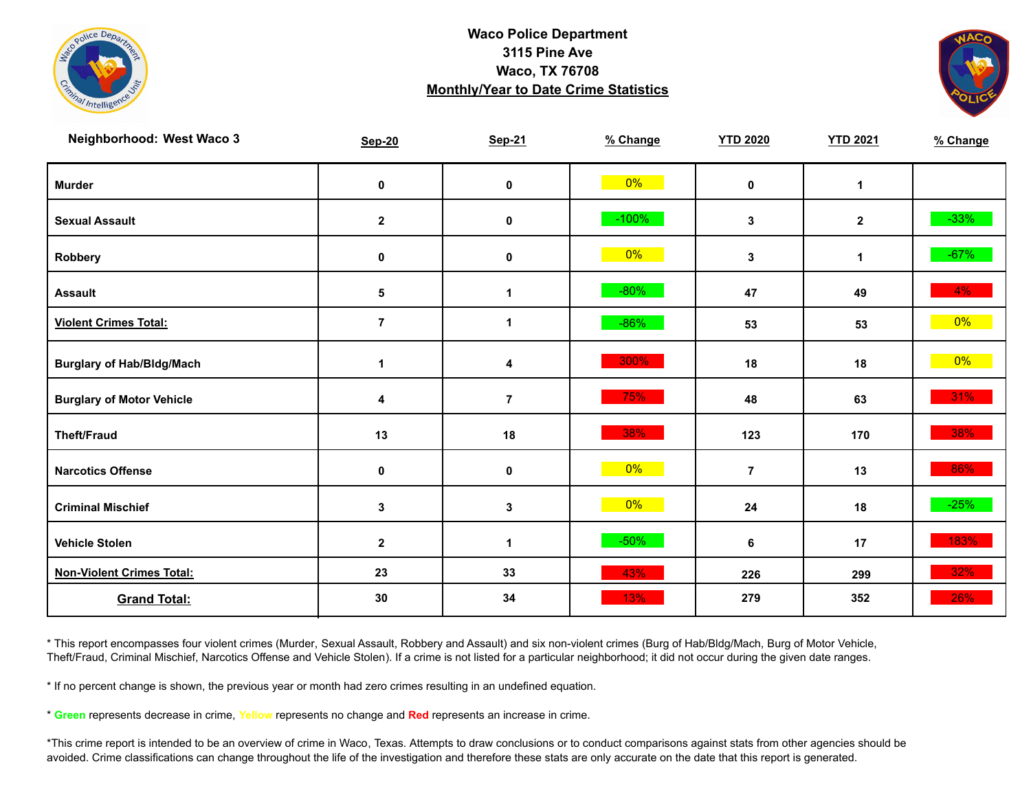



| Neighborhood: West Waco 3        | <b>Sep-20</b>  | <b>Sep-21</b>        | % Change | <b>YTD 2020</b> | <b>YTD 2021</b> | % Change |
|----------------------------------|----------------|----------------------|----------|-----------------|-----------------|----------|
| <b>Murder</b>                    | $\pmb{0}$      | $\mathbf 0$          | $0\%$    | $\mathbf 0$     | $\mathbf{1}$    |          |
| <b>Sexual Assault</b>            | $\mathbf{2}$   | 0                    | $-100%$  | $\mathbf{3}$    | $\overline{2}$  | $-33%$   |
| Robbery                          | 0              | 0                    | $0\%$    | $\mathbf{3}$    | $\mathbf{1}$    | $-67%$   |
| <b>Assault</b>                   | $\sqrt{5}$     | $\blacktriangleleft$ | $-80%$   | 47              | 49              | $4\%$    |
| <b>Violent Crimes Total:</b>     | $\overline{7}$ | 1                    | $-86%$   | 53              | 53              | $0\%$    |
| <b>Burglary of Hab/Bldg/Mach</b> | $\mathbf 1$    | 4                    | 300%     | 18              | 18              | $0\%$    |
| <b>Burglary of Motor Vehicle</b> | 4              | $\overline{7}$       | 75%      | 48              | 63              | $31\%$   |
| <b>Theft/Fraud</b>               | 13             | 18                   | 38%      | 123             | 170             | 38%      |
| <b>Narcotics Offense</b>         | 0              | 0                    | $0\%$    | $\overline{7}$  | 13              | 86%      |
| <b>Criminal Mischief</b>         | $\mathbf 3$    | $\mathbf{3}$         | $0\%$    | 24              | 18              | $-25%$   |
| <b>Vehicle Stolen</b>            | $\mathbf 2$    | 1                    | $-50%$   | 6               | 17              | 183%     |
| <b>Non-Violent Crimes Total:</b> | 23             | 33                   | 43%      | 226             | 299             | 32%      |
| <b>Grand Total:</b>              | 30             | 34                   | 13%      | 279             | 352             | 26%      |

\* This report encompasses four violent crimes (Murder, Sexual Assault, Robbery and Assault) and six non-violent crimes (Burg of Hab/Bldg/Mach, Burg of Motor Vehicle, Theft/Fraud, Criminal Mischief, Narcotics Offense and Vehicle Stolen). If a crime is not listed for a particular neighborhood; it did not occur during the given date ranges.

\* If no percent change is shown, the previous year or month had zero crimes resulting in an undefined equation.

\* **Green** represents decrease in crime, **Yellow** represents no change and **Red** represents an increase in crime.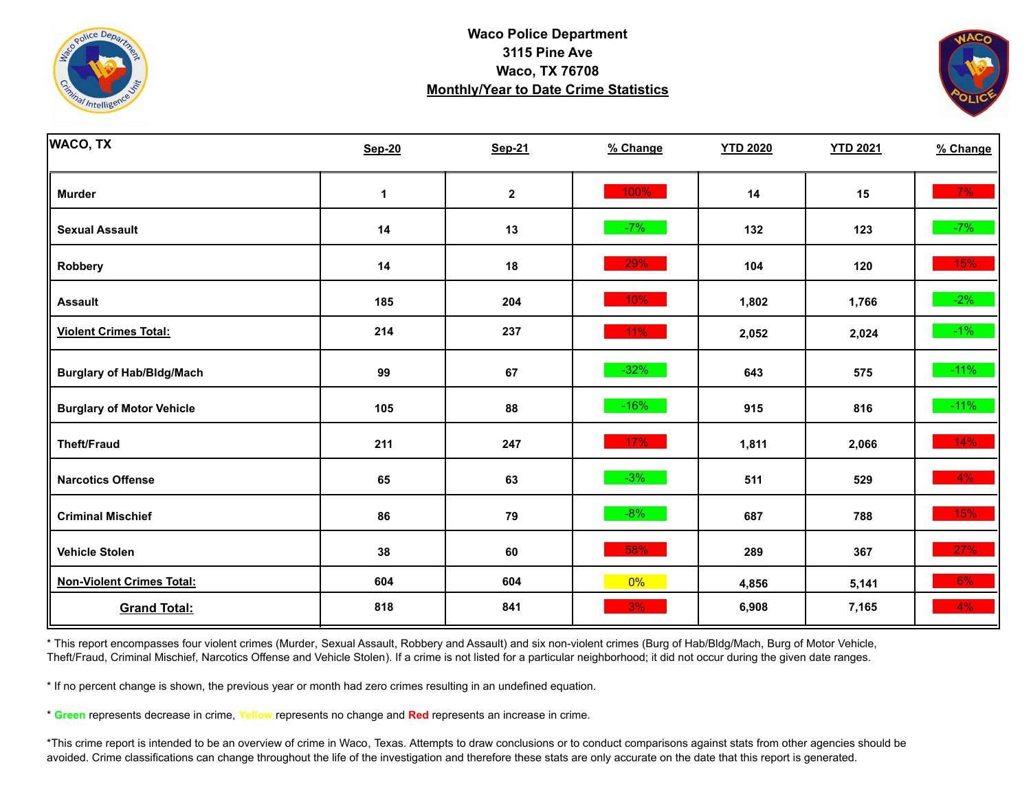



| <b>WACO, TX</b>                  | <b>Sep-20</b> | <b>Sep-21</b> | % Change | <b>YTD 2020</b> | <b>YTD 2021</b> | % Change |
|----------------------------------|---------------|---------------|----------|-----------------|-----------------|----------|
| <b>Murder</b>                    | 1             | $\mathbf 2$   | 100%     | 14              | 15              | 7%       |
| <b>Sexual Assault</b>            | 14            | 13            | $-7%$    | 132             | 123             | $-7%$    |
| <b>Robbery</b>                   | 14            | 18            | 29%      | 104             | 120             | 15%      |
| <b>Assault</b>                   | 185           | 204           | 10%      | 1,802           | 1,766           | $-2%$    |
| <b>Violent Crimes Total:</b>     | 214           | 237           | $11\%$   | 2,052           | 2,024           | $-1\%$   |
| <b>Burglary of Hab/Bldg/Mach</b> | 99            | 67            | $-32%$   | 643             | 575             | $-11%$   |
| <b>Burglary of Motor Vehicle</b> | 105           | 88            | $-16%$   | 915             | 816             | $-11%$   |
| <b>Theft/Fraud</b>               | 211           | 247           | 17%      | 1,811           | 2,066           | 14%      |
| <b>Narcotics Offense</b>         | 65            | 63            | $-3%$    | 511             | 529             | 4%       |
| <b>Criminal Mischief</b>         | 86            | 79            | $-8%$    | 687             | 788             | 15%      |
| <b>Vehicle Stolen</b>            | 38            | 60            | 58%      | 289             | 367             | 27%      |
| <b>Non-Violent Crimes Total:</b> | 604           | 604           | $0\%$    | 4,856           | 5,141           | 6%       |
| <b>Grand Total:</b>              | 818           | 841           | 3%       | 6,908           | 7,165           | 4%       |

\* This report encompasses four violent crimes (Murder, Sexual Assault, Robbery and Assault) and six non-violent crimes (Burg of Hab/Bldg/Mach, Burg of Motor Vehicle, Theft/Fraud, Criminal Mischief, Narcotics Offense and Vehicle Stolen). If a crime is not listed for a particular neighborhood; it did not occur during the given date ranges.

\* If no percent change is shown, the previous year or month had zero crimes resulting in an undefined equation.

\* **Green** represents decrease in crime, **Yellow** represents no change and **Red** represents an increase in crime.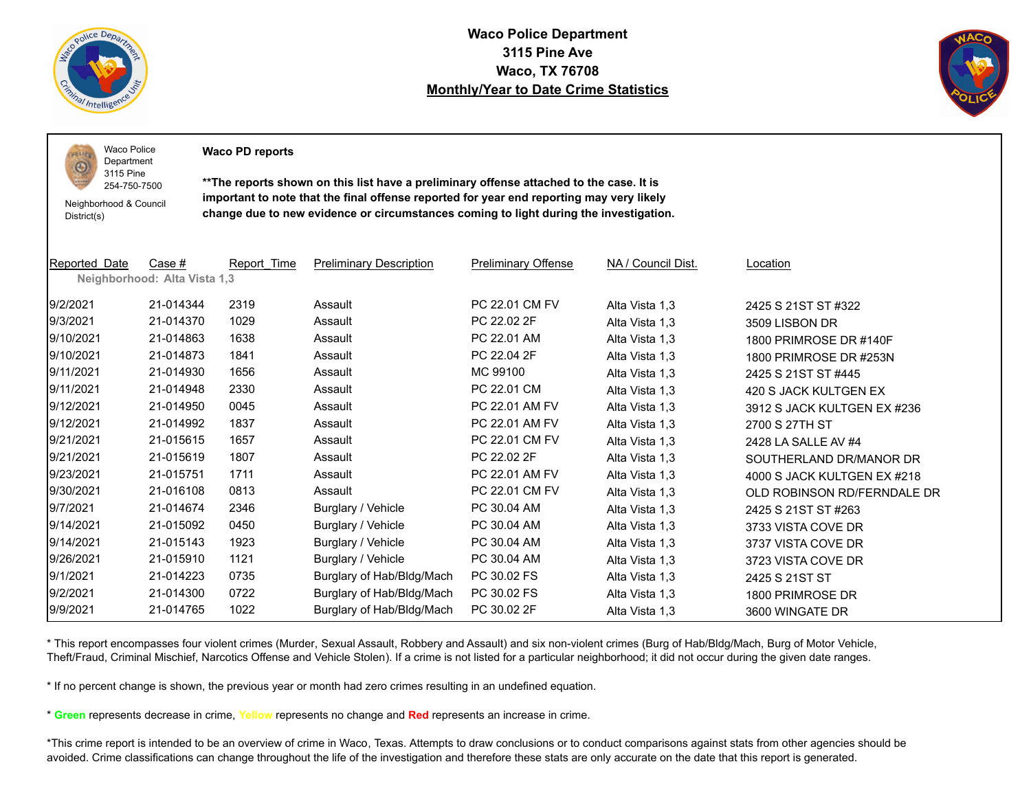

 $PQLI$ O

**Waco Police Department 3115 Pine Ave Waco, TX 76708 Monthly/Year to Date Crime Statistics**



Waco Police Department

**Waco PD reports**

Neighborhood & Council District(s)

3115 Pine 254-750-7500

**\*\*The reports shown on this list have a preliminary offense attached to the case. It is important to note that the final offense reported for year end reporting may very likely change due to new evidence or circumstances coming to light during the investigation.**

| Reported Date | Case #                       | Report Time | <b>Preliminary Description</b> | <b>Preliminary Offense</b> | NA / Council Dist. | Location                    |
|---------------|------------------------------|-------------|--------------------------------|----------------------------|--------------------|-----------------------------|
|               | Neighborhood: Alta Vista 1,3 |             |                                |                            |                    |                             |
| 9/2/2021      | 21-014344                    | 2319        | Assault                        | PC 22.01 CM FV             | Alta Vista 1,3     | 2425 S 21ST ST #322         |
| 9/3/2021      | 21-014370                    | 1029        | Assault                        | PC 22.02 2F                | Alta Vista 1,3     | 3509 LISBON DR              |
| 9/10/2021     | 21-014863                    | 1638        | Assault                        | PC 22.01 AM                | Alta Vista 1,3     | 1800 PRIMROSE DR #140F      |
| 9/10/2021     | 21-014873                    | 1841        | Assault                        | PC 22.04 2F                | Alta Vista 1,3     | 1800 PRIMROSE DR #253N      |
| 9/11/2021     | 21-014930                    | 1656        | Assault                        | MC 99100                   | Alta Vista 1,3     | 2425 S 21ST ST #445         |
| 9/11/2021     | 21-014948                    | 2330        | Assault                        | PC 22.01 CM                | Alta Vista 1,3     | 420 S JACK KULTGEN EX       |
| 9/12/2021     | 21-014950                    | 0045        | Assault                        | PC 22.01 AM FV             | Alta Vista 1,3     | 3912 S JACK KULTGEN EX #236 |
| 9/12/2021     | 21-014992                    | 1837        | Assault                        | PC 22.01 AM FV             | Alta Vista 1,3     | 2700 S 27TH ST              |
| 9/21/2021     | 21-015615                    | 1657        | Assault                        | PC 22.01 CM FV             | Alta Vista 1,3     | 2428 LA SALLE AV #4         |
| 9/21/2021     | 21-015619                    | 1807        | Assault                        | PC 22.02 2F                | Alta Vista 1,3     | SOUTHERLAND DR/MANOR DR     |
| 9/23/2021     | 21-015751                    | 1711        | Assault                        | PC 22.01 AM FV             | Alta Vista 1,3     | 4000 S JACK KULTGEN EX #218 |
| 9/30/2021     | 21-016108                    | 0813        | Assault                        | PC 22.01 CM FV             | Alta Vista 1,3     | OLD ROBINSON RD/FERNDALE DR |
| 9/7/2021      | 21-014674                    | 2346        | Burglary / Vehicle             | PC 30.04 AM                | Alta Vista 1,3     | 2425 S 21ST ST #263         |
| 9/14/2021     | 21-015092                    | 0450        | Burglary / Vehicle             | PC 30.04 AM                | Alta Vista 1,3     | 3733 VISTA COVE DR          |
| 9/14/2021     | 21-015143                    | 1923        | Burglary / Vehicle             | PC 30.04 AM                | Alta Vista 1,3     | 3737 VISTA COVE DR          |
| 9/26/2021     | 21-015910                    | 1121        | Burglary / Vehicle             | PC 30.04 AM                | Alta Vista 1,3     | 3723 VISTA COVE DR          |
| 9/1/2021      | 21-014223                    | 0735        | Burglary of Hab/Bldg/Mach      | PC 30.02 FS                | Alta Vista 1,3     | 2425 S 21ST ST              |
| 9/2/2021      | 21-014300                    | 0722        | Burglary of Hab/Bldg/Mach      | PC 30.02 FS                | Alta Vista 1,3     | 1800 PRIMROSE DR            |
| 9/9/2021      | 21-014765                    | 1022        | Burglary of Hab/Bldg/Mach      | PC 30.02 2F                | Alta Vista 1,3     | 3600 WINGATE DR             |

\* This report encompasses four violent crimes (Murder, Sexual Assault, Robbery and Assault) and six non-violent crimes (Burg of Hab/Bldg/Mach, Burg of Motor Vehicle, Theft/Fraud, Criminal Mischief, Narcotics Offense and Vehicle Stolen). If a crime is not listed for a particular neighborhood; it did not occur during the given date ranges.

\* If no percent change is shown, the previous year or month had zero crimes resulting in an undefined equation.

\* **Green** represents decrease in crime, **Yellow** represents no change and **Red** represents an increase in crime.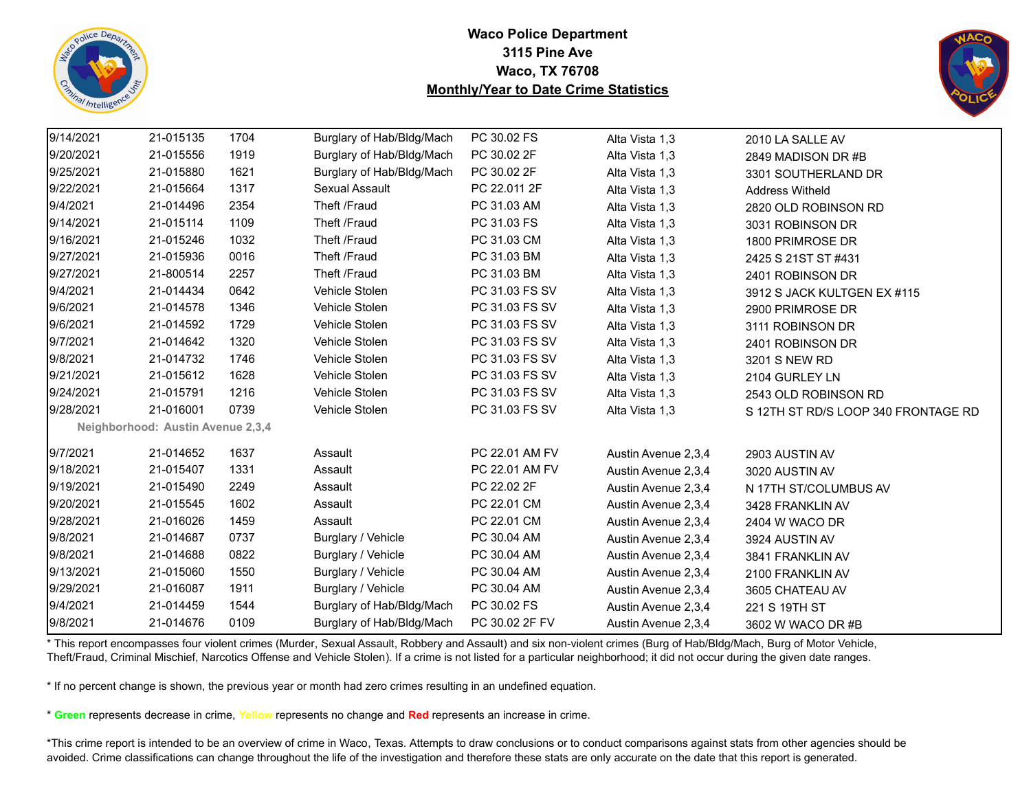



| 9/14/2021 | 21-015135                         | 1704 | Burglary of Hab/Bldg/Mach | PC 30.02 FS    | Alta Vista 1,3      | 2010 LA SALLE AV                    |
|-----------|-----------------------------------|------|---------------------------|----------------|---------------------|-------------------------------------|
| 9/20/2021 | 21-015556                         | 1919 | Burglary of Hab/Bldg/Mach | PC 30.02 2F    | Alta Vista 1,3      | 2849 MADISON DR #B                  |
| 9/25/2021 | 21-015880                         | 1621 | Burglary of Hab/Bldg/Mach | PC 30.02 2F    | Alta Vista 1,3      | 3301 SOUTHERLAND DR                 |
| 9/22/2021 | 21-015664                         | 1317 | Sexual Assault            | PC 22.011 2F   | Alta Vista 1,3      | <b>Address Witheld</b>              |
| 9/4/2021  | 21-014496                         | 2354 | Theft /Fraud              | PC 31.03 AM    | Alta Vista 1,3      | 2820 OLD ROBINSON RD                |
| 9/14/2021 | 21-015114                         | 1109 | Theft /Fraud              | PC 31.03 FS    | Alta Vista 1,3      | 3031 ROBINSON DR                    |
| 9/16/2021 | 21-015246                         | 1032 | Theft /Fraud              | PC 31.03 CM    | Alta Vista 1,3      | 1800 PRIMROSE DR                    |
| 9/27/2021 | 21-015936                         | 0016 | Theft /Fraud              | PC 31.03 BM    | Alta Vista 1,3      | 2425 S 21ST ST #431                 |
| 9/27/2021 | 21-800514                         | 2257 | Theft /Fraud              | PC 31.03 BM    | Alta Vista 1,3      | 2401 ROBINSON DR                    |
| 9/4/2021  | 21-014434                         | 0642 | Vehicle Stolen            | PC 31.03 FS SV | Alta Vista 1,3      | 3912 S JACK KULTGEN EX #115         |
| 9/6/2021  | 21-014578                         | 1346 | Vehicle Stolen            | PC 31.03 FS SV | Alta Vista 1,3      | 2900 PRIMROSE DR                    |
| 9/6/2021  | 21-014592                         | 1729 | Vehicle Stolen            | PC 31.03 FS SV | Alta Vista 1,3      | 3111 ROBINSON DR                    |
| 9/7/2021  | 21-014642                         | 1320 | Vehicle Stolen            | PC 31.03 FS SV | Alta Vista 1,3      | 2401 ROBINSON DR                    |
| 9/8/2021  | 21-014732                         | 1746 | Vehicle Stolen            | PC 31.03 FS SV | Alta Vista 1,3      | 3201 S NEW RD                       |
| 9/21/2021 | 21-015612                         | 1628 | Vehicle Stolen            | PC 31.03 FS SV | Alta Vista 1,3      | 2104 GURLEY LN                      |
| 9/24/2021 | 21-015791                         | 1216 | Vehicle Stolen            | PC 31.03 FS SV | Alta Vista 1,3      | 2543 OLD ROBINSON RD                |
| 9/28/2021 | 21-016001                         | 0739 | Vehicle Stolen            | PC 31.03 FS SV | Alta Vista 1,3      | S 12TH ST RD/S LOOP 340 FRONTAGE RD |
|           | Neighborhood: Austin Avenue 2,3,4 |      |                           |                |                     |                                     |
| 9/7/2021  | 21-014652                         | 1637 | Assault                   | PC 22.01 AM FV | Austin Avenue 2,3,4 | 2903 AUSTIN AV                      |
| 9/18/2021 | 21-015407                         | 1331 | Assault                   | PC 22.01 AM FV | Austin Avenue 2,3,4 | 3020 AUSTIN AV                      |
| 9/19/2021 | 21-015490                         | 2249 | Assault                   | PC 22.02 2F    | Austin Avenue 2,3,4 | N 17TH ST/COLUMBUS AV               |
| 9/20/2021 | 21-015545                         | 1602 | Assault                   | PC 22.01 CM    | Austin Avenue 2,3,4 | 3428 FRANKLIN AV                    |
| 9/28/2021 | 21-016026                         | 1459 | Assault                   | PC 22.01 CM    | Austin Avenue 2,3,4 | 2404 W WACO DR                      |
| 9/8/2021  | 21-014687                         | 0737 | Burglary / Vehicle        | PC 30.04 AM    | Austin Avenue 2,3,4 | 3924 AUSTIN AV                      |
| 9/8/2021  | 21-014688                         | 0822 | Burglary / Vehicle        | PC 30.04 AM    | Austin Avenue 2,3,4 | 3841 FRANKLIN AV                    |
| 9/13/2021 | 21-015060                         | 1550 | Burglary / Vehicle        | PC 30.04 AM    | Austin Avenue 2,3,4 | 2100 FRANKLIN AV                    |
| 9/29/2021 | 21-016087                         | 1911 | Burglary / Vehicle        | PC 30.04 AM    | Austin Avenue 2,3,4 | 3605 CHATEAU AV                     |
| 9/4/2021  | 21-014459                         | 1544 | Burglary of Hab/Bldg/Mach | PC 30.02 FS    | Austin Avenue 2,3,4 | 221 S 19TH ST                       |
| 9/8/2021  | 21-014676                         | 0109 | Burglary of Hab/Bldg/Mach | PC 30.02 2F FV | Austin Avenue 2,3,4 | 3602 W WACO DR #B                   |

\* This report encompasses four violent crimes (Murder, Sexual Assault, Robbery and Assault) and six non-violent crimes (Burg of Hab/Bldg/Mach, Burg of Motor Vehicle, Theft/Fraud, Criminal Mischief, Narcotics Offense and Vehicle Stolen). If a crime is not listed for a particular neighborhood; it did not occur during the given date ranges.

\* If no percent change is shown, the previous year or month had zero crimes resulting in an undefined equation.

\* **Green** represents decrease in crime, **Yellow** represents no change and **Red** represents an increase in crime.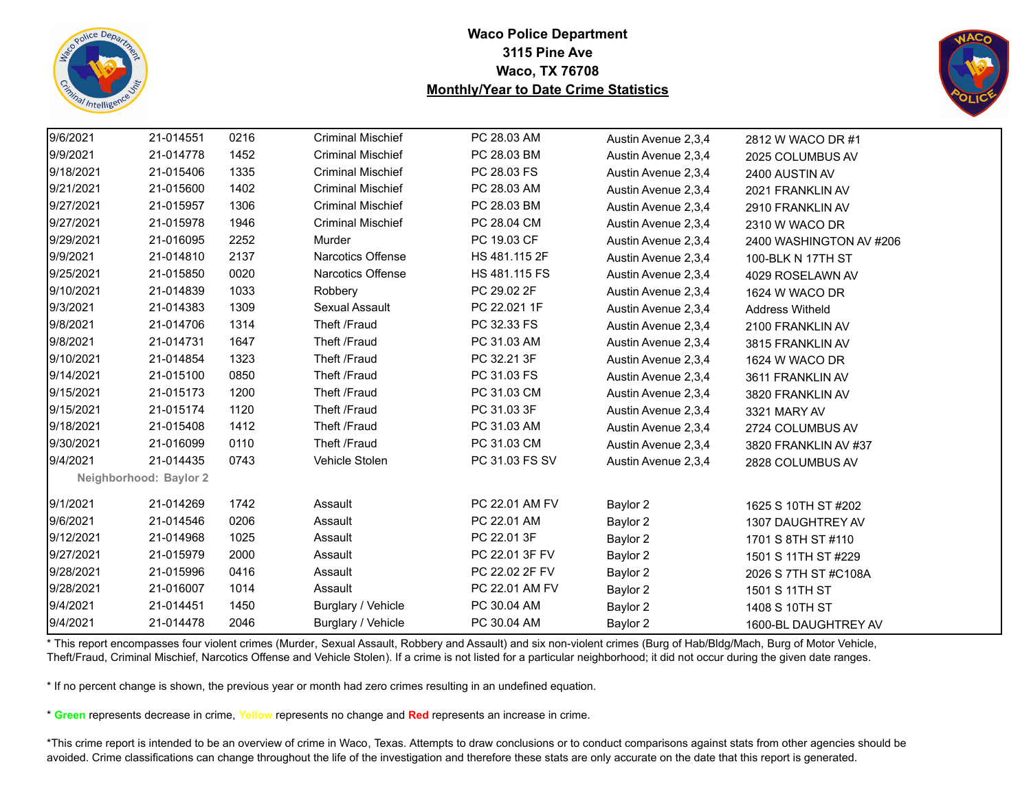



| 9/6/2021  | 21-014551              | 0216 | <b>Criminal Mischief</b> | PC 28.03 AM    | Austin Avenue 2,3,4 | 2812 W WACO DR #1       |  |
|-----------|------------------------|------|--------------------------|----------------|---------------------|-------------------------|--|
| 9/9/2021  | 21-014778              | 1452 | <b>Criminal Mischief</b> | PC 28.03 BM    | Austin Avenue 2,3,4 | 2025 COLUMBUS AV        |  |
| 9/18/2021 | 21-015406              | 1335 | <b>Criminal Mischief</b> | PC 28.03 FS    | Austin Avenue 2,3,4 | 2400 AUSTIN AV          |  |
| 9/21/2021 | 21-015600              | 1402 | <b>Criminal Mischief</b> | PC 28.03 AM    | Austin Avenue 2,3,4 | 2021 FRANKLIN AV        |  |
| 9/27/2021 | 21-015957              | 1306 | <b>Criminal Mischief</b> | PC 28.03 BM    | Austin Avenue 2,3,4 | 2910 FRANKLIN AV        |  |
| 9/27/2021 | 21-015978              | 1946 | <b>Criminal Mischief</b> | PC 28.04 CM    | Austin Avenue 2,3,4 | 2310 W WACO DR          |  |
| 9/29/2021 | 21-016095              | 2252 | Murder                   | PC 19.03 CF    | Austin Avenue 2,3,4 | 2400 WASHINGTON AV #206 |  |
| 9/9/2021  | 21-014810              | 2137 | Narcotics Offense        | HS 481.115 2F  | Austin Avenue 2,3,4 | 100-BLK N 17TH ST       |  |
| 9/25/2021 | 21-015850              | 0020 | Narcotics Offense        | HS 481.115 FS  | Austin Avenue 2,3,4 | 4029 ROSELAWN AV        |  |
| 9/10/2021 | 21-014839              | 1033 | Robbery                  | PC 29.02 2F    | Austin Avenue 2,3,4 | 1624 W WACO DR          |  |
| 9/3/2021  | 21-014383              | 1309 | Sexual Assault           | PC 22.021 1F   | Austin Avenue 2,3,4 | <b>Address Witheld</b>  |  |
| 9/8/2021  | 21-014706              | 1314 | Theft /Fraud             | PC 32.33 FS    | Austin Avenue 2,3,4 | 2100 FRANKLIN AV        |  |
| 9/8/2021  | 21-014731              | 1647 | Theft /Fraud             | PC 31.03 AM    | Austin Avenue 2,3,4 | 3815 FRANKLIN AV        |  |
| 9/10/2021 | 21-014854              | 1323 | Theft /Fraud             | PC 32.21 3F    | Austin Avenue 2,3,4 | 1624 W WACO DR          |  |
| 9/14/2021 | 21-015100              | 0850 | Theft /Fraud             | PC 31.03 FS    | Austin Avenue 2,3,4 | 3611 FRANKLIN AV        |  |
| 9/15/2021 | 21-015173              | 1200 | Theft /Fraud             | PC 31.03 CM    | Austin Avenue 2,3,4 | 3820 FRANKLIN AV        |  |
| 9/15/2021 | 21-015174              | 1120 | Theft /Fraud             | PC 31.03 3F    | Austin Avenue 2,3,4 | 3321 MARY AV            |  |
| 9/18/2021 | 21-015408              | 1412 | Theft /Fraud             | PC 31.03 AM    | Austin Avenue 2,3,4 | 2724 COLUMBUS AV        |  |
| 9/30/2021 | 21-016099              | 0110 | Theft /Fraud             | PC 31.03 CM    | Austin Avenue 2,3,4 | 3820 FRANKLIN AV #37    |  |
| 9/4/2021  | 21-014435              | 0743 | Vehicle Stolen           | PC 31.03 FS SV | Austin Avenue 2,3,4 | 2828 COLUMBUS AV        |  |
|           | Neighborhood: Baylor 2 |      |                          |                |                     |                         |  |
| 9/1/2021  | 21-014269              | 1742 | Assault                  | PC 22.01 AM FV | Baylor 2            | 1625 S 10TH ST #202     |  |
| 9/6/2021  | 21-014546              | 0206 | Assault                  | PC 22.01 AM    | Baylor 2            | 1307 DAUGHTREY AV       |  |
| 9/12/2021 | 21-014968              | 1025 | Assault                  | PC 22.01 3F    | Baylor 2            | 1701 S 8TH ST #110      |  |
| 9/27/2021 | 21-015979              | 2000 | Assault                  | PC 22.01 3F FV | Baylor 2            | 1501 S 11TH ST #229     |  |
| 9/28/2021 | 21-015996              | 0416 | Assault                  | PC 22.02 2F FV | Baylor 2            | 2026 S 7TH ST #C108A    |  |
| 9/28/2021 | 21-016007              | 1014 | Assault                  | PC 22.01 AM FV | Baylor 2            | 1501 S 11TH ST          |  |
| 9/4/2021  | 21-014451              | 1450 | Burglary / Vehicle       | PC 30.04 AM    | Baylor 2            | 1408 S 10TH ST          |  |
| 9/4/2021  | 21-014478              | 2046 | Burglary / Vehicle       | PC 30.04 AM    | Baylor 2            | 1600-BL DAUGHTREY AV    |  |

\* This report encompasses four violent crimes (Murder, Sexual Assault, Robbery and Assault) and six non-violent crimes (Burg of Hab/Bldg/Mach, Burg of Motor Vehicle, Theft/Fraud, Criminal Mischief, Narcotics Offense and Vehicle Stolen). If a crime is not listed for a particular neighborhood; it did not occur during the given date ranges.

\* If no percent change is shown, the previous year or month had zero crimes resulting in an undefined equation.

\* **Green** represents decrease in crime, **Yellow** represents no change and **Red** represents an increase in crime.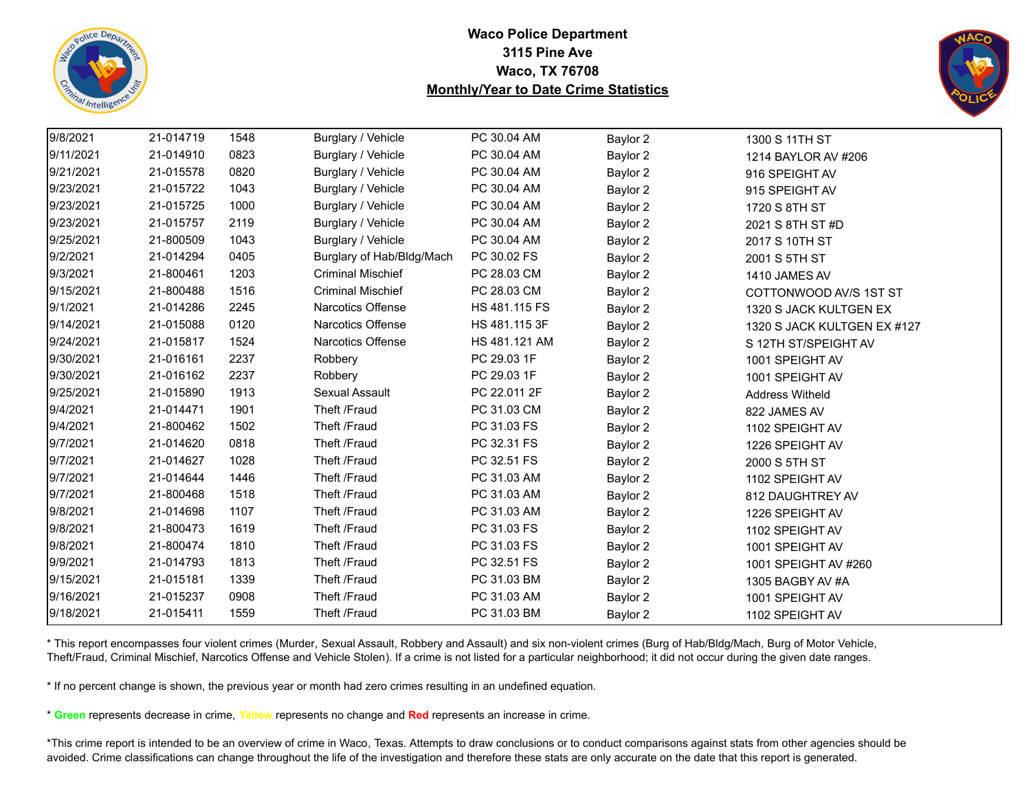



| 9/8/2021  | 21-014719 | 1548 | Burglary / Vehicle        | PC 30.04 AM   | Baylor 2 | 1300 S 11TH ST              |
|-----------|-----------|------|---------------------------|---------------|----------|-----------------------------|
| 9/11/2021 | 21-014910 | 0823 | Burglary / Vehicle        | PC 30.04 AM   | Baylor 2 | 1214 BAYLOR AV #206         |
| 9/21/2021 | 21-015578 | 0820 | Burglary / Vehicle        | PC 30.04 AM   | Baylor 2 | 916 SPEIGHT AV              |
| 9/23/2021 | 21-015722 | 1043 | Burglary / Vehicle        | PC 30.04 AM   | Baylor 2 | 915 SPEIGHT AV              |
| 9/23/2021 | 21-015725 | 1000 | Burglary / Vehicle        | PC 30.04 AM   | Baylor 2 | 1720 S 8TH ST               |
| 9/23/2021 | 21-015757 | 2119 | Burglary / Vehicle        | PC 30.04 AM   | Baylor 2 | 2021 S 8TH ST #D            |
| 9/25/2021 | 21-800509 | 1043 | Burglary / Vehicle        | PC 30.04 AM   | Baylor 2 | 2017 S 10TH ST              |
| 9/2/2021  | 21-014294 | 0405 | Burglary of Hab/Bldg/Mach | PC 30.02 FS   | Baylor 2 | 2001 S 5TH ST               |
| 9/3/2021  | 21-800461 | 1203 | <b>Criminal Mischief</b>  | PC 28.03 CM   | Baylor 2 | 1410 JAMES AV               |
| 9/15/2021 | 21-800488 | 1516 | <b>Criminal Mischief</b>  | PC 28.03 CM   | Baylor 2 | COTTONWOOD AV/S 1ST ST      |
| 9/1/2021  | 21-014286 | 2245 | Narcotics Offense         | HS 481.115 FS | Baylor 2 | 1320 S JACK KULTGEN EX      |
| 9/14/2021 | 21-015088 | 0120 | Narcotics Offense         | HS 481.115 3F | Baylor 2 | 1320 S JACK KULTGEN EX #127 |
| 9/24/2021 | 21-015817 | 1524 | <b>Narcotics Offense</b>  | HS 481.121 AM | Baylor 2 | S 12TH ST/SPEIGHT AV        |
| 9/30/2021 | 21-016161 | 2237 | Robbery                   | PC 29.03 1F   | Baylor 2 | 1001 SPEIGHT AV             |
| 9/30/2021 | 21-016162 | 2237 | Robbery                   | PC 29.03 1F   | Baylor 2 | 1001 SPEIGHT AV             |
| 9/25/2021 | 21-015890 | 1913 | Sexual Assault            | PC 22.011 2F  | Baylor 2 | <b>Address Witheld</b>      |
| 9/4/2021  | 21-014471 | 1901 | Theft /Fraud              | PC 31.03 CM   | Baylor 2 | 822 JAMES AV                |
| 9/4/2021  | 21-800462 | 1502 | Theft /Fraud              | PC 31.03 FS   | Baylor 2 | 1102 SPEIGHT AV             |
| 9/7/2021  | 21-014620 | 0818 | Theft /Fraud              | PC 32.31 FS   | Baylor 2 | 1226 SPEIGHT AV             |
| 9/7/2021  | 21-014627 | 1028 | Theft /Fraud              | PC 32.51 FS   | Baylor 2 | 2000 S 5TH ST               |
| 9/7/2021  | 21-014644 | 1446 | Theft /Fraud              | PC 31.03 AM   | Baylor 2 | 1102 SPEIGHT AV             |
| 9/7/2021  | 21-800468 | 1518 | Theft /Fraud              | PC 31.03 AM   | Baylor 2 | 812 DAUGHTREY AV            |
| 9/8/2021  | 21-014698 | 1107 | Theft /Fraud              | PC 31.03 AM   | Baylor 2 | 1226 SPEIGHT AV             |
| 9/8/2021  | 21-800473 | 1619 | Theft /Fraud              | PC 31.03 FS   | Baylor 2 | 1102 SPEIGHT AV             |
| 9/8/2021  | 21-800474 | 1810 | Theft /Fraud              | PC 31.03 FS   | Baylor 2 | 1001 SPEIGHT AV             |
| 9/9/2021  | 21-014793 | 1813 | Theft /Fraud              | PC 32.51 FS   | Baylor 2 | 1001 SPEIGHT AV #260        |
| 9/15/2021 | 21-015181 | 1339 | Theft /Fraud              | PC 31.03 BM   | Baylor 2 | 1305 BAGBY AV #A            |
| 9/16/2021 | 21-015237 | 0908 | Theft /Fraud              | PC 31.03 AM   | Baylor 2 | 1001 SPEIGHT AV             |
| 9/18/2021 | 21-015411 | 1559 | Theft /Fraud              | PC 31.03 BM   | Baylor 2 | 1102 SPEIGHT AV             |

\* This report encompasses four violent crimes (Murder, Sexual Assault, Robbery and Assault) and six non-violent crimes (Burg of Hab/Bldg/Mach, Burg of Motor Vehicle, Theft/Fraud, Criminal Mischief, Narcotics Offense and Vehicle Stolen). If a crime is not listed for a particular neighborhood; it did not occur during the given date ranges.

\* If no percent change is shown, the previous year or month had zero crimes resulting in an undefined equation.

\* **Green** represents decrease in crime, **Yellow** represents no change and **Red** represents an increase in crime.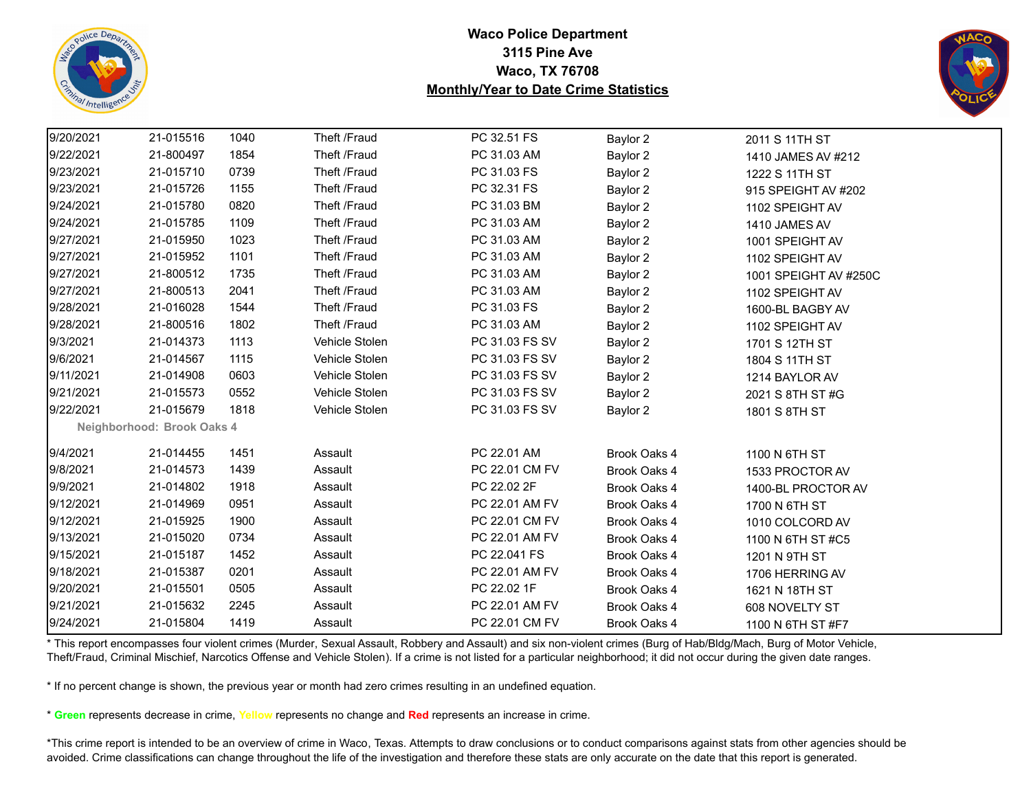



| 9/20/2021 | 21-015516                  | 1040 | Theft /Fraud   | PC 32.51 FS    | Baylor 2     | 2011 S 11TH ST        |  |
|-----------|----------------------------|------|----------------|----------------|--------------|-----------------------|--|
| 9/22/2021 | 21-800497                  | 1854 | Theft /Fraud   | PC 31.03 AM    | Baylor 2     | 1410 JAMES AV #212    |  |
| 9/23/2021 | 21-015710                  | 0739 | Theft /Fraud   | PC 31.03 FS    | Baylor 2     | 1222 S 11TH ST        |  |
| 9/23/2021 | 21-015726                  | 1155 | Theft /Fraud   | PC 32.31 FS    | Baylor 2     | 915 SPEIGHT AV #202   |  |
| 9/24/2021 | 21-015780                  | 0820 | Theft /Fraud   | PC 31.03 BM    | Baylor 2     | 1102 SPEIGHT AV       |  |
| 9/24/2021 | 21-015785                  | 1109 | Theft /Fraud   | PC 31.03 AM    | Baylor 2     | 1410 JAMES AV         |  |
| 9/27/2021 | 21-015950                  | 1023 | Theft /Fraud   | PC 31.03 AM    | Baylor 2     | 1001 SPEIGHT AV       |  |
| 9/27/2021 | 21-015952                  | 1101 | Theft /Fraud   | PC 31.03 AM    | Baylor 2     | 1102 SPEIGHT AV       |  |
| 9/27/2021 | 21-800512                  | 1735 | Theft /Fraud   | PC 31.03 AM    | Baylor 2     | 1001 SPEIGHT AV #250C |  |
| 9/27/2021 | 21-800513                  | 2041 | Theft /Fraud   | PC 31.03 AM    | Baylor 2     | 1102 SPEIGHT AV       |  |
| 9/28/2021 | 21-016028                  | 1544 | Theft /Fraud   | PC 31.03 FS    | Baylor 2     | 1600-BL BAGBY AV      |  |
| 9/28/2021 | 21-800516                  | 1802 | Theft /Fraud   | PC 31.03 AM    | Baylor 2     | 1102 SPEIGHT AV       |  |
| 9/3/2021  | 21-014373                  | 1113 | Vehicle Stolen | PC 31.03 FS SV | Baylor 2     | 1701 S 12TH ST        |  |
| 9/6/2021  | 21-014567                  | 1115 | Vehicle Stolen | PC 31.03 FS SV | Baylor 2     | 1804 S 11TH ST        |  |
| 9/11/2021 | 21-014908                  | 0603 | Vehicle Stolen | PC 31.03 FS SV | Baylor 2     | 1214 BAYLOR AV        |  |
| 9/21/2021 | 21-015573                  | 0552 | Vehicle Stolen | PC 31.03 FS SV | Baylor 2     | 2021 S 8TH ST #G      |  |
| 9/22/2021 | 21-015679                  | 1818 | Vehicle Stolen | PC 31.03 FS SV | Baylor 2     | 1801 S 8TH ST         |  |
|           | Neighborhood: Brook Oaks 4 |      |                |                |              |                       |  |
| 9/4/2021  | 21-014455                  | 1451 | Assault        | PC 22.01 AM    | Brook Oaks 4 | 1100 N 6TH ST         |  |
| 9/8/2021  | 21-014573                  | 1439 | Assault        | PC 22.01 CM FV | Brook Oaks 4 | 1533 PROCTOR AV       |  |
| 9/9/2021  | 21-014802                  | 1918 | Assault        | PC 22.02 2F    | Brook Oaks 4 | 1400-BL PROCTOR AV    |  |
| 9/12/2021 | 21-014969                  | 0951 | Assault        | PC 22.01 AM FV | Brook Oaks 4 | 1700 N 6TH ST         |  |
| 9/12/2021 | 21-015925                  | 1900 | Assault        | PC 22.01 CM FV | Brook Oaks 4 | 1010 COLCORD AV       |  |
| 9/13/2021 | 21-015020                  | 0734 | Assault        | PC 22.01 AM FV | Brook Oaks 4 | 1100 N 6TH ST #C5     |  |
| 9/15/2021 | 21-015187                  | 1452 | Assault        | PC 22.041 FS   | Brook Oaks 4 | 1201 N 9TH ST         |  |
| 9/18/2021 | 21-015387                  | 0201 | Assault        | PC 22.01 AM FV | Brook Oaks 4 | 1706 HERRING AV       |  |
| 9/20/2021 | 21-015501                  | 0505 | Assault        | PC 22.02 1F    | Brook Oaks 4 | 1621 N 18TH ST        |  |
| 9/21/2021 | 21-015632                  | 2245 | Assault        | PC 22.01 AM FV | Brook Oaks 4 | 608 NOVELTY ST        |  |
| 9/24/2021 | 21-015804                  | 1419 | Assault        | PC 22.01 CM FV | Brook Oaks 4 | 1100 N 6TH ST #F7     |  |

\* This report encompasses four violent crimes (Murder, Sexual Assault, Robbery and Assault) and six non-violent crimes (Burg of Hab/Bldg/Mach, Burg of Motor Vehicle, Theft/Fraud, Criminal Mischief, Narcotics Offense and Vehicle Stolen). If a crime is not listed for a particular neighborhood; it did not occur during the given date ranges.

\* If no percent change is shown, the previous year or month had zero crimes resulting in an undefined equation.

\* **Green** represents decrease in crime, **Yellow** represents no change and **Red** represents an increase in crime.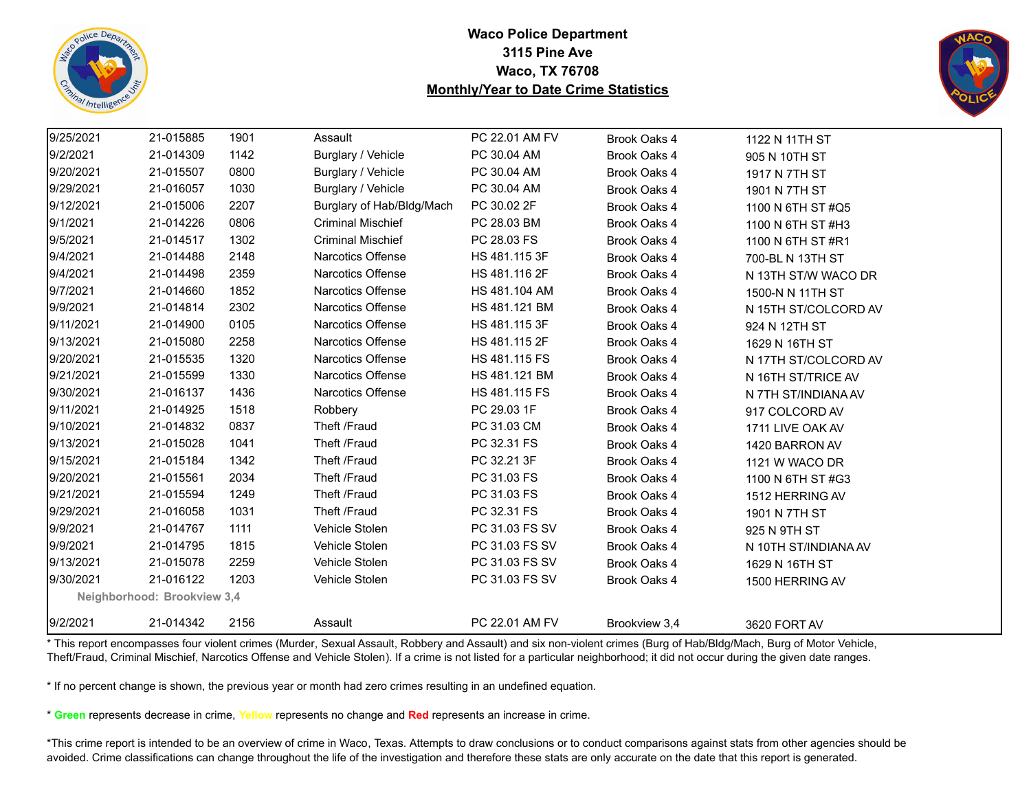



| 9/25/2021 | 21-015885                   | 1901 | Assault                   | PC 22.01 AM FV | Brook Oaks 4  | 1122 N 11TH ST       |
|-----------|-----------------------------|------|---------------------------|----------------|---------------|----------------------|
| 9/2/2021  | 21-014309                   | 1142 | Burglary / Vehicle        | PC 30.04 AM    | Brook Oaks 4  | 905 N 10TH ST        |
| 9/20/2021 | 21-015507                   | 0800 | Burglary / Vehicle        | PC 30.04 AM    | Brook Oaks 4  | 1917 N 7TH ST        |
| 9/29/2021 | 21-016057                   | 1030 | Burglary / Vehicle        | PC 30.04 AM    | Brook Oaks 4  | 1901 N 7TH ST        |
| 9/12/2021 | 21-015006                   | 2207 | Burglary of Hab/Bldg/Mach | PC 30.02 2F    | Brook Oaks 4  | 1100 N 6TH ST #Q5    |
| 9/1/2021  | 21-014226                   | 0806 | <b>Criminal Mischief</b>  | PC 28.03 BM    | Brook Oaks 4  | 1100 N 6TH ST #H3    |
| 9/5/2021  | 21-014517                   | 1302 | <b>Criminal Mischief</b>  | PC 28.03 FS    | Brook Oaks 4  | 1100 N 6TH ST #R1    |
| 9/4/2021  | 21-014488                   | 2148 | Narcotics Offense         | HS 481.115 3F  | Brook Oaks 4  | 700-BL N 13TH ST     |
| 9/4/2021  | 21-014498                   | 2359 | Narcotics Offense         | HS 481.116 2F  | Brook Oaks 4  | N 13TH ST/W WACO DR  |
| 9/7/2021  | 21-014660                   | 1852 | Narcotics Offense         | HS 481.104 AM  | Brook Oaks 4  | 1500-N N 11TH ST     |
| 9/9/2021  | 21-014814                   | 2302 | Narcotics Offense         | HS 481.121 BM  | Brook Oaks 4  | N 15TH ST/COLCORD AV |
| 9/11/2021 | 21-014900                   | 0105 | <b>Narcotics Offense</b>  | HS 481.115 3F  | Brook Oaks 4  | 924 N 12TH ST        |
| 9/13/2021 | 21-015080                   | 2258 | Narcotics Offense         | HS 481.115 2F  | Brook Oaks 4  | 1629 N 16TH ST       |
| 9/20/2021 | 21-015535                   | 1320 | Narcotics Offense         | HS 481.115 FS  | Brook Oaks 4  | N 17TH ST/COLCORD AV |
| 9/21/2021 | 21-015599                   | 1330 | Narcotics Offense         | HS 481.121 BM  | Brook Oaks 4  | N 16TH ST/TRICE AV   |
| 9/30/2021 | 21-016137                   | 1436 | <b>Narcotics Offense</b>  | HS 481.115 FS  | Brook Oaks 4  | N 7TH ST/INDIANA AV  |
| 9/11/2021 | 21-014925                   | 1518 | Robbery                   | PC 29.03 1F    | Brook Oaks 4  | 917 COLCORD AV       |
| 9/10/2021 | 21-014832                   | 0837 | Theft /Fraud              | PC 31.03 CM    | Brook Oaks 4  | 1711 LIVE OAK AV     |
| 9/13/2021 | 21-015028                   | 1041 | Theft /Fraud              | PC 32.31 FS    | Brook Oaks 4  | 1420 BARRON AV       |
| 9/15/2021 | 21-015184                   | 1342 | Theft /Fraud              | PC 32.21 3F    | Brook Oaks 4  | 1121 W WACO DR       |
| 9/20/2021 | 21-015561                   | 2034 | Theft /Fraud              | PC 31.03 FS    | Brook Oaks 4  | 1100 N 6TH ST #G3    |
| 9/21/2021 | 21-015594                   | 1249 | Theft /Fraud              | PC 31.03 FS    | Brook Oaks 4  | 1512 HERRING AV      |
| 9/29/2021 | 21-016058                   | 1031 | Theft /Fraud              | PC 32.31 FS    | Brook Oaks 4  | 1901 N 7TH ST        |
| 9/9/2021  | 21-014767                   | 1111 | Vehicle Stolen            | PC 31.03 FS SV | Brook Oaks 4  | 925 N 9TH ST         |
| 9/9/2021  | 21-014795                   | 1815 | Vehicle Stolen            | PC 31.03 FS SV | Brook Oaks 4  | N 10TH ST/INDIANA AV |
| 9/13/2021 | 21-015078                   | 2259 | Vehicle Stolen            | PC 31.03 FS SV | Brook Oaks 4  | 1629 N 16TH ST       |
| 9/30/2021 | 21-016122                   | 1203 | Vehicle Stolen            | PC 31.03 FS SV | Brook Oaks 4  | 1500 HERRING AV      |
|           | Neighborhood: Brookview 3,4 |      |                           |                |               |                      |
| 9/2/2021  | 21-014342                   | 2156 | Assault                   | PC 22.01 AM FV | Brookview 3,4 | 3620 FORT AV         |

\* This report encompasses four violent crimes (Murder, Sexual Assault, Robbery and Assault) and six non-violent crimes (Burg of Hab/Bldg/Mach, Burg of Motor Vehicle, Theft/Fraud, Criminal Mischief, Narcotics Offense and Vehicle Stolen). If a crime is not listed for a particular neighborhood; it did not occur during the given date ranges.

\* If no percent change is shown, the previous year or month had zero crimes resulting in an undefined equation.

\* **Green** represents decrease in crime, **Yellow** represents no change and **Red** represents an increase in crime.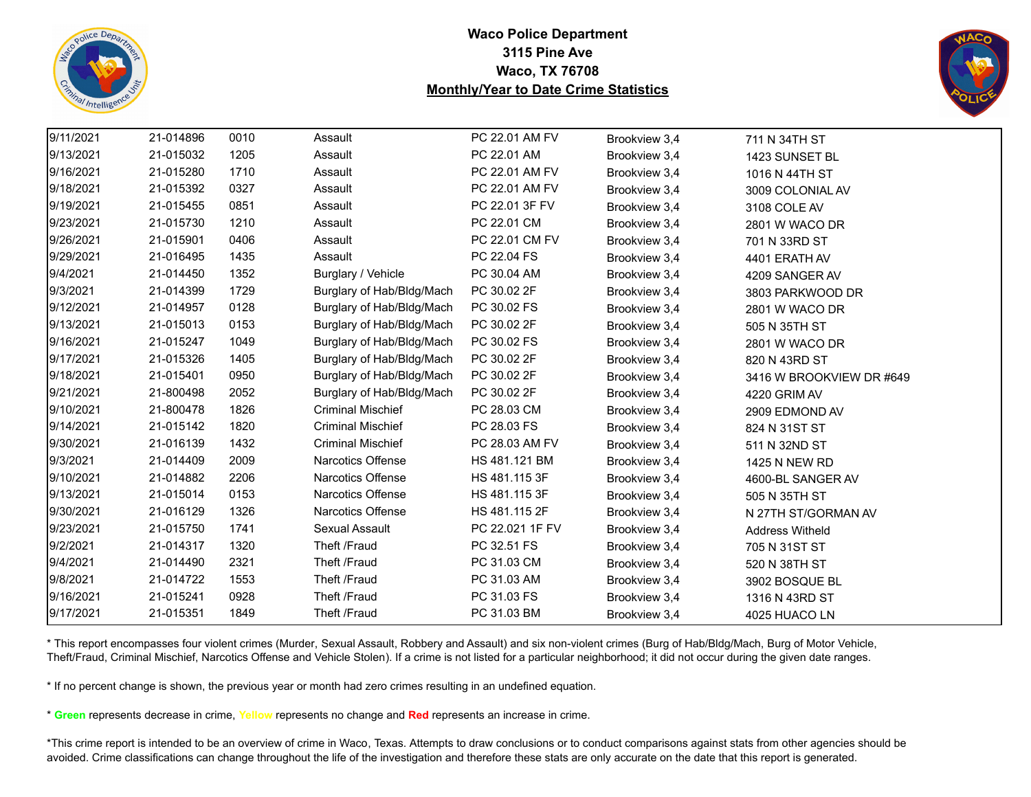



| 9/11/2021 | 21-014896 | 0010 | Assault                   | PC 22.01 AM FV  | Brookview 3,4 | 711 N 34TH ST            |
|-----------|-----------|------|---------------------------|-----------------|---------------|--------------------------|
| 9/13/2021 | 21-015032 | 1205 | Assault                   | PC 22.01 AM     | Brookview 3,4 | 1423 SUNSET BL           |
| 9/16/2021 | 21-015280 | 1710 | Assault                   | PC 22.01 AM FV  | Brookview 3,4 | 1016 N 44TH ST           |
| 9/18/2021 | 21-015392 | 0327 | Assault                   | PC 22.01 AM FV  | Brookview 3,4 | 3009 COLONIAL AV         |
| 9/19/2021 | 21-015455 | 0851 | Assault                   | PC 22.01 3F FV  | Brookview 3,4 | 3108 COLE AV             |
| 9/23/2021 | 21-015730 | 1210 | Assault                   | PC 22.01 CM     | Brookview 3,4 | 2801 W WACO DR           |
| 9/26/2021 | 21-015901 | 0406 | Assault                   | PC 22.01 CM FV  | Brookview 3,4 | 701 N 33RD ST            |
| 9/29/2021 | 21-016495 | 1435 | Assault                   | PC 22.04 FS     | Brookview 3,4 | 4401 ERATH AV            |
| 9/4/2021  | 21-014450 | 1352 | Burglary / Vehicle        | PC 30.04 AM     | Brookview 3,4 | 4209 SANGER AV           |
| 9/3/2021  | 21-014399 | 1729 | Burglary of Hab/Bldg/Mach | PC 30.02 2F     | Brookview 3,4 | 3803 PARKWOOD DR         |
| 9/12/2021 | 21-014957 | 0128 | Burglary of Hab/Bldg/Mach | PC 30.02 FS     | Brookview 3,4 | 2801 W WACO DR           |
| 9/13/2021 | 21-015013 | 0153 | Burglary of Hab/Bldg/Mach | PC 30.02 2F     | Brookview 3,4 | 505 N 35TH ST            |
| 9/16/2021 | 21-015247 | 1049 | Burglary of Hab/Bldg/Mach | PC 30.02 FS     | Brookview 3,4 | 2801 W WACO DR           |
| 9/17/2021 | 21-015326 | 1405 | Burglary of Hab/Bldg/Mach | PC 30.02 2F     | Brookview 3,4 | 820 N 43RD ST            |
| 9/18/2021 | 21-015401 | 0950 | Burglary of Hab/Bldg/Mach | PC 30.02 2F     | Brookview 3,4 | 3416 W BROOKVIEW DR #649 |
| 9/21/2021 | 21-800498 | 2052 | Burglary of Hab/Bldg/Mach | PC 30.02 2F     | Brookview 3,4 | 4220 GRIM AV             |
| 9/10/2021 | 21-800478 | 1826 | <b>Criminal Mischief</b>  | PC 28.03 CM     | Brookview 3,4 | 2909 EDMOND AV           |
| 9/14/2021 | 21-015142 | 1820 | <b>Criminal Mischief</b>  | PC 28.03 FS     | Brookview 3,4 | 824 N 31ST ST            |
| 9/30/2021 | 21-016139 | 1432 | <b>Criminal Mischief</b>  | PC 28.03 AM FV  | Brookview 3,4 | 511 N 32ND ST            |
| 9/3/2021  | 21-014409 | 2009 | Narcotics Offense         | HS 481.121 BM   | Brookview 3,4 | <b>1425 N NEW RD</b>     |
| 9/10/2021 | 21-014882 | 2206 | Narcotics Offense         | HS 481.115 3F   | Brookview 3,4 | 4600-BL SANGER AV        |
| 9/13/2021 | 21-015014 | 0153 | Narcotics Offense         | HS 481.115 3F   | Brookview 3,4 | 505 N 35TH ST            |
| 9/30/2021 | 21-016129 | 1326 | Narcotics Offense         | HS 481.115 2F   | Brookview 3,4 | N 27TH ST/GORMAN AV      |
| 9/23/2021 | 21-015750 | 1741 | Sexual Assault            | PC 22.021 1F FV | Brookview 3,4 | <b>Address Witheld</b>   |
| 9/2/2021  | 21-014317 | 1320 | Theft /Fraud              | PC 32.51 FS     | Brookview 3,4 | 705 N 31ST ST            |
| 9/4/2021  | 21-014490 | 2321 | Theft /Fraud              | PC 31.03 CM     | Brookview 3,4 | 520 N 38TH ST            |
| 9/8/2021  | 21-014722 | 1553 | Theft /Fraud              | PC 31.03 AM     | Brookview 3,4 | 3902 BOSQUE BL           |
| 9/16/2021 | 21-015241 | 0928 | Theft /Fraud              | PC 31.03 FS     | Brookview 3,4 | 1316 N 43RD ST           |
| 9/17/2021 | 21-015351 | 1849 | Theft /Fraud              | PC 31.03 BM     | Brookview 3,4 | 4025 HUACO LN            |

\* This report encompasses four violent crimes (Murder, Sexual Assault, Robbery and Assault) and six non-violent crimes (Burg of Hab/Bldg/Mach, Burg of Motor Vehicle, Theft/Fraud, Criminal Mischief, Narcotics Offense and Vehicle Stolen). If a crime is not listed for a particular neighborhood; it did not occur during the given date ranges.

\* If no percent change is shown, the previous year or month had zero crimes resulting in an undefined equation.

\* **Green** represents decrease in crime, **Yellow** represents no change and **Red** represents an increase in crime.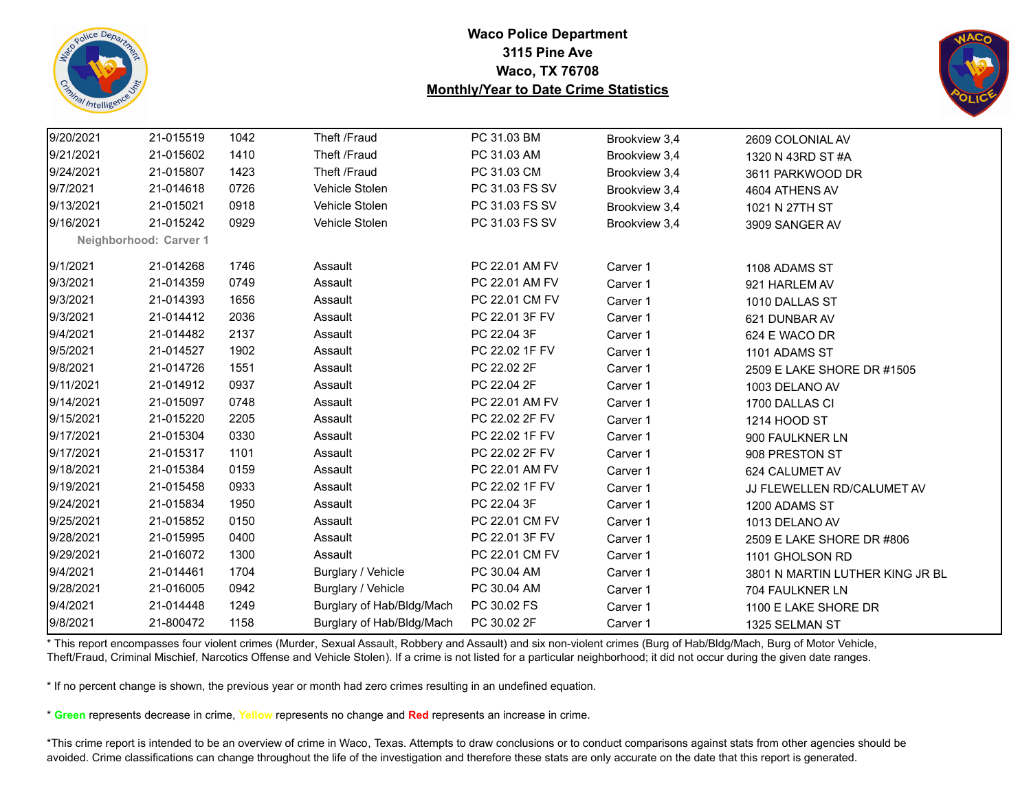



| 9/20/2021 | 21-015519              | 1042 | Theft /Fraud              | PC 31.03 BM    | Brookview 3,4 | 2609 COLONIAL AV                |
|-----------|------------------------|------|---------------------------|----------------|---------------|---------------------------------|
| 9/21/2021 | 21-015602              | 1410 | Theft /Fraud              | PC 31.03 AM    | Brookview 3,4 | 1320 N 43RD ST #A               |
| 9/24/2021 | 21-015807              | 1423 | Theft /Fraud              | PC 31.03 CM    | Brookview 3,4 | 3611 PARKWOOD DR                |
| 9/7/2021  | 21-014618              | 0726 | Vehicle Stolen            | PC 31.03 FS SV | Brookview 3,4 | 4604 ATHENS AV                  |
| 9/13/2021 | 21-015021              | 0918 | Vehicle Stolen            | PC 31.03 FS SV | Brookview 3,4 | 1021 N 27TH ST                  |
| 9/16/2021 | 21-015242              | 0929 | Vehicle Stolen            | PC 31.03 FS SV | Brookview 3,4 | 3909 SANGER AV                  |
|           | Neighborhood: Carver 1 |      |                           |                |               |                                 |
| 9/1/2021  | 21-014268              | 1746 | Assault                   | PC 22.01 AM FV | Carver 1      | 1108 ADAMS ST                   |
| 9/3/2021  | 21-014359              | 0749 | Assault                   | PC 22.01 AM FV | Carver 1      | 921 HARLEM AV                   |
| 9/3/2021  | 21-014393              | 1656 | Assault                   | PC 22.01 CM FV | Carver 1      | 1010 DALLAS ST                  |
| 9/3/2021  | 21-014412              | 2036 | Assault                   | PC 22.01 3F FV | Carver 1      | 621 DUNBAR AV                   |
| 9/4/2021  | 21-014482              | 2137 | Assault                   | PC 22.04 3F    | Carver 1      | 624 E WACO DR                   |
| 9/5/2021  | 21-014527              | 1902 | Assault                   | PC 22.02 1F FV | Carver 1      | 1101 ADAMS ST                   |
| 9/8/2021  | 21-014726              | 1551 | Assault                   | PC 22.02 2F    | Carver 1      | 2509 E LAKE SHORE DR #1505      |
| 9/11/2021 | 21-014912              | 0937 | Assault                   | PC 22.04 2F    | Carver 1      | 1003 DELANO AV                  |
| 9/14/2021 | 21-015097              | 0748 | Assault                   | PC 22.01 AM FV | Carver 1      | 1700 DALLAS CI                  |
| 9/15/2021 | 21-015220              | 2205 | Assault                   | PC 22.02 2F FV | Carver 1      | 1214 HOOD ST                    |
| 9/17/2021 | 21-015304              | 0330 | Assault                   | PC 22.02 1F FV | Carver 1      | 900 FAULKNER LN                 |
| 9/17/2021 | 21-015317              | 1101 | Assault                   | PC 22.02 2F FV | Carver 1      | 908 PRESTON ST                  |
| 9/18/2021 | 21-015384              | 0159 | Assault                   | PC 22.01 AM FV | Carver 1      | 624 CALUMET AV                  |
| 9/19/2021 | 21-015458              | 0933 | Assault                   | PC 22.02 1F FV | Carver 1      | JJ FLEWELLEN RD/CALUMET AV      |
| 9/24/2021 | 21-015834              | 1950 | Assault                   | PC 22.04 3F    | Carver 1      | 1200 ADAMS ST                   |
| 9/25/2021 | 21-015852              | 0150 | Assault                   | PC 22.01 CM FV | Carver 1      | 1013 DELANO AV                  |
| 9/28/2021 | 21-015995              | 0400 | Assault                   | PC 22.01 3F FV | Carver 1      | 2509 E LAKE SHORE DR #806       |
| 9/29/2021 | 21-016072              | 1300 | Assault                   | PC 22.01 CM FV | Carver 1      | 1101 GHOLSON RD                 |
| 9/4/2021  | 21-014461              | 1704 | Burglary / Vehicle        | PC 30.04 AM    | Carver 1      | 3801 N MARTIN LUTHER KING JR BL |
| 9/28/2021 | 21-016005              | 0942 | Burglary / Vehicle        | PC 30.04 AM    | Carver 1      | 704 FAULKNER LN                 |
| 9/4/2021  | 21-014448              | 1249 | Burglary of Hab/Bldg/Mach | PC 30.02 FS    | Carver 1      | 1100 E LAKE SHORE DR            |
| 9/8/2021  | 21-800472              | 1158 | Burglary of Hab/Bldg/Mach | PC 30.02 2F    | Carver 1      | 1325 SELMAN ST                  |

\* This report encompasses four violent crimes (Murder, Sexual Assault, Robbery and Assault) and six non-violent crimes (Burg of Hab/Bldg/Mach, Burg of Motor Vehicle, Theft/Fraud, Criminal Mischief, Narcotics Offense and Vehicle Stolen). If a crime is not listed for a particular neighborhood; it did not occur during the given date ranges.

\* If no percent change is shown, the previous year or month had zero crimes resulting in an undefined equation.

\* **Green** represents decrease in crime, **Yellow** represents no change and **Red** represents an increase in crime.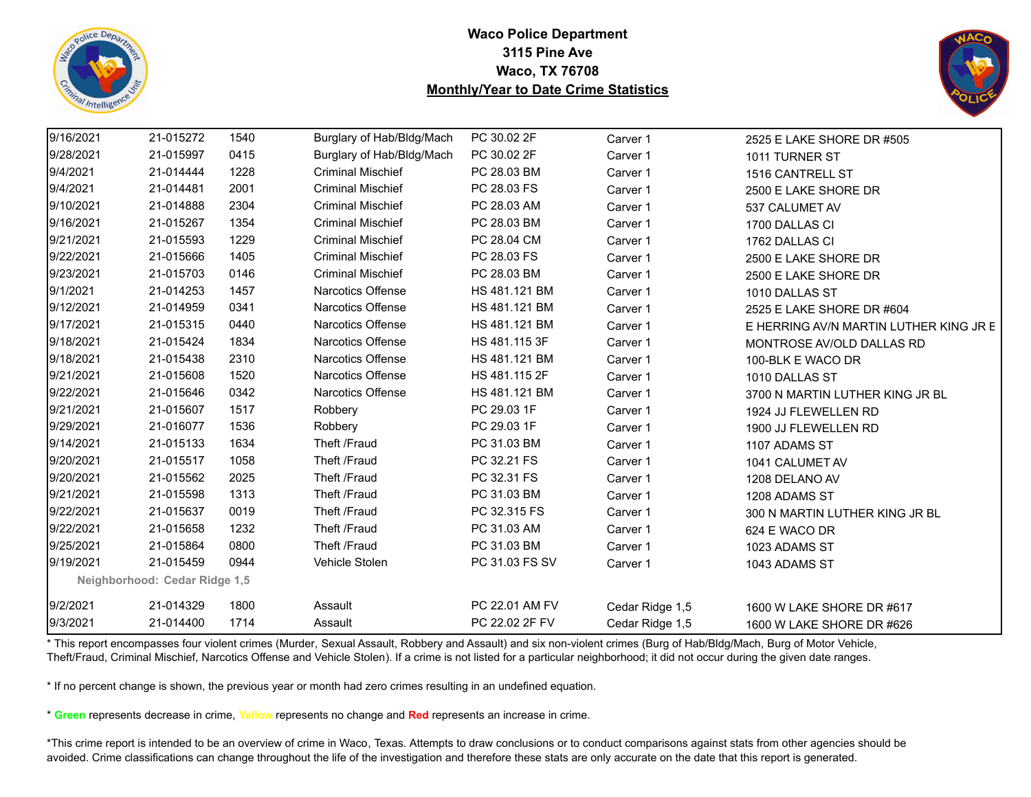



| 9/16/2021 | 21-015272                     | 1540 | Burglary of Hab/Bldg/Mach | PC 30.02 2F    | Carver 1        | 2525 E LAKE SHORE DR #505              |
|-----------|-------------------------------|------|---------------------------|----------------|-----------------|----------------------------------------|
| 9/28/2021 | 21-015997                     | 0415 | Burglary of Hab/Bldg/Mach | PC 30.02 2F    | Carver 1        | 1011 TURNER ST                         |
| 9/4/2021  | 21-014444                     | 1228 | <b>Criminal Mischief</b>  | PC 28.03 BM    | Carver 1        | 1516 CANTRELL ST                       |
| 9/4/2021  | 21-014481                     | 2001 | <b>Criminal Mischief</b>  | PC 28.03 FS    | Carver 1        | 2500 E LAKE SHORE DR                   |
| 9/10/2021 | 21-014888                     | 2304 | <b>Criminal Mischief</b>  | PC 28.03 AM    | Carver 1        | 537 CALUMET AV                         |
| 9/16/2021 | 21-015267                     | 1354 | <b>Criminal Mischief</b>  | PC 28.03 BM    | Carver 1        | 1700 DALLAS CI                         |
| 9/21/2021 | 21-015593                     | 1229 | <b>Criminal Mischief</b>  | PC 28.04 CM    | Carver 1        | 1762 DALLAS CI                         |
| 9/22/2021 | 21-015666                     | 1405 | <b>Criminal Mischief</b>  | PC 28.03 FS    | Carver 1        | 2500 E LAKE SHORE DR                   |
| 9/23/2021 | 21-015703                     | 0146 | <b>Criminal Mischief</b>  | PC 28.03 BM    | Carver 1        | 2500 E LAKE SHORE DR                   |
| 9/1/2021  | 21-014253                     | 1457 | Narcotics Offense         | HS 481.121 BM  | Carver 1        | 1010 DALLAS ST                         |
| 9/12/2021 | 21-014959                     | 0341 | <b>Narcotics Offense</b>  | HS 481.121 BM  | Carver 1        | 2525 E LAKE SHORE DR #604              |
| 9/17/2021 | 21-015315                     | 0440 | Narcotics Offense         | HS 481.121 BM  | Carver 1        | E HERRING AV/N MARTIN LUTHER KING JR E |
| 9/18/2021 | 21-015424                     | 1834 | Narcotics Offense         | HS 481.115 3F  | Carver 1        | MONTROSE AV/OLD DALLAS RD              |
| 9/18/2021 | 21-015438                     | 2310 | Narcotics Offense         | HS 481.121 BM  | Carver 1        | 100-BLK E WACO DR                      |
| 9/21/2021 | 21-015608                     | 1520 | Narcotics Offense         | HS 481.115 2F  | Carver 1        | 1010 DALLAS ST                         |
| 9/22/2021 | 21-015646                     | 0342 | Narcotics Offense         | HS 481.121 BM  | Carver 1        | 3700 N MARTIN LUTHER KING JR BL        |
| 9/21/2021 | 21-015607                     | 1517 | Robbery                   | PC 29.03 1F    | Carver 1        | 1924 JJ FLEWELLEN RD                   |
| 9/29/2021 | 21-016077                     | 1536 | Robbery                   | PC 29.03 1F    | Carver 1        | 1900 JJ FLEWELLEN RD                   |
| 9/14/2021 | 21-015133                     | 1634 | Theft /Fraud              | PC 31.03 BM    | Carver 1        | 1107 ADAMS ST                          |
| 9/20/2021 | 21-015517                     | 1058 | Theft /Fraud              | PC 32.21 FS    | Carver 1        | 1041 CALUMET AV                        |
| 9/20/2021 | 21-015562                     | 2025 | Theft /Fraud              | PC 32.31 FS    | Carver 1        | 1208 DELANO AV                         |
| 9/21/2021 | 21-015598                     | 1313 | Theft /Fraud              | PC 31.03 BM    | Carver 1        | 1208 ADAMS ST                          |
| 9/22/2021 | 21-015637                     | 0019 | Theft /Fraud              | PC 32.315 FS   | Carver 1        | 300 N MARTIN LUTHER KING JR BL         |
| 9/22/2021 | 21-015658                     | 1232 | Theft /Fraud              | PC 31.03 AM    | Carver 1        | 624 E WACO DR                          |
| 9/25/2021 | 21-015864                     | 0800 | Theft /Fraud              | PC 31.03 BM    | Carver 1        | 1023 ADAMS ST                          |
| 9/19/2021 | 21-015459                     | 0944 | Vehicle Stolen            | PC 31.03 FS SV | Carver 1        | 1043 ADAMS ST                          |
|           | Neighborhood: Cedar Ridge 1,5 |      |                           |                |                 |                                        |
| 9/2/2021  | 21-014329                     | 1800 | Assault                   | PC 22.01 AM FV | Cedar Ridge 1,5 | 1600 W LAKE SHORE DR #617              |
| 9/3/2021  | 21-014400                     | 1714 | Assault                   | PC 22.02 2F FV | Cedar Ridge 1,5 | 1600 W LAKE SHORE DR #626              |

\* This report encompasses four violent crimes (Murder, Sexual Assault, Robbery and Assault) and six non-violent crimes (Burg of Hab/Bldg/Mach, Burg of Motor Vehicle, Theft/Fraud, Criminal Mischief, Narcotics Offense and Vehicle Stolen). If a crime is not listed for a particular neighborhood; it did not occur during the given date ranges.

\* If no percent change is shown, the previous year or month had zero crimes resulting in an undefined equation.

\* **Green** represents decrease in crime, **Yellow** represents no change and **Red** represents an increase in crime.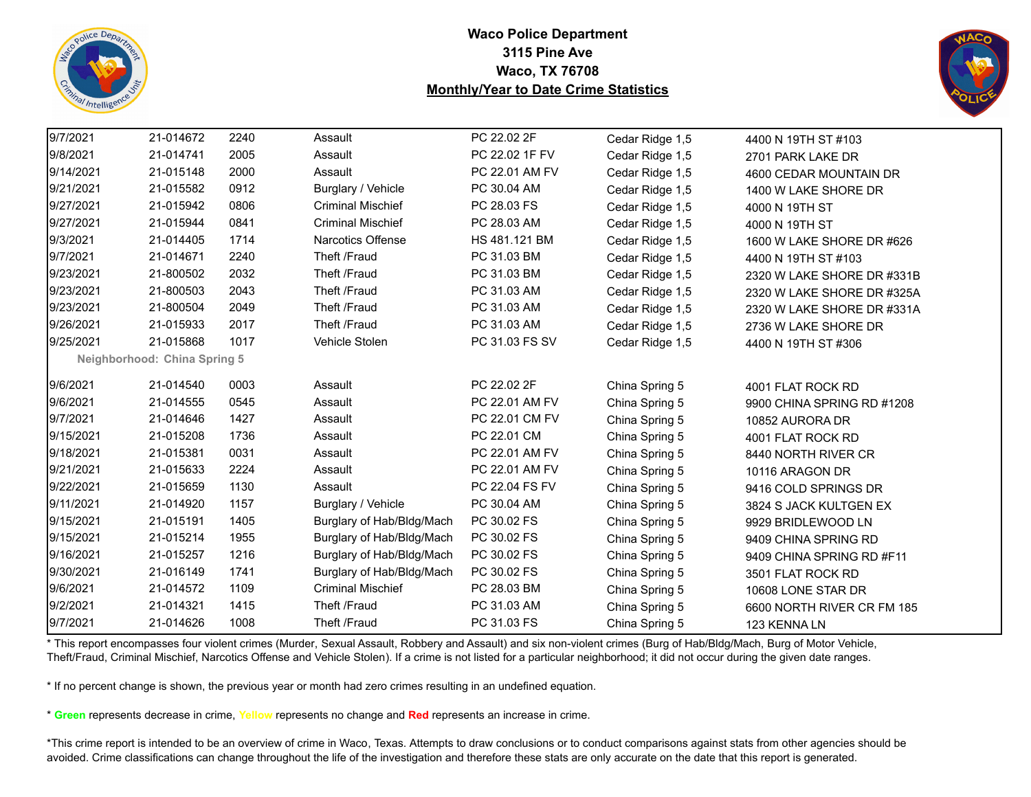



| 9/7/2021  | 21-014672                    | 2240 | Assault                   | PC 22.02 2F    | Cedar Ridge 1,5 | 4400 N 19TH ST #103        |
|-----------|------------------------------|------|---------------------------|----------------|-----------------|----------------------------|
| 9/8/2021  | 21-014741                    | 2005 | Assault                   | PC 22.02 1F FV | Cedar Ridge 1,5 | 2701 PARK LAKE DR          |
| 9/14/2021 | 21-015148                    | 2000 | Assault                   | PC 22.01 AM FV | Cedar Ridge 1,5 | 4600 CEDAR MOUNTAIN DR     |
| 9/21/2021 | 21-015582                    | 0912 | Burglary / Vehicle        | PC 30.04 AM    | Cedar Ridge 1,5 | 1400 W LAKE SHORE DR       |
| 9/27/2021 | 21-015942                    | 0806 | <b>Criminal Mischief</b>  | PC 28.03 FS    | Cedar Ridge 1,5 | 4000 N 19TH ST             |
| 9/27/2021 | 21-015944                    | 0841 | <b>Criminal Mischief</b>  | PC 28.03 AM    | Cedar Ridge 1,5 | 4000 N 19TH ST             |
| 9/3/2021  | 21-014405                    | 1714 | <b>Narcotics Offense</b>  | HS 481.121 BM  | Cedar Ridge 1,5 | 1600 W LAKE SHORE DR #626  |
| 9/7/2021  | 21-014671                    | 2240 | Theft /Fraud              | PC 31.03 BM    | Cedar Ridge 1,5 | 4400 N 19TH ST #103        |
| 9/23/2021 | 21-800502                    | 2032 | Theft /Fraud              | PC 31.03 BM    | Cedar Ridge 1,5 | 2320 W LAKE SHORE DR #331B |
| 9/23/2021 | 21-800503                    | 2043 | Theft /Fraud              | PC 31.03 AM    | Cedar Ridge 1,5 | 2320 W LAKE SHORE DR #325A |
| 9/23/2021 | 21-800504                    | 2049 | Theft /Fraud              | PC 31.03 AM    | Cedar Ridge 1,5 | 2320 W LAKE SHORE DR #331A |
| 9/26/2021 | 21-015933                    | 2017 | Theft /Fraud              | PC 31.03 AM    | Cedar Ridge 1,5 | 2736 W LAKE SHORE DR       |
| 9/25/2021 | 21-015868                    | 1017 | Vehicle Stolen            | PC 31.03 FS SV | Cedar Ridge 1,5 | 4400 N 19TH ST #306        |
|           | Neighborhood: China Spring 5 |      |                           |                |                 |                            |
| 9/6/2021  | 21-014540                    | 0003 | Assault                   | PC 22.02 2F    | China Spring 5  | 4001 FLAT ROCK RD          |
| 9/6/2021  | 21-014555                    | 0545 | Assault                   | PC 22.01 AM FV | China Spring 5  | 9900 CHINA SPRING RD #1208 |
| 9/7/2021  | 21-014646                    | 1427 | Assault                   | PC 22.01 CM FV | China Spring 5  | 10852 AURORA DR            |
| 9/15/2021 | 21-015208                    | 1736 | Assault                   | PC 22.01 CM    | China Spring 5  | 4001 FLAT ROCK RD          |
| 9/18/2021 | 21-015381                    | 0031 | Assault                   | PC 22.01 AM FV | China Spring 5  | 8440 NORTH RIVER CR        |
| 9/21/2021 | 21-015633                    | 2224 | Assault                   | PC 22.01 AM FV | China Spring 5  | 10116 ARAGON DR            |
| 9/22/2021 | 21-015659                    | 1130 | Assault                   | PC 22.04 FS FV | China Spring 5  | 9416 COLD SPRINGS DR       |
| 9/11/2021 | 21-014920                    | 1157 | Burglary / Vehicle        | PC 30.04 AM    | China Spring 5  | 3824 S JACK KULTGEN EX     |
| 9/15/2021 | 21-015191                    | 1405 | Burglary of Hab/Bldg/Mach | PC 30.02 FS    | China Spring 5  | 9929 BRIDLEWOOD LN         |
| 9/15/2021 | 21-015214                    | 1955 | Burglary of Hab/Bldg/Mach | PC 30.02 FS    | China Spring 5  | 9409 CHINA SPRING RD       |
| 9/16/2021 | 21-015257                    | 1216 | Burglary of Hab/Bldg/Mach | PC 30.02 FS    | China Spring 5  | 9409 CHINA SPRING RD #F11  |
| 9/30/2021 | 21-016149                    | 1741 | Burglary of Hab/Bldg/Mach | PC 30.02 FS    | China Spring 5  | 3501 FLAT ROCK RD          |
| 9/6/2021  | 21-014572                    | 1109 | <b>Criminal Mischief</b>  | PC 28.03 BM    | China Spring 5  | 10608 LONE STAR DR         |
| 9/2/2021  | 21-014321                    | 1415 | Theft /Fraud              | PC 31.03 AM    | China Spring 5  | 6600 NORTH RIVER CR FM 185 |
| 9/7/2021  | 21-014626                    | 1008 | Theft /Fraud              | PC 31.03 FS    | China Spring 5  | 123 KENNA LN               |

\* This report encompasses four violent crimes (Murder, Sexual Assault, Robbery and Assault) and six non-violent crimes (Burg of Hab/Bldg/Mach, Burg of Motor Vehicle, Theft/Fraud, Criminal Mischief, Narcotics Offense and Vehicle Stolen). If a crime is not listed for a particular neighborhood; it did not occur during the given date ranges.

\* If no percent change is shown, the previous year or month had zero crimes resulting in an undefined equation.

\* **Green** represents decrease in crime, **Yellow** represents no change and **Red** represents an increase in crime.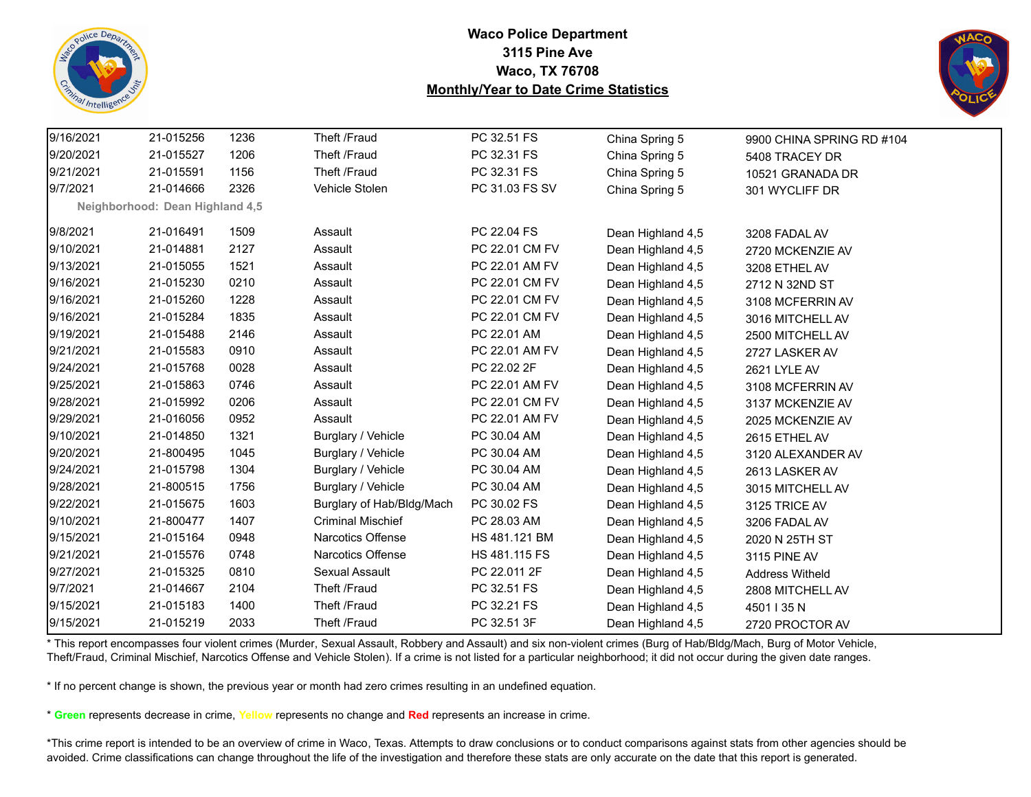



| 9/16/2021 | 21-015256                       | 1236 | Theft /Fraud              | PC 32.51 FS    | China Spring 5    | 9900 CHINA SPRING RD #104 |
|-----------|---------------------------------|------|---------------------------|----------------|-------------------|---------------------------|
| 9/20/2021 | 21-015527                       | 1206 | Theft /Fraud              | PC 32.31 FS    | China Spring 5    | 5408 TRACEY DR            |
| 9/21/2021 | 21-015591                       | 1156 | Theft /Fraud              | PC 32.31 FS    | China Spring 5    | 10521 GRANADA DR          |
| 9/7/2021  | 21-014666                       | 2326 | Vehicle Stolen            | PC 31.03 FS SV | China Spring 5    | 301 WYCLIFF DR            |
|           | Neighborhood: Dean Highland 4,5 |      |                           |                |                   |                           |
| 9/8/2021  | 21-016491                       | 1509 | Assault                   | PC 22.04 FS    | Dean Highland 4,5 | 3208 FADAL AV             |
| 9/10/2021 | 21-014881                       | 2127 | Assault                   | PC 22.01 CM FV | Dean Highland 4,5 | 2720 MCKENZIE AV          |
| 9/13/2021 | 21-015055                       | 1521 | Assault                   | PC 22.01 AM FV | Dean Highland 4,5 | 3208 ETHEL AV             |
| 9/16/2021 | 21-015230                       | 0210 | Assault                   | PC 22.01 CM FV | Dean Highland 4,5 | 2712 N 32ND ST            |
| 9/16/2021 | 21-015260                       | 1228 | Assault                   | PC 22.01 CM FV | Dean Highland 4,5 | 3108 MCFERRIN AV          |
| 9/16/2021 | 21-015284                       | 1835 | Assault                   | PC 22.01 CM FV | Dean Highland 4,5 | 3016 MITCHELL AV          |
| 9/19/2021 | 21-015488                       | 2146 | Assault                   | PC 22.01 AM    | Dean Highland 4,5 | 2500 MITCHELL AV          |
| 9/21/2021 | 21-015583                       | 0910 | Assault                   | PC 22.01 AM FV | Dean Highland 4,5 | 2727 LASKER AV            |
| 9/24/2021 | 21-015768                       | 0028 | Assault                   | PC 22.02 2F    | Dean Highland 4,5 | 2621 LYLE AV              |
| 9/25/2021 | 21-015863                       | 0746 | Assault                   | PC 22.01 AM FV | Dean Highland 4,5 | 3108 MCFERRIN AV          |
| 9/28/2021 | 21-015992                       | 0206 | Assault                   | PC 22.01 CM FV | Dean Highland 4,5 | 3137 MCKENZIE AV          |
| 9/29/2021 | 21-016056                       | 0952 | Assault                   | PC 22.01 AM FV | Dean Highland 4,5 | 2025 MCKENZIE AV          |
| 9/10/2021 | 21-014850                       | 1321 | Burglary / Vehicle        | PC 30.04 AM    | Dean Highland 4,5 | 2615 ETHEL AV             |
| 9/20/2021 | 21-800495                       | 1045 | Burglary / Vehicle        | PC 30.04 AM    | Dean Highland 4,5 | 3120 ALEXANDER AV         |
| 9/24/2021 | 21-015798                       | 1304 | Burglary / Vehicle        | PC 30.04 AM    | Dean Highland 4,5 | 2613 LASKER AV            |
| 9/28/2021 | 21-800515                       | 1756 | Burglary / Vehicle        | PC 30.04 AM    | Dean Highland 4,5 | 3015 MITCHELL AV          |
| 9/22/2021 | 21-015675                       | 1603 | Burglary of Hab/Bldg/Mach | PC 30.02 FS    | Dean Highland 4,5 | 3125 TRICE AV             |
| 9/10/2021 | 21-800477                       | 1407 | <b>Criminal Mischief</b>  | PC 28.03 AM    | Dean Highland 4,5 | 3206 FADAL AV             |
| 9/15/2021 | 21-015164                       | 0948 | <b>Narcotics Offense</b>  | HS 481.121 BM  | Dean Highland 4,5 | 2020 N 25TH ST            |
| 9/21/2021 | 21-015576                       | 0748 | Narcotics Offense         | HS 481.115 FS  | Dean Highland 4,5 | 3115 PINE AV              |
| 9/27/2021 | 21-015325                       | 0810 | Sexual Assault            | PC 22.011 2F   | Dean Highland 4,5 | <b>Address Witheld</b>    |
| 9/7/2021  | 21-014667                       | 2104 | Theft /Fraud              | PC 32.51 FS    | Dean Highland 4,5 | 2808 MITCHELL AV          |
| 9/15/2021 | 21-015183                       | 1400 | Theft /Fraud              | PC 32.21 FS    | Dean Highland 4,5 | 4501   35 N               |
| 9/15/2021 | 21-015219                       | 2033 | Theft /Fraud              | PC 32.51 3F    | Dean Highland 4,5 | 2720 PROCTOR AV           |
|           |                                 |      |                           |                |                   |                           |

\* This report encompasses four violent crimes (Murder, Sexual Assault, Robbery and Assault) and six non-violent crimes (Burg of Hab/Bldg/Mach, Burg of Motor Vehicle, Theft/Fraud, Criminal Mischief, Narcotics Offense and Vehicle Stolen). If a crime is not listed for a particular neighborhood; it did not occur during the given date ranges.

\* If no percent change is shown, the previous year or month had zero crimes resulting in an undefined equation.

\* **Green** represents decrease in crime, **Yellow** represents no change and **Red** represents an increase in crime.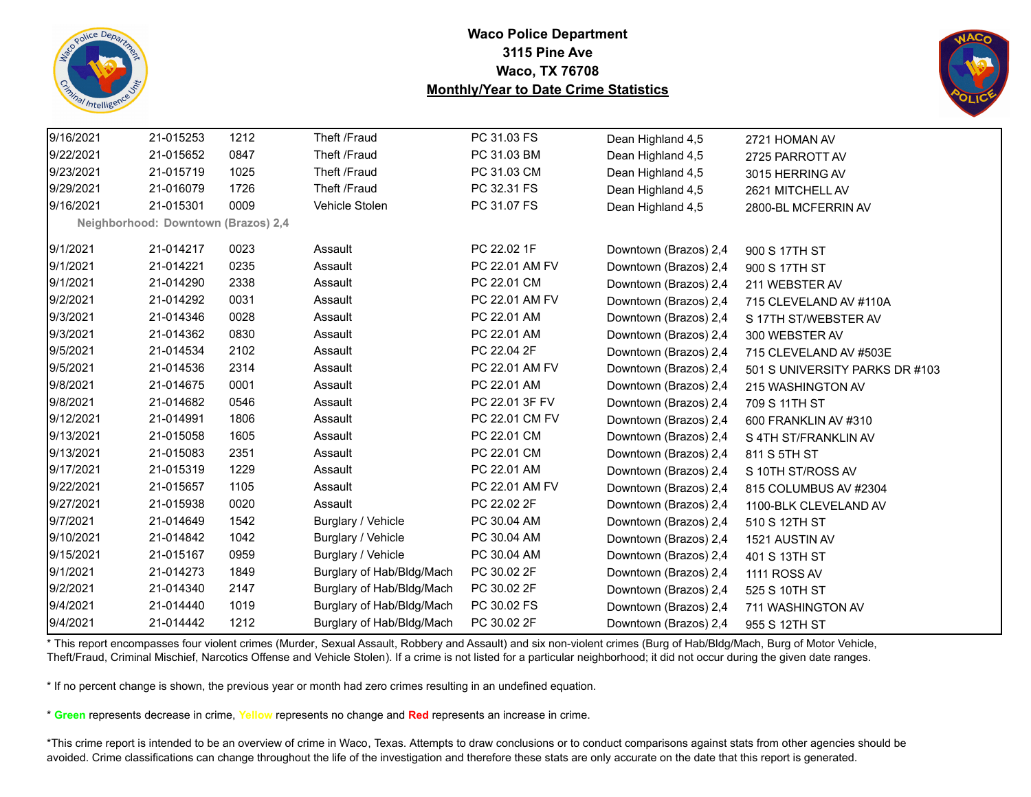



| 9/16/2021 | 21-015253                           | 1212 | Theft /Fraud              | PC 31.03 FS    | Dean Highland 4,5     | 2721 HOMAN AV                  |
|-----------|-------------------------------------|------|---------------------------|----------------|-----------------------|--------------------------------|
| 9/22/2021 | 21-015652                           | 0847 | Theft /Fraud              | PC 31.03 BM    | Dean Highland 4,5     | 2725 PARROTT AV                |
| 9/23/2021 | 21-015719                           | 1025 | Theft /Fraud              | PC 31.03 CM    | Dean Highland 4,5     | 3015 HERRING AV                |
| 9/29/2021 | 21-016079                           | 1726 | Theft /Fraud              | PC 32.31 FS    | Dean Highland 4,5     | 2621 MITCHELL AV               |
| 9/16/2021 | 21-015301                           | 0009 | Vehicle Stolen            | PC 31.07 FS    | Dean Highland 4,5     | 2800-BL MCFERRIN AV            |
|           | Neighborhood: Downtown (Brazos) 2,4 |      |                           |                |                       |                                |
| 9/1/2021  | 21-014217                           | 0023 | Assault                   | PC 22.02 1F    | Downtown (Brazos) 2,4 | 900 S 17TH ST                  |
| 9/1/2021  | 21-014221                           | 0235 | Assault                   | PC 22.01 AM FV | Downtown (Brazos) 2,4 | 900 S 17TH ST                  |
| 9/1/2021  | 21-014290                           | 2338 | Assault                   | PC 22.01 CM    | Downtown (Brazos) 2,4 | 211 WEBSTER AV                 |
| 9/2/2021  | 21-014292                           | 0031 | Assault                   | PC 22.01 AM FV | Downtown (Brazos) 2,4 | 715 CLEVELAND AV #110A         |
| 9/3/2021  | 21-014346                           | 0028 | Assault                   | PC 22.01 AM    | Downtown (Brazos) 2,4 | S 17TH ST/WEBSTER AV           |
| 9/3/2021  | 21-014362                           | 0830 | Assault                   | PC 22.01 AM    | Downtown (Brazos) 2,4 | 300 WEBSTER AV                 |
| 9/5/2021  | 21-014534                           | 2102 | Assault                   | PC 22.04 2F    | Downtown (Brazos) 2,4 | 715 CLEVELAND AV #503E         |
| 9/5/2021  | 21-014536                           | 2314 | Assault                   | PC 22.01 AM FV | Downtown (Brazos) 2,4 | 501 S UNIVERSITY PARKS DR #103 |
| 9/8/2021  | 21-014675                           | 0001 | Assault                   | PC 22.01 AM    | Downtown (Brazos) 2,4 | 215 WASHINGTON AV              |
| 9/8/2021  | 21-014682                           | 0546 | Assault                   | PC 22.01 3F FV | Downtown (Brazos) 2,4 | 709 S 11TH ST                  |
| 9/12/2021 | 21-014991                           | 1806 | Assault                   | PC 22.01 CM FV | Downtown (Brazos) 2,4 | 600 FRANKLIN AV #310           |
| 9/13/2021 | 21-015058                           | 1605 | Assault                   | PC 22.01 CM    | Downtown (Brazos) 2,4 | S 4TH ST/FRANKLIN AV           |
| 9/13/2021 | 21-015083                           | 2351 | Assault                   | PC 22.01 CM    | Downtown (Brazos) 2,4 | 811 S 5TH ST                   |
| 9/17/2021 | 21-015319                           | 1229 | Assault                   | PC 22.01 AM    | Downtown (Brazos) 2,4 | S 10TH ST/ROSS AV              |
| 9/22/2021 | 21-015657                           | 1105 | Assault                   | PC 22.01 AM FV | Downtown (Brazos) 2,4 | 815 COLUMBUS AV #2304          |
| 9/27/2021 | 21-015938                           | 0020 | Assault                   | PC 22.02 2F    | Downtown (Brazos) 2,4 | 1100-BLK CLEVELAND AV          |
| 9/7/2021  | 21-014649                           | 1542 | Burglary / Vehicle        | PC 30.04 AM    | Downtown (Brazos) 2,4 | 510 S 12TH ST                  |
| 9/10/2021 | 21-014842                           | 1042 | Burglary / Vehicle        | PC 30.04 AM    | Downtown (Brazos) 2,4 | 1521 AUSTIN AV                 |
| 9/15/2021 | 21-015167                           | 0959 | Burglary / Vehicle        | PC 30.04 AM    | Downtown (Brazos) 2,4 | 401 S 13TH ST                  |
| 9/1/2021  | 21-014273                           | 1849 | Burglary of Hab/Bldg/Mach | PC 30.02 2F    | Downtown (Brazos) 2,4 | <b>1111 ROSS AV</b>            |
| 9/2/2021  | 21-014340                           | 2147 | Burglary of Hab/Bldg/Mach | PC 30.02 2F    | Downtown (Brazos) 2,4 | 525 S 10TH ST                  |
| 9/4/2021  | 21-014440                           | 1019 | Burglary of Hab/Bldg/Mach | PC 30.02 FS    | Downtown (Brazos) 2,4 | 711 WASHINGTON AV              |
| 9/4/2021  | 21-014442                           | 1212 | Burglary of Hab/Bldg/Mach | PC 30.02 2F    | Downtown (Brazos) 2,4 | 955 S 12TH ST                  |

\* This report encompasses four violent crimes (Murder, Sexual Assault, Robbery and Assault) and six non-violent crimes (Burg of Hab/Bldg/Mach, Burg of Motor Vehicle, Theft/Fraud, Criminal Mischief, Narcotics Offense and Vehicle Stolen). If a crime is not listed for a particular neighborhood; it did not occur during the given date ranges.

\* If no percent change is shown, the previous year or month had zero crimes resulting in an undefined equation.

\* **Green** represents decrease in crime, **Yellow** represents no change and **Red** represents an increase in crime.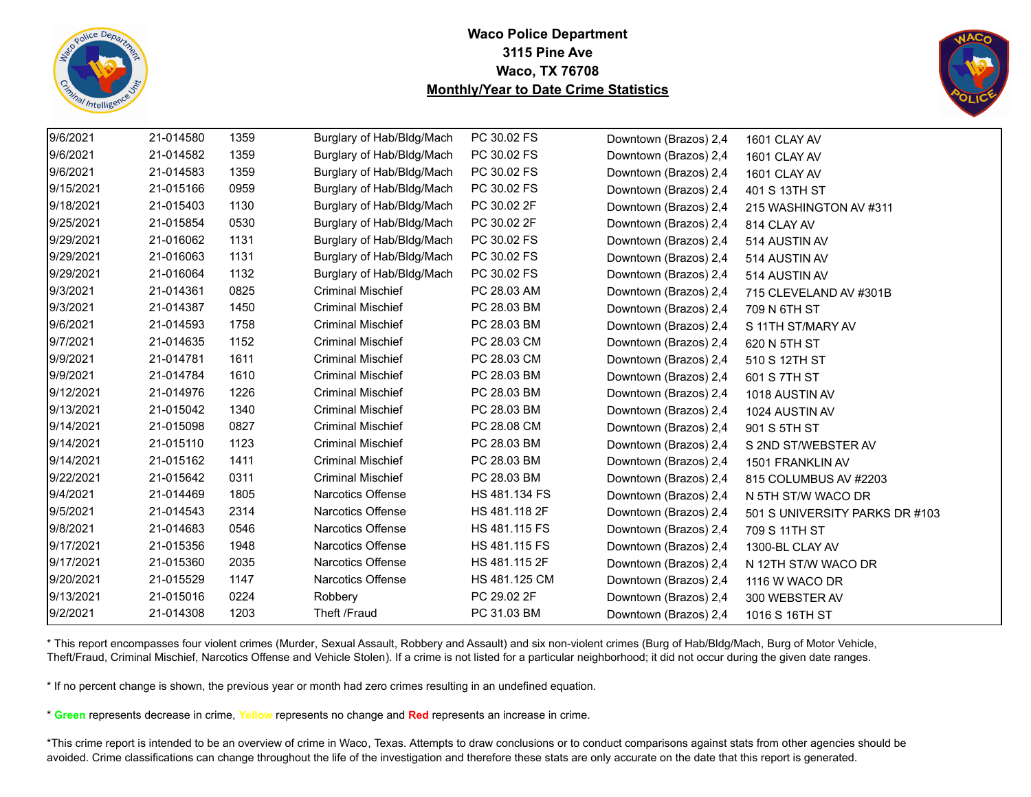



| 9/6/2021  | 21-014580 | 1359 | Burglary of Hab/Bldg/Mach | PC 30.02 FS   | Downtown (Brazos) 2,4 | 1601 CLAY AV                   |
|-----------|-----------|------|---------------------------|---------------|-----------------------|--------------------------------|
| 9/6/2021  | 21-014582 | 1359 | Burglary of Hab/Bldg/Mach | PC 30.02 FS   | Downtown (Brazos) 2,4 | 1601 CLAY AV                   |
| 9/6/2021  | 21-014583 | 1359 | Burglary of Hab/Bldg/Mach | PC 30.02 FS   | Downtown (Brazos) 2,4 | 1601 CLAY AV                   |
| 9/15/2021 | 21-015166 | 0959 | Burglary of Hab/Bldg/Mach | PC 30.02 FS   | Downtown (Brazos) 2,4 | 401 S 13TH ST                  |
| 9/18/2021 | 21-015403 | 1130 | Burglary of Hab/Bldg/Mach | PC 30.02 2F   | Downtown (Brazos) 2,4 | 215 WASHINGTON AV #311         |
| 9/25/2021 | 21-015854 | 0530 | Burglary of Hab/Bldg/Mach | PC 30.02 2F   | Downtown (Brazos) 2,4 | 814 CLAY AV                    |
| 9/29/2021 | 21-016062 | 1131 | Burglary of Hab/Bldg/Mach | PC 30.02 FS   | Downtown (Brazos) 2,4 | 514 AUSTIN AV                  |
| 9/29/2021 | 21-016063 | 1131 | Burglary of Hab/Bldg/Mach | PC 30.02 FS   | Downtown (Brazos) 2,4 | 514 AUSTIN AV                  |
| 9/29/2021 | 21-016064 | 1132 | Burglary of Hab/Bldg/Mach | PC 30.02 FS   | Downtown (Brazos) 2,4 | 514 AUSTIN AV                  |
| 9/3/2021  | 21-014361 | 0825 | <b>Criminal Mischief</b>  | PC 28.03 AM   | Downtown (Brazos) 2,4 | 715 CLEVELAND AV #301B         |
| 9/3/2021  | 21-014387 | 1450 | <b>Criminal Mischief</b>  | PC 28.03 BM   | Downtown (Brazos) 2,4 | 709 N 6TH ST                   |
| 9/6/2021  | 21-014593 | 1758 | <b>Criminal Mischief</b>  | PC 28.03 BM   | Downtown (Brazos) 2,4 | S 11TH ST/MARY AV              |
| 9/7/2021  | 21-014635 | 1152 | <b>Criminal Mischief</b>  | PC 28.03 CM   | Downtown (Brazos) 2,4 | 620 N 5TH ST                   |
| 9/9/2021  | 21-014781 | 1611 | <b>Criminal Mischief</b>  | PC 28.03 CM   | Downtown (Brazos) 2,4 | 510 S 12TH ST                  |
| 9/9/2021  | 21-014784 | 1610 | <b>Criminal Mischief</b>  | PC 28.03 BM   | Downtown (Brazos) 2,4 | 601 S 7TH ST                   |
| 9/12/2021 | 21-014976 | 1226 | <b>Criminal Mischief</b>  | PC 28.03 BM   | Downtown (Brazos) 2,4 | 1018 AUSTIN AV                 |
| 9/13/2021 | 21-015042 | 1340 | <b>Criminal Mischief</b>  | PC 28.03 BM   | Downtown (Brazos) 2,4 | 1024 AUSTIN AV                 |
| 9/14/2021 | 21-015098 | 0827 | <b>Criminal Mischief</b>  | PC 28.08 CM   | Downtown (Brazos) 2,4 | 901 S 5TH ST                   |
| 9/14/2021 | 21-015110 | 1123 | <b>Criminal Mischief</b>  | PC 28.03 BM   | Downtown (Brazos) 2,4 | S 2ND ST/WEBSTER AV            |
| 9/14/2021 | 21-015162 | 1411 | <b>Criminal Mischief</b>  | PC 28.03 BM   | Downtown (Brazos) 2,4 | 1501 FRANKLIN AV               |
| 9/22/2021 | 21-015642 | 0311 | <b>Criminal Mischief</b>  | PC 28.03 BM   | Downtown (Brazos) 2,4 | 815 COLUMBUS AV #2203          |
| 9/4/2021  | 21-014469 | 1805 | <b>Narcotics Offense</b>  | HS 481.134 FS | Downtown (Brazos) 2,4 | N 5TH ST/W WACO DR             |
| 9/5/2021  | 21-014543 | 2314 | Narcotics Offense         | HS 481.118 2F | Downtown (Brazos) 2,4 | 501 S UNIVERSITY PARKS DR #103 |
| 9/8/2021  | 21-014683 | 0546 | <b>Narcotics Offense</b>  | HS 481.115 FS | Downtown (Brazos) 2,4 | 709 S 11TH ST                  |
| 9/17/2021 | 21-015356 | 1948 | Narcotics Offense         | HS 481.115 FS | Downtown (Brazos) 2,4 | 1300-BL CLAY AV                |
| 9/17/2021 | 21-015360 | 2035 | Narcotics Offense         | HS 481.115 2F | Downtown (Brazos) 2,4 | N 12TH ST/W WACO DR            |
| 9/20/2021 | 21-015529 | 1147 | <b>Narcotics Offense</b>  | HS 481.125 CM | Downtown (Brazos) 2,4 | 1116 W WACO DR                 |
| 9/13/2021 | 21-015016 | 0224 | Robbery                   | PC 29.02 2F   | Downtown (Brazos) 2,4 | 300 WEBSTER AV                 |
| 9/2/2021  | 21-014308 | 1203 | Theft /Fraud              | PC 31.03 BM   | Downtown (Brazos) 2,4 | 1016 S 16TH ST                 |

\* This report encompasses four violent crimes (Murder, Sexual Assault, Robbery and Assault) and six non-violent crimes (Burg of Hab/Bldg/Mach, Burg of Motor Vehicle, Theft/Fraud, Criminal Mischief, Narcotics Offense and Vehicle Stolen). If a crime is not listed for a particular neighborhood; it did not occur during the given date ranges.

\* If no percent change is shown, the previous year or month had zero crimes resulting in an undefined equation.

\* **Green** represents decrease in crime, **Yellow** represents no change and **Red** represents an increase in crime.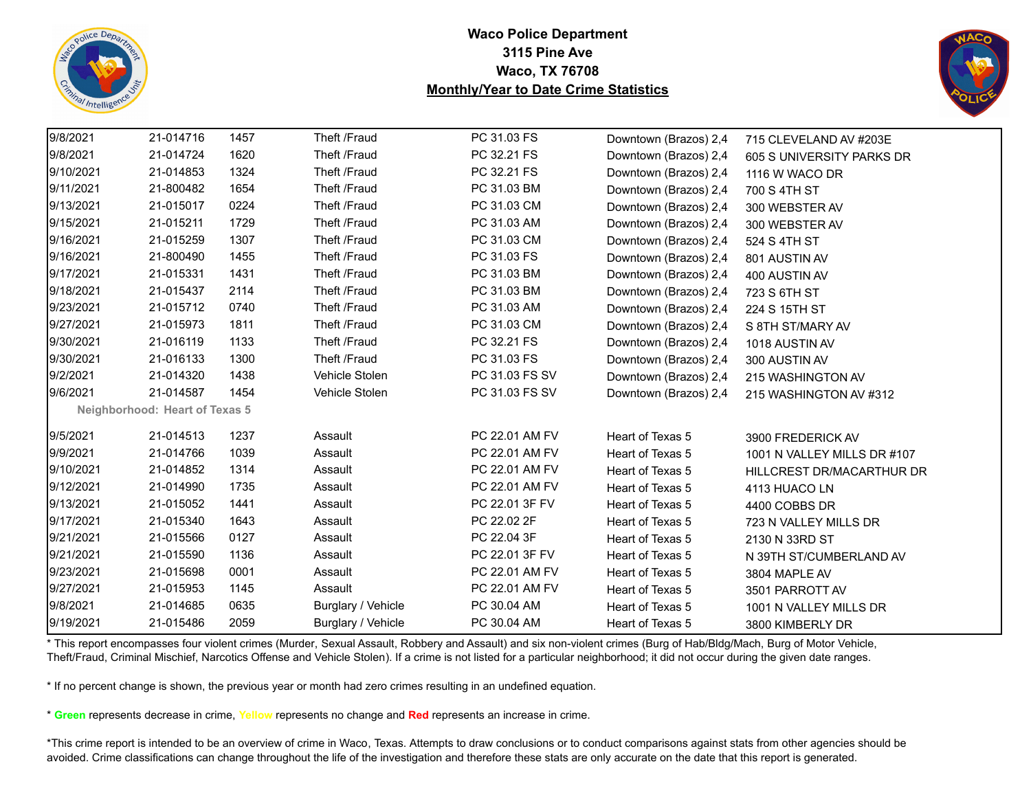



| 9/8/2021  | 21-014716                      | 1457 | Theft /Fraud       | PC 31.03 FS    | Downtown (Brazos) 2,4 | 715 CLEVELAND AV #203E      |
|-----------|--------------------------------|------|--------------------|----------------|-----------------------|-----------------------------|
| 9/8/2021  | 21-014724                      | 1620 | Theft /Fraud       | PC 32.21 FS    | Downtown (Brazos) 2,4 | 605 S UNIVERSITY PARKS DR   |
| 9/10/2021 | 21-014853                      | 1324 | Theft /Fraud       | PC 32.21 FS    | Downtown (Brazos) 2,4 | 1116 W WACO DR              |
| 9/11/2021 | 21-800482                      | 1654 | Theft /Fraud       | PC 31.03 BM    | Downtown (Brazos) 2,4 | 700 S 4TH ST                |
| 9/13/2021 | 21-015017                      | 0224 | Theft /Fraud       | PC 31.03 CM    | Downtown (Brazos) 2,4 | 300 WEBSTER AV              |
| 9/15/2021 | 21-015211                      | 1729 | Theft /Fraud       | PC 31.03 AM    | Downtown (Brazos) 2,4 | 300 WEBSTER AV              |
| 9/16/2021 | 21-015259                      | 1307 | Theft /Fraud       | PC 31.03 CM    | Downtown (Brazos) 2,4 | 524 S 4TH ST                |
| 9/16/2021 | 21-800490                      | 1455 | Theft /Fraud       | PC 31.03 FS    | Downtown (Brazos) 2,4 | 801 AUSTIN AV               |
| 9/17/2021 | 21-015331                      | 1431 | Theft /Fraud       | PC 31.03 BM    | Downtown (Brazos) 2,4 | 400 AUSTIN AV               |
| 9/18/2021 | 21-015437                      | 2114 | Theft /Fraud       | PC 31.03 BM    | Downtown (Brazos) 2,4 | 723 S 6TH ST                |
| 9/23/2021 | 21-015712                      | 0740 | Theft /Fraud       | PC 31.03 AM    | Downtown (Brazos) 2,4 | 224 S 15TH ST               |
| 9/27/2021 | 21-015973                      | 1811 | Theft /Fraud       | PC 31.03 CM    | Downtown (Brazos) 2,4 | S 8TH ST/MARY AV            |
| 9/30/2021 | 21-016119                      | 1133 | Theft /Fraud       | PC 32.21 FS    | Downtown (Brazos) 2,4 | 1018 AUSTIN AV              |
| 9/30/2021 | 21-016133                      | 1300 | Theft /Fraud       | PC 31.03 FS    | Downtown (Brazos) 2,4 | 300 AUSTIN AV               |
| 9/2/2021  | 21-014320                      | 1438 | Vehicle Stolen     | PC 31.03 FS SV | Downtown (Brazos) 2,4 | 215 WASHINGTON AV           |
| 9/6/2021  | 21-014587                      | 1454 | Vehicle Stolen     | PC 31.03 FS SV | Downtown (Brazos) 2,4 | 215 WASHINGTON AV #312      |
|           | Neighborhood: Heart of Texas 5 |      |                    |                |                       |                             |
| 9/5/2021  | 21-014513                      | 1237 | Assault            | PC 22.01 AM FV | Heart of Texas 5      | 3900 FREDERICK AV           |
| 9/9/2021  | 21-014766                      | 1039 | Assault            | PC 22.01 AM FV | Heart of Texas 5      | 1001 N VALLEY MILLS DR #107 |
| 9/10/2021 | 21-014852                      | 1314 | Assault            | PC 22.01 AM FV | Heart of Texas 5      | HILLCREST DR/MACARTHUR DR   |
| 9/12/2021 | 21-014990                      | 1735 | Assault            | PC 22.01 AM FV | Heart of Texas 5      | 4113 HUACO LN               |
| 9/13/2021 | 21-015052                      | 1441 | Assault            | PC 22.01 3F FV | Heart of Texas 5      | 4400 COBBS DR               |
| 9/17/2021 | 21-015340                      | 1643 | Assault            | PC 22.02 2F    | Heart of Texas 5      | 723 N VALLEY MILLS DR       |
| 9/21/2021 | 21-015566                      | 0127 | Assault            | PC 22.04 3F    | Heart of Texas 5      | 2130 N 33RD ST              |
| 9/21/2021 | 21-015590                      | 1136 | Assault            | PC 22.01 3F FV | Heart of Texas 5      | N 39TH ST/CUMBERLAND AV     |
| 9/23/2021 | 21-015698                      | 0001 | Assault            | PC 22.01 AM FV | Heart of Texas 5      | 3804 MAPLE AV               |
| 9/27/2021 | 21-015953                      | 1145 | Assault            | PC 22.01 AM FV | Heart of Texas 5      | 3501 PARROTT AV             |
| 9/8/2021  | 21-014685                      | 0635 | Burglary / Vehicle | PC 30.04 AM    | Heart of Texas 5      | 1001 N VALLEY MILLS DR      |
| 9/19/2021 | 21-015486                      | 2059 | Burglary / Vehicle | PC 30.04 AM    | Heart of Texas 5      | 3800 KIMBERLY DR            |

\* This report encompasses four violent crimes (Murder, Sexual Assault, Robbery and Assault) and six non-violent crimes (Burg of Hab/Bldg/Mach, Burg of Motor Vehicle, Theft/Fraud, Criminal Mischief, Narcotics Offense and Vehicle Stolen). If a crime is not listed for a particular neighborhood; it did not occur during the given date ranges.

\* If no percent change is shown, the previous year or month had zero crimes resulting in an undefined equation.

\* **Green** represents decrease in crime, **Yellow** represents no change and **Red** represents an increase in crime.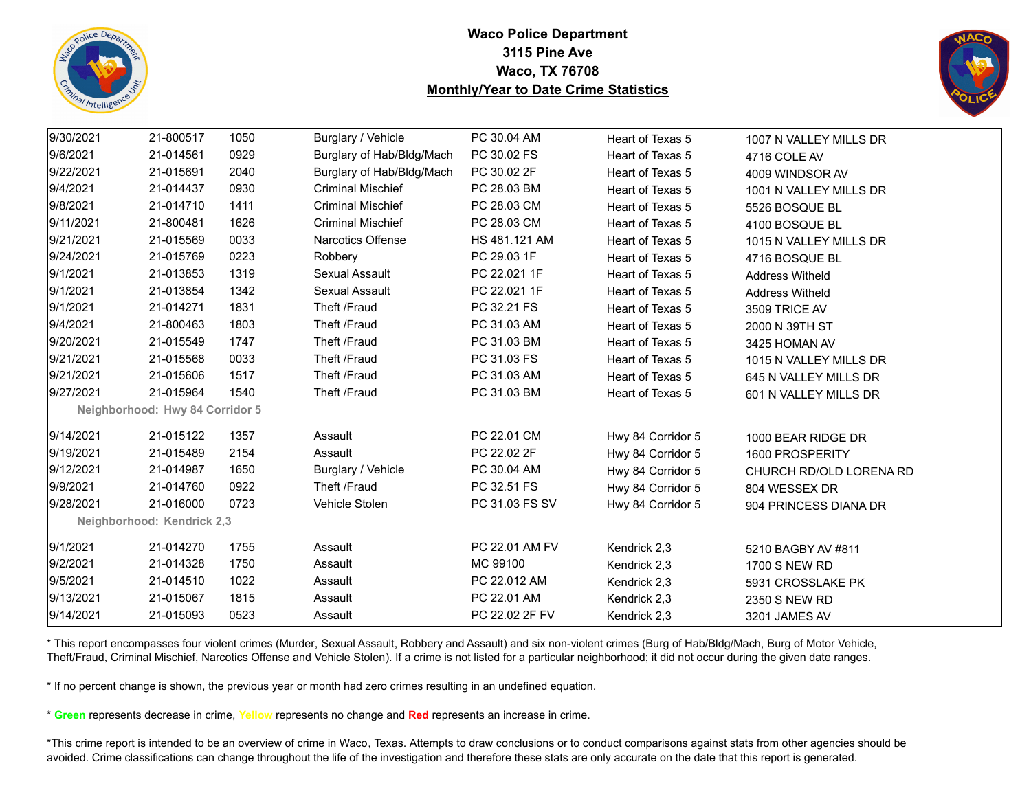



| 9/30/2021 | 21-800517                       | 1050 | Burglary / Vehicle        | PC 30.04 AM    | Heart of Texas 5  | 1007 N VALLEY MILLS DR  |
|-----------|---------------------------------|------|---------------------------|----------------|-------------------|-------------------------|
| 9/6/2021  | 21-014561                       | 0929 | Burglary of Hab/Bldg/Mach | PC 30.02 FS    | Heart of Texas 5  | 4716 COLE AV            |
| 9/22/2021 | 21-015691                       | 2040 | Burglary of Hab/Bldg/Mach | PC 30.02 2F    | Heart of Texas 5  | 4009 WINDSOR AV         |
| 9/4/2021  | 21-014437                       | 0930 | <b>Criminal Mischief</b>  | PC 28.03 BM    | Heart of Texas 5  | 1001 N VALLEY MILLS DR  |
| 9/8/2021  | 21-014710                       | 1411 | <b>Criminal Mischief</b>  | PC 28.03 CM    | Heart of Texas 5  | 5526 BOSQUE BL          |
| 9/11/2021 | 21-800481                       | 1626 | <b>Criminal Mischief</b>  | PC 28.03 CM    | Heart of Texas 5  | 4100 BOSQUE BL          |
| 9/21/2021 | 21-015569                       | 0033 | <b>Narcotics Offense</b>  | HS 481.121 AM  | Heart of Texas 5  | 1015 N VALLEY MILLS DR  |
| 9/24/2021 | 21-015769                       | 0223 | Robbery                   | PC 29.03 1F    | Heart of Texas 5  | 4716 BOSQUE BL          |
| 9/1/2021  | 21-013853                       | 1319 | <b>Sexual Assault</b>     | PC 22.021 1F   | Heart of Texas 5  | <b>Address Witheld</b>  |
| 9/1/2021  | 21-013854                       | 1342 | Sexual Assault            | PC 22.021 1F   | Heart of Texas 5  | <b>Address Witheld</b>  |
| 9/1/2021  | 21-014271                       | 1831 | Theft /Fraud              | PC 32.21 FS    | Heart of Texas 5  | 3509 TRICE AV           |
| 9/4/2021  | 21-800463                       | 1803 | Theft /Fraud              | PC 31.03 AM    | Heart of Texas 5  | 2000 N 39TH ST          |
| 9/20/2021 | 21-015549                       | 1747 | Theft /Fraud              | PC 31.03 BM    | Heart of Texas 5  | 3425 HOMAN AV           |
| 9/21/2021 | 21-015568                       | 0033 | Theft /Fraud              | PC 31.03 FS    | Heart of Texas 5  | 1015 N VALLEY MILLS DR  |
| 9/21/2021 | 21-015606                       | 1517 | Theft /Fraud              | PC 31.03 AM    | Heart of Texas 5  | 645 N VALLEY MILLS DR   |
| 9/27/2021 | 21-015964                       | 1540 | Theft /Fraud              | PC 31.03 BM    | Heart of Texas 5  | 601 N VALLEY MILLS DR   |
|           | Neighborhood: Hwy 84 Corridor 5 |      |                           |                |                   |                         |
| 9/14/2021 | 21-015122                       | 1357 | Assault                   | PC 22.01 CM    | Hwy 84 Corridor 5 | 1000 BEAR RIDGE DR      |
| 9/19/2021 | 21-015489                       | 2154 | Assault                   | PC 22.02 2F    | Hwy 84 Corridor 5 | 1600 PROSPERITY         |
| 9/12/2021 | 21-014987                       | 1650 | Burglary / Vehicle        | PC 30.04 AM    | Hwy 84 Corridor 5 | CHURCH RD/OLD LORENA RD |
| 9/9/2021  | 21-014760                       | 0922 | Theft /Fraud              | PC 32.51 FS    | Hwy 84 Corridor 5 | 804 WESSEX DR           |
| 9/28/2021 | 21-016000                       | 0723 | Vehicle Stolen            | PC 31.03 FS SV | Hwy 84 Corridor 5 | 904 PRINCESS DIANA DR   |
|           | Neighborhood: Kendrick 2,3      |      |                           |                |                   |                         |
| 9/1/2021  | 21-014270                       | 1755 | Assault                   | PC 22.01 AM FV | Kendrick 2,3      | 5210 BAGBY AV #811      |
| 9/2/2021  | 21-014328                       | 1750 | Assault                   | MC 99100       | Kendrick 2,3      | <b>1700 S NEW RD</b>    |
| 9/5/2021  | 21-014510                       | 1022 | Assault                   | PC 22.012 AM   | Kendrick 2,3      | 5931 CROSSLAKE PK       |
| 9/13/2021 | 21-015067                       | 1815 | Assault                   | PC 22.01 AM    | Kendrick 2,3      | 2350 S NEW RD           |
| 9/14/2021 | 21-015093                       | 0523 | Assault                   | PC 22.02 2F FV | Kendrick 2,3      | 3201 JAMES AV           |

\* This report encompasses four violent crimes (Murder, Sexual Assault, Robbery and Assault) and six non-violent crimes (Burg of Hab/Bldg/Mach, Burg of Motor Vehicle, Theft/Fraud, Criminal Mischief, Narcotics Offense and Vehicle Stolen). If a crime is not listed for a particular neighborhood; it did not occur during the given date ranges.

\* If no percent change is shown, the previous year or month had zero crimes resulting in an undefined equation.

\* **Green** represents decrease in crime, **Yellow** represents no change and **Red** represents an increase in crime.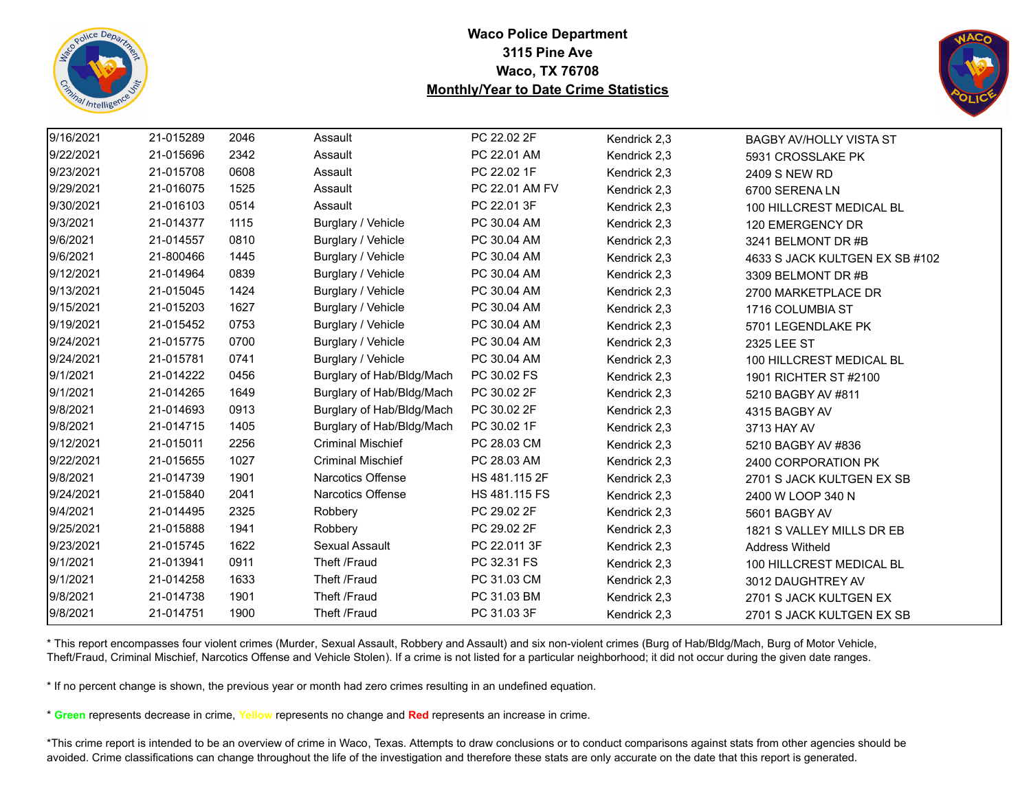



| 9/16/2021 | 21-015289 | 2046 | Assault                   | PC 22.02 2F    | Kendrick 2,3 | <b>BAGBY AV/HOLLY VISTA ST</b> |
|-----------|-----------|------|---------------------------|----------------|--------------|--------------------------------|
| 9/22/2021 | 21-015696 | 2342 | Assault                   | PC 22.01 AM    | Kendrick 2,3 | 5931 CROSSLAKE PK              |
| 9/23/2021 | 21-015708 | 0608 | Assault                   | PC 22.02 1F    | Kendrick 2,3 | 2409 S NEW RD                  |
| 9/29/2021 | 21-016075 | 1525 | Assault                   | PC 22.01 AM FV | Kendrick 2,3 | 6700 SERENA LN                 |
| 9/30/2021 | 21-016103 | 0514 | Assault                   | PC 22.01 3F    | Kendrick 2,3 | 100 HILLCREST MEDICAL BL       |
| 9/3/2021  | 21-014377 | 1115 | Burglary / Vehicle        | PC 30.04 AM    | Kendrick 2,3 | 120 EMERGENCY DR               |
| 9/6/2021  | 21-014557 | 0810 | Burglary / Vehicle        | PC 30.04 AM    | Kendrick 2,3 | 3241 BELMONT DR #B             |
| 9/6/2021  | 21-800466 | 1445 | Burglary / Vehicle        | PC 30.04 AM    | Kendrick 2,3 | 4633 S JACK KULTGEN EX SB #102 |
| 9/12/2021 | 21-014964 | 0839 | Burglary / Vehicle        | PC 30.04 AM    | Kendrick 2,3 | 3309 BELMONT DR #B             |
| 9/13/2021 | 21-015045 | 1424 | Burglary / Vehicle        | PC 30.04 AM    | Kendrick 2,3 | 2700 MARKETPLACE DR            |
| 9/15/2021 | 21-015203 | 1627 | Burglary / Vehicle        | PC 30.04 AM    | Kendrick 2,3 | 1716 COLUMBIA ST               |
| 9/19/2021 | 21-015452 | 0753 | Burglary / Vehicle        | PC 30.04 AM    | Kendrick 2,3 | 5701 LEGENDLAKE PK             |
| 9/24/2021 | 21-015775 | 0700 | Burglary / Vehicle        | PC 30.04 AM    | Kendrick 2,3 | 2325 LEE ST                    |
| 9/24/2021 | 21-015781 | 0741 | Burglary / Vehicle        | PC 30.04 AM    | Kendrick 2,3 | 100 HILLCREST MEDICAL BL       |
| 9/1/2021  | 21-014222 | 0456 | Burglary of Hab/Bldg/Mach | PC 30.02 FS    | Kendrick 2,3 | 1901 RICHTER ST #2100          |
| 9/1/2021  | 21-014265 | 1649 | Burglary of Hab/Bldg/Mach | PC 30.02 2F    | Kendrick 2,3 | 5210 BAGBY AV #811             |
| 9/8/2021  | 21-014693 | 0913 | Burglary of Hab/Bldg/Mach | PC 30.02 2F    | Kendrick 2,3 | 4315 BAGBY AV                  |
| 9/8/2021  | 21-014715 | 1405 | Burglary of Hab/Bldg/Mach | PC 30.02 1F    | Kendrick 2,3 | 3713 HAY AV                    |
| 9/12/2021 | 21-015011 | 2256 | <b>Criminal Mischief</b>  | PC 28.03 CM    | Kendrick 2,3 | 5210 BAGBY AV #836             |
| 9/22/2021 | 21-015655 | 1027 | <b>Criminal Mischief</b>  | PC 28.03 AM    | Kendrick 2,3 | 2400 CORPORATION PK            |
| 9/8/2021  | 21-014739 | 1901 | Narcotics Offense         | HS 481.115 2F  | Kendrick 2,3 | 2701 S JACK KULTGEN EX SB      |
| 9/24/2021 | 21-015840 | 2041 | Narcotics Offense         | HS 481.115 FS  | Kendrick 2,3 | 2400 W LOOP 340 N              |
| 9/4/2021  | 21-014495 | 2325 | Robbery                   | PC 29.02 2F    | Kendrick 2,3 | 5601 BAGBY AV                  |
| 9/25/2021 | 21-015888 | 1941 | Robbery                   | PC 29.02 2F    | Kendrick 2,3 | 1821 S VALLEY MILLS DR EB      |
| 9/23/2021 | 21-015745 | 1622 | Sexual Assault            | PC 22.011 3F   | Kendrick 2,3 | <b>Address Witheld</b>         |
| 9/1/2021  | 21-013941 | 0911 | Theft /Fraud              | PC 32.31 FS    | Kendrick 2,3 | 100 HILLCREST MEDICAL BL       |
| 9/1/2021  | 21-014258 | 1633 | Theft /Fraud              | PC 31.03 CM    | Kendrick 2,3 | 3012 DAUGHTREY AV              |
| 9/8/2021  | 21-014738 | 1901 | Theft /Fraud              | PC 31.03 BM    | Kendrick 2,3 | 2701 S JACK KULTGEN EX         |
| 9/8/2021  | 21-014751 | 1900 | Theft /Fraud              | PC 31.03 3F    | Kendrick 2,3 | 2701 S JACK KULTGEN EX SB      |

\* This report encompasses four violent crimes (Murder, Sexual Assault, Robbery and Assault) and six non-violent crimes (Burg of Hab/Bldg/Mach, Burg of Motor Vehicle, Theft/Fraud, Criminal Mischief, Narcotics Offense and Vehicle Stolen). If a crime is not listed for a particular neighborhood; it did not occur during the given date ranges.

\* If no percent change is shown, the previous year or month had zero crimes resulting in an undefined equation.

\* **Green** represents decrease in crime, **Yellow** represents no change and **Red** represents an increase in crime.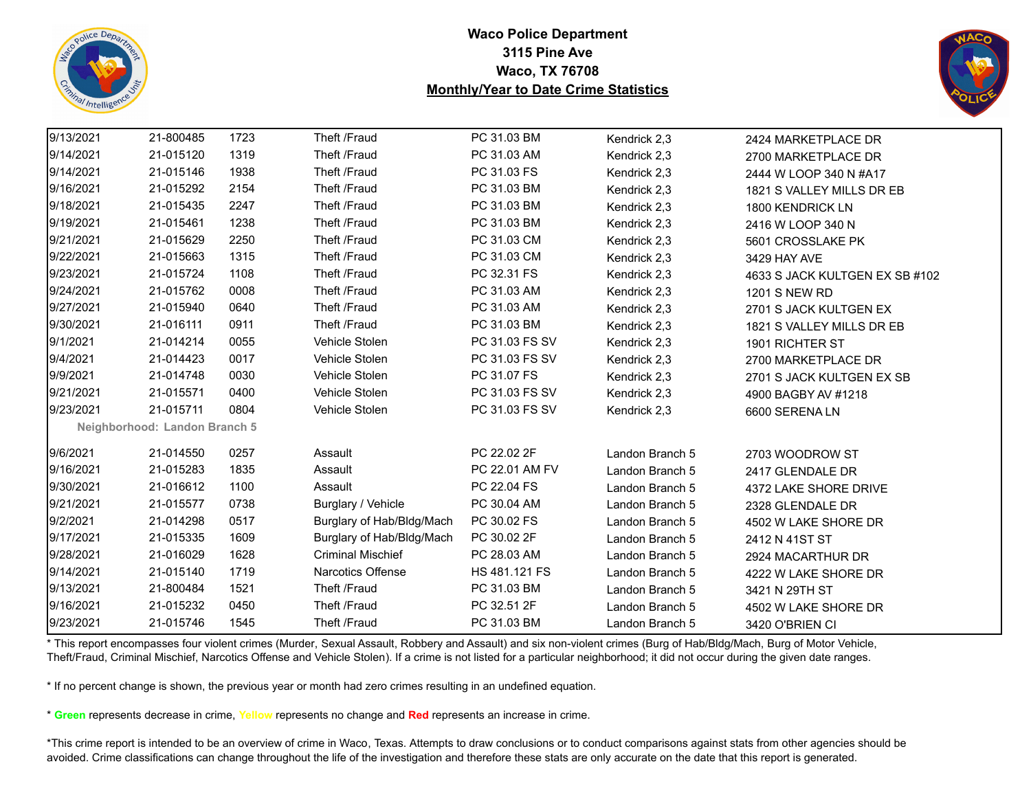



| 9/13/2021 | 21-800485                     | 1723 | Theft /Fraud              | PC 31.03 BM    | Kendrick 2,3    | 2424 MARKETPLACE DR            |
|-----------|-------------------------------|------|---------------------------|----------------|-----------------|--------------------------------|
| 9/14/2021 | 21-015120                     | 1319 | Theft /Fraud              | PC 31.03 AM    | Kendrick 2,3    | 2700 MARKETPLACE DR            |
| 9/14/2021 | 21-015146                     | 1938 | Theft /Fraud              | PC 31.03 FS    | Kendrick 2,3    | 2444 W LOOP 340 N #A17         |
| 9/16/2021 | 21-015292                     | 2154 | Theft /Fraud              | PC 31.03 BM    | Kendrick 2,3    | 1821 S VALLEY MILLS DR EB      |
| 9/18/2021 | 21-015435                     | 2247 | Theft /Fraud              | PC 31.03 BM    | Kendrick 2,3    | 1800 KENDRICK LN               |
| 9/19/2021 | 21-015461                     | 1238 | Theft /Fraud              | PC 31.03 BM    | Kendrick 2,3    | 2416 W LOOP 340 N              |
| 9/21/2021 | 21-015629                     | 2250 | Theft /Fraud              | PC 31.03 CM    | Kendrick 2,3    | 5601 CROSSLAKE PK              |
| 9/22/2021 | 21-015663                     | 1315 | Theft /Fraud              | PC 31.03 CM    | Kendrick 2,3    | 3429 HAY AVE                   |
| 9/23/2021 | 21-015724                     | 1108 | Theft /Fraud              | PC 32.31 FS    | Kendrick 2,3    | 4633 S JACK KULTGEN EX SB #102 |
| 9/24/2021 | 21-015762                     | 0008 | Theft /Fraud              | PC 31.03 AM    | Kendrick 2,3    | <b>1201 S NEW RD</b>           |
| 9/27/2021 | 21-015940                     | 0640 | Theft /Fraud              | PC 31.03 AM    | Kendrick 2,3    | 2701 S JACK KULTGEN EX         |
| 9/30/2021 | 21-016111                     | 0911 | Theft /Fraud              | PC 31.03 BM    | Kendrick 2,3    | 1821 S VALLEY MILLS DR EB      |
| 9/1/2021  | 21-014214                     | 0055 | Vehicle Stolen            | PC 31.03 FS SV | Kendrick 2,3    | 1901 RICHTER ST                |
| 9/4/2021  | 21-014423                     | 0017 | Vehicle Stolen            | PC 31.03 FS SV | Kendrick 2,3    | 2700 MARKETPLACE DR            |
| 9/9/2021  | 21-014748                     | 0030 | Vehicle Stolen            | PC 31.07 FS    | Kendrick 2,3    | 2701 S JACK KULTGEN EX SB      |
| 9/21/2021 | 21-015571                     | 0400 | Vehicle Stolen            | PC 31.03 FS SV | Kendrick 2,3    | 4900 BAGBY AV #1218            |
| 9/23/2021 | 21-015711                     | 0804 | Vehicle Stolen            | PC 31.03 FS SV | Kendrick 2,3    | 6600 SERENA LN                 |
|           | Neighborhood: Landon Branch 5 |      |                           |                |                 |                                |
| 9/6/2021  | 21-014550                     | 0257 | Assault                   | PC 22.02 2F    | Landon Branch 5 | 2703 WOODROW ST                |
| 9/16/2021 | 21-015283                     | 1835 | Assault                   | PC 22.01 AM FV | Landon Branch 5 | 2417 GLENDALE DR               |
| 9/30/2021 | 21-016612                     | 1100 | Assault                   | PC 22.04 FS    | Landon Branch 5 | 4372 LAKE SHORE DRIVE          |
| 9/21/2021 | 21-015577                     | 0738 | Burglary / Vehicle        | PC 30.04 AM    | Landon Branch 5 | 2328 GLENDALE DR               |
| 9/2/2021  | 21-014298                     | 0517 | Burglary of Hab/Bldg/Mach | PC 30.02 FS    | Landon Branch 5 | 4502 W LAKE SHORE DR           |
| 9/17/2021 | 21-015335                     | 1609 | Burglary of Hab/Bldg/Mach | PC 30.02 2F    | Landon Branch 5 | 2412 N 41ST ST                 |
| 9/28/2021 | 21-016029                     | 1628 | <b>Criminal Mischief</b>  | PC 28.03 AM    | Landon Branch 5 | 2924 MACARTHUR DR              |
| 9/14/2021 | 21-015140                     | 1719 | <b>Narcotics Offense</b>  | HS 481.121 FS  | Landon Branch 5 | 4222 W LAKE SHORE DR           |
| 9/13/2021 | 21-800484                     | 1521 | Theft /Fraud              | PC 31.03 BM    | Landon Branch 5 | 3421 N 29TH ST                 |
| 9/16/2021 | 21-015232                     | 0450 | Theft /Fraud              | PC 32.51 2F    | Landon Branch 5 | 4502 W LAKE SHORE DR           |
| 9/23/2021 | 21-015746                     | 1545 | Theft /Fraud              | PC 31.03 BM    | Landon Branch 5 | 3420 O'BRIEN CI                |

\* This report encompasses four violent crimes (Murder, Sexual Assault, Robbery and Assault) and six non-violent crimes (Burg of Hab/Bldg/Mach, Burg of Motor Vehicle, Theft/Fraud, Criminal Mischief, Narcotics Offense and Vehicle Stolen). If a crime is not listed for a particular neighborhood; it did not occur during the given date ranges.

\* If no percent change is shown, the previous year or month had zero crimes resulting in an undefined equation.

\* **Green** represents decrease in crime, **Yellow** represents no change and **Red** represents an increase in crime.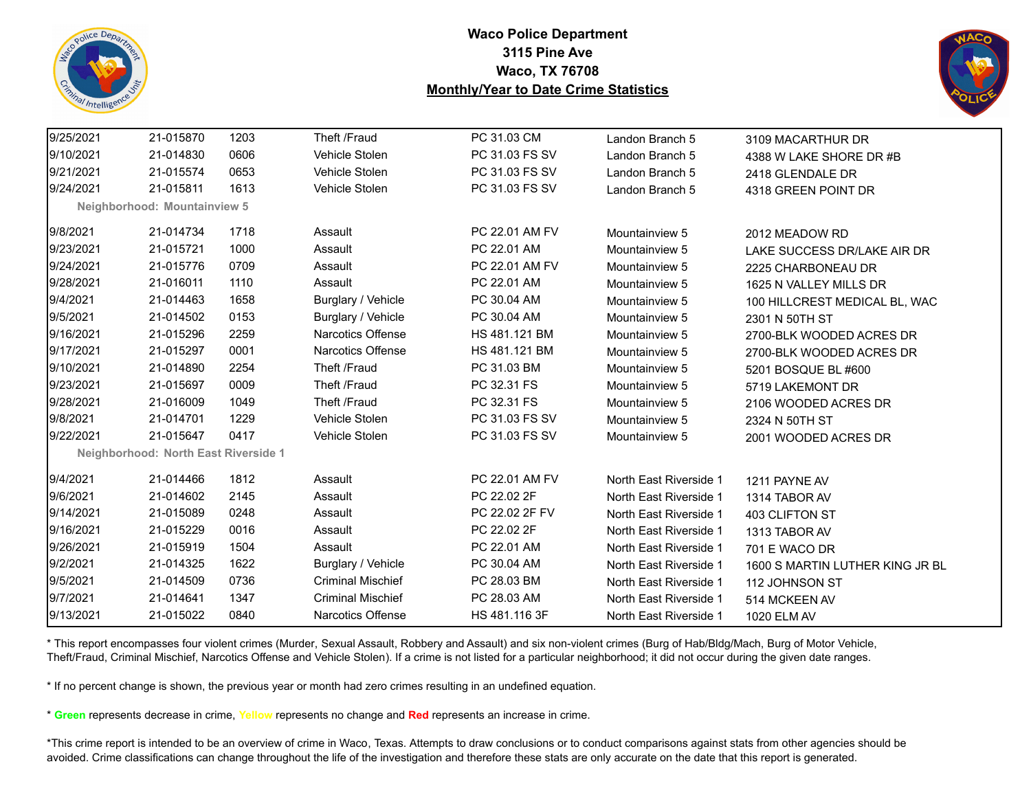



| 9/25/2021 | 21-015870                            | 1203 | Theft /Fraud             | PC 31.03 CM    | Landon Branch 5        | 3109 MACARTHUR DR               |
|-----------|--------------------------------------|------|--------------------------|----------------|------------------------|---------------------------------|
| 9/10/2021 | 21-014830                            | 0606 | Vehicle Stolen           | PC 31.03 FS SV | Landon Branch 5        | 4388 W LAKE SHORE DR #B         |
| 9/21/2021 | 21-015574                            | 0653 | Vehicle Stolen           | PC 31.03 FS SV | Landon Branch 5        | 2418 GLENDALE DR                |
| 9/24/2021 | 21-015811                            | 1613 | Vehicle Stolen           | PC 31.03 FS SV | Landon Branch 5        | 4318 GREEN POINT DR             |
|           | Neighborhood: Mountainview 5         |      |                          |                |                        |                                 |
| 9/8/2021  | 21-014734                            | 1718 | Assault                  | PC 22.01 AM FV | Mountainview 5         | 2012 MEADOW RD                  |
| 9/23/2021 | 21-015721                            | 1000 | Assault                  | PC 22.01 AM    | Mountainview 5         | LAKE SUCCESS DR/LAKE AIR DR     |
| 9/24/2021 | 21-015776                            | 0709 | Assault                  | PC 22.01 AM FV | Mountainview 5         | 2225 CHARBONEAU DR              |
| 9/28/2021 | 21-016011                            | 1110 | Assault                  | PC 22.01 AM    | Mountainview 5         | 1625 N VALLEY MILLS DR          |
| 9/4/2021  | 21-014463                            | 1658 | Burglary / Vehicle       | PC 30.04 AM    | Mountainview 5         | 100 HILLCREST MEDICAL BL, WAC   |
| 9/5/2021  | 21-014502                            | 0153 | Burglary / Vehicle       | PC 30.04 AM    | Mountainview 5         | 2301 N 50TH ST                  |
| 9/16/2021 | 21-015296                            | 2259 | Narcotics Offense        | HS 481.121 BM  | Mountainview 5         | 2700-BLK WOODED ACRES DR        |
| 9/17/2021 | 21-015297                            | 0001 | Narcotics Offense        | HS 481.121 BM  | Mountainview 5         | 2700-BLK WOODED ACRES DR        |
| 9/10/2021 | 21-014890                            | 2254 | Theft /Fraud             | PC 31.03 BM    | Mountainview 5         | 5201 BOSQUE BL #600             |
| 9/23/2021 | 21-015697                            | 0009 | Theft /Fraud             | PC 32.31 FS    | Mountainview 5         | 5719 LAKEMONT DR                |
| 9/28/2021 | 21-016009                            | 1049 | Theft /Fraud             | PC 32.31 FS    | Mountainview 5         | 2106 WOODED ACRES DR            |
| 9/8/2021  | 21-014701                            | 1229 | Vehicle Stolen           | PC 31.03 FS SV | Mountainview 5         | 2324 N 50TH ST                  |
| 9/22/2021 | 21-015647                            | 0417 | Vehicle Stolen           | PC 31.03 FS SV | Mountainview 5         | 2001 WOODED ACRES DR            |
|           | Neighborhood: North East Riverside 1 |      |                          |                |                        |                                 |
| 9/4/2021  | 21-014466                            | 1812 | Assault                  | PC 22.01 AM FV | North East Riverside 1 | 1211 PAYNE AV                   |
| 9/6/2021  | 21-014602                            | 2145 | Assault                  | PC 22.02 2F    | North East Riverside 1 | 1314 TABOR AV                   |
| 9/14/2021 | 21-015089                            | 0248 | Assault                  | PC 22.02 2F FV | North East Riverside 1 | 403 CLIFTON ST                  |
| 9/16/2021 | 21-015229                            | 0016 | Assault                  | PC 22.02 2F    | North East Riverside 1 | 1313 TABOR AV                   |
| 9/26/2021 | 21-015919                            | 1504 | Assault                  | PC 22.01 AM    | North East Riverside 1 | 701 E WACO DR                   |
| 9/2/2021  | 21-014325                            | 1622 | Burglary / Vehicle       | PC 30.04 AM    | North East Riverside 1 | 1600 S MARTIN LUTHER KING JR BL |
| 9/5/2021  | 21-014509                            | 0736 | <b>Criminal Mischief</b> | PC 28.03 BM    | North East Riverside 1 | 112 JOHNSON ST                  |
| 9/7/2021  | 21-014641                            | 1347 | <b>Criminal Mischief</b> | PC 28.03 AM    | North East Riverside 1 | 514 MCKEEN AV                   |
| 9/13/2021 | 21-015022                            | 0840 | Narcotics Offense        | HS 481.116 3F  | North East Riverside 1 | 1020 ELM AV                     |
|           |                                      |      |                          |                |                        |                                 |

\* This report encompasses four violent crimes (Murder, Sexual Assault, Robbery and Assault) and six non-violent crimes (Burg of Hab/Bldg/Mach, Burg of Motor Vehicle, Theft/Fraud, Criminal Mischief, Narcotics Offense and Vehicle Stolen). If a crime is not listed for a particular neighborhood; it did not occur during the given date ranges.

\* If no percent change is shown, the previous year or month had zero crimes resulting in an undefined equation.

\* **Green** represents decrease in crime, **Yellow** represents no change and **Red** represents an increase in crime.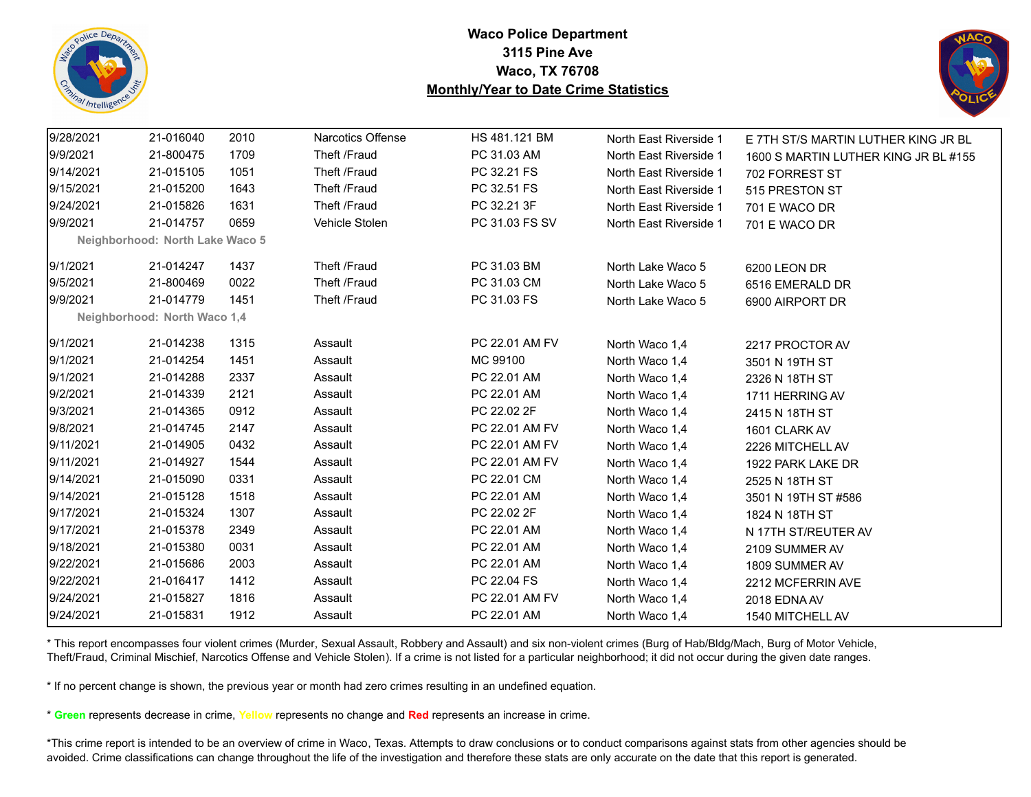



| 9/28/2021 | 21-016040                       | 2010 | <b>Narcotics Offense</b> | HS 481.121 BM  | North East Riverside 1 | E 7TH ST/S MARTIN LUTHER KING JR BL  |
|-----------|---------------------------------|------|--------------------------|----------------|------------------------|--------------------------------------|
| 9/9/2021  | 21-800475                       | 1709 | Theft /Fraud             | PC 31.03 AM    | North East Riverside 1 | 1600 S MARTIN LUTHER KING JR BL #155 |
| 9/14/2021 | 21-015105                       | 1051 | Theft /Fraud             | PC 32.21 FS    | North East Riverside 1 | 702 FORREST ST                       |
| 9/15/2021 | 21-015200                       | 1643 | Theft /Fraud             | PC 32.51 FS    | North East Riverside 1 | 515 PRESTON ST                       |
| 9/24/2021 | 21-015826                       | 1631 | Theft /Fraud             | PC 32.21 3F    | North East Riverside 1 | 701 E WACO DR                        |
| 9/9/2021  | 21-014757                       | 0659 | Vehicle Stolen           | PC 31.03 FS SV | North East Riverside 1 | 701 E WACO DR                        |
|           | Neighborhood: North Lake Waco 5 |      |                          |                |                        |                                      |
| 9/1/2021  | 21-014247                       | 1437 | Theft /Fraud             | PC 31.03 BM    | North Lake Waco 5      | 6200 LEON DR                         |
| 9/5/2021  | 21-800469                       | 0022 | Theft /Fraud             | PC 31.03 CM    | North Lake Waco 5      | 6516 EMERALD DR                      |
| 9/9/2021  | 21-014779                       | 1451 | Theft /Fraud             | PC 31.03 FS    | North Lake Waco 5      | 6900 AIRPORT DR                      |
|           | Neighborhood: North Waco 1,4    |      |                          |                |                        |                                      |
| 9/1/2021  | 21-014238                       | 1315 | Assault                  | PC 22.01 AM FV | North Waco 1,4         | 2217 PROCTOR AV                      |
| 9/1/2021  | 21-014254                       | 1451 | Assault                  | MC 99100       | North Waco 1,4         | 3501 N 19TH ST                       |
| 9/1/2021  | 21-014288                       | 2337 | Assault                  | PC 22.01 AM    | North Waco 1,4         | 2326 N 18TH ST                       |
| 9/2/2021  | 21-014339                       | 2121 | Assault                  | PC 22.01 AM    | North Waco 1,4         | 1711 HERRING AV                      |
| 9/3/2021  | 21-014365                       | 0912 | Assault                  | PC 22.02 2F    | North Waco 1,4         | 2415 N 18TH ST                       |
| 9/8/2021  | 21-014745                       | 2147 | Assault                  | PC 22.01 AM FV | North Waco 1,4         | 1601 CLARK AV                        |
| 9/11/2021 | 21-014905                       | 0432 | Assault                  | PC 22.01 AM FV | North Waco 1,4         | 2226 MITCHELL AV                     |
| 9/11/2021 | 21-014927                       | 1544 | Assault                  | PC 22.01 AM FV | North Waco 1,4         | 1922 PARK LAKE DR                    |
| 9/14/2021 | 21-015090                       | 0331 | Assault                  | PC 22.01 CM    | North Waco 1,4         | 2525 N 18TH ST                       |
| 9/14/2021 | 21-015128                       | 1518 | Assault                  | PC 22.01 AM    | North Waco 1,4         | 3501 N 19TH ST #586                  |
| 9/17/2021 | 21-015324                       | 1307 | Assault                  | PC 22.02 2F    | North Waco 1,4         | 1824 N 18TH ST                       |
| 9/17/2021 | 21-015378                       | 2349 | Assault                  | PC 22.01 AM    | North Waco 1,4         | N 17TH ST/REUTER AV                  |
| 9/18/2021 | 21-015380                       | 0031 | Assault                  | PC 22.01 AM    | North Waco 1,4         | 2109 SUMMER AV                       |
| 9/22/2021 | 21-015686                       | 2003 | Assault                  | PC 22.01 AM    | North Waco 1,4         | 1809 SUMMER AV                       |
| 9/22/2021 | 21-016417                       | 1412 | Assault                  | PC 22.04 FS    | North Waco 1,4         | 2212 MCFERRIN AVE                    |
| 9/24/2021 | 21-015827                       | 1816 | Assault                  | PC 22.01 AM FV | North Waco 1,4         | 2018 EDNA AV                         |
| 9/24/2021 | 21-015831                       | 1912 | Assault                  | PC 22.01 AM    | North Waco 1,4         | 1540 MITCHELL AV                     |

\* This report encompasses four violent crimes (Murder, Sexual Assault, Robbery and Assault) and six non-violent crimes (Burg of Hab/Bldg/Mach, Burg of Motor Vehicle, Theft/Fraud, Criminal Mischief, Narcotics Offense and Vehicle Stolen). If a crime is not listed for a particular neighborhood; it did not occur during the given date ranges.

\* If no percent change is shown, the previous year or month had zero crimes resulting in an undefined equation.

\* **Green** represents decrease in crime, **Yellow** represents no change and **Red** represents an increase in crime.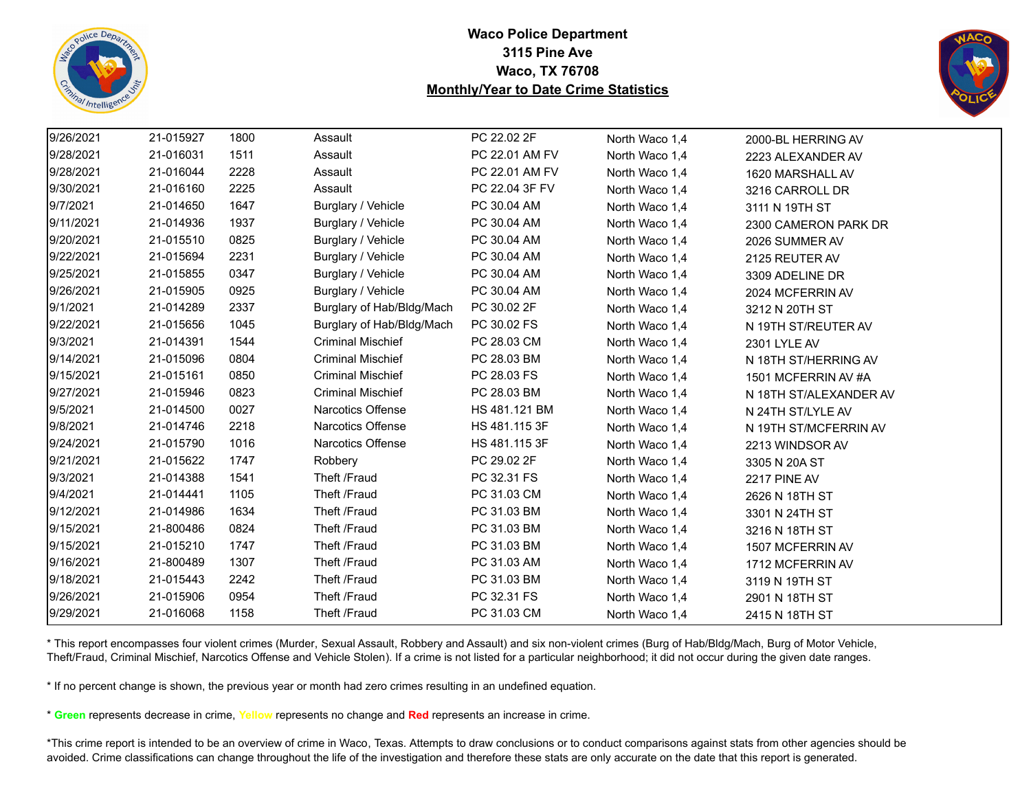



| 9/26/2021 | 21-015927 | 1800 | Assault                   | PC 22.02 2F    | North Waco 1,4 | 2000-BL HERRING AV     |
|-----------|-----------|------|---------------------------|----------------|----------------|------------------------|
| 9/28/2021 | 21-016031 | 1511 | Assault                   | PC 22.01 AM FV | North Waco 1,4 | 2223 ALEXANDER AV      |
| 9/28/2021 | 21-016044 | 2228 | Assault                   | PC 22.01 AM FV | North Waco 1,4 | 1620 MARSHALL AV       |
| 9/30/2021 | 21-016160 | 2225 | Assault                   | PC 22.04 3F FV | North Waco 1,4 | 3216 CARROLL DR        |
| 9/7/2021  | 21-014650 | 1647 | Burglary / Vehicle        | PC 30.04 AM    | North Waco 1,4 | 3111 N 19TH ST         |
| 9/11/2021 | 21-014936 | 1937 | Burglary / Vehicle        | PC 30.04 AM    | North Waco 1,4 | 2300 CAMERON PARK DR   |
| 9/20/2021 | 21-015510 | 0825 | Burglary / Vehicle        | PC 30.04 AM    | North Waco 1,4 | 2026 SUMMER AV         |
| 9/22/2021 | 21-015694 | 2231 | Burglary / Vehicle        | PC 30.04 AM    | North Waco 1,4 | 2125 REUTER AV         |
| 9/25/2021 | 21-015855 | 0347 | Burglary / Vehicle        | PC 30.04 AM    | North Waco 1,4 | 3309 ADELINE DR        |
| 9/26/2021 | 21-015905 | 0925 | Burglary / Vehicle        | PC 30.04 AM    | North Waco 1,4 | 2024 MCFERRIN AV       |
| 9/1/2021  | 21-014289 | 2337 | Burglary of Hab/Bldg/Mach | PC 30.02 2F    | North Waco 1,4 | 3212 N 20TH ST         |
| 9/22/2021 | 21-015656 | 1045 | Burglary of Hab/Bldg/Mach | PC 30.02 FS    | North Waco 1,4 | N 19TH ST/REUTER AV    |
| 9/3/2021  | 21-014391 | 1544 | <b>Criminal Mischief</b>  | PC 28.03 CM    | North Waco 1,4 | 2301 LYLE AV           |
| 9/14/2021 | 21-015096 | 0804 | <b>Criminal Mischief</b>  | PC 28.03 BM    | North Waco 1,4 | N 18TH ST/HERRING AV   |
| 9/15/2021 | 21-015161 | 0850 | <b>Criminal Mischief</b>  | PC 28.03 FS    | North Waco 1,4 | 1501 MCFERRIN AV #A    |
| 9/27/2021 | 21-015946 | 0823 | <b>Criminal Mischief</b>  | PC 28.03 BM    | North Waco 1,4 | N 18TH ST/ALEXANDER AV |
| 9/5/2021  | 21-014500 | 0027 | Narcotics Offense         | HS 481.121 BM  | North Waco 1,4 | N 24TH ST/LYLE AV      |
| 9/8/2021  | 21-014746 | 2218 | Narcotics Offense         | HS 481.115 3F  | North Waco 1,4 | N 19TH ST/MCFERRIN AV  |
| 9/24/2021 | 21-015790 | 1016 | Narcotics Offense         | HS 481.115 3F  | North Waco 1,4 | 2213 WINDSOR AV        |
| 9/21/2021 | 21-015622 | 1747 | Robbery                   | PC 29.02 2F    | North Waco 1,4 | 3305 N 20A ST          |
| 9/3/2021  | 21-014388 | 1541 | Theft /Fraud              | PC 32.31 FS    | North Waco 1,4 | <b>2217 PINE AV</b>    |
| 9/4/2021  | 21-014441 | 1105 | Theft /Fraud              | PC 31.03 CM    | North Waco 1,4 | 2626 N 18TH ST         |
| 9/12/2021 | 21-014986 | 1634 | Theft /Fraud              | PC 31.03 BM    | North Waco 1,4 | 3301 N 24TH ST         |
| 9/15/2021 | 21-800486 | 0824 | Theft /Fraud              | PC 31.03 BM    | North Waco 1,4 | 3216 N 18TH ST         |
| 9/15/2021 | 21-015210 | 1747 | Theft /Fraud              | PC 31.03 BM    | North Waco 1,4 | 1507 MCFERRIN AV       |
| 9/16/2021 | 21-800489 | 1307 | Theft /Fraud              | PC 31.03 AM    | North Waco 1,4 | 1712 MCFERRIN AV       |
| 9/18/2021 | 21-015443 | 2242 | Theft /Fraud              | PC 31.03 BM    | North Waco 1,4 | 3119 N 19TH ST         |
| 9/26/2021 | 21-015906 | 0954 | Theft /Fraud              | PC 32.31 FS    | North Waco 1,4 | 2901 N 18TH ST         |
| 9/29/2021 | 21-016068 | 1158 | Theft /Fraud              | PC 31.03 CM    | North Waco 1,4 | 2415 N 18TH ST         |

\* This report encompasses four violent crimes (Murder, Sexual Assault, Robbery and Assault) and six non-violent crimes (Burg of Hab/Bldg/Mach, Burg of Motor Vehicle, Theft/Fraud, Criminal Mischief, Narcotics Offense and Vehicle Stolen). If a crime is not listed for a particular neighborhood; it did not occur during the given date ranges.

\* If no percent change is shown, the previous year or month had zero crimes resulting in an undefined equation.

\* **Green** represents decrease in crime, **Yellow** represents no change and **Red** represents an increase in crime.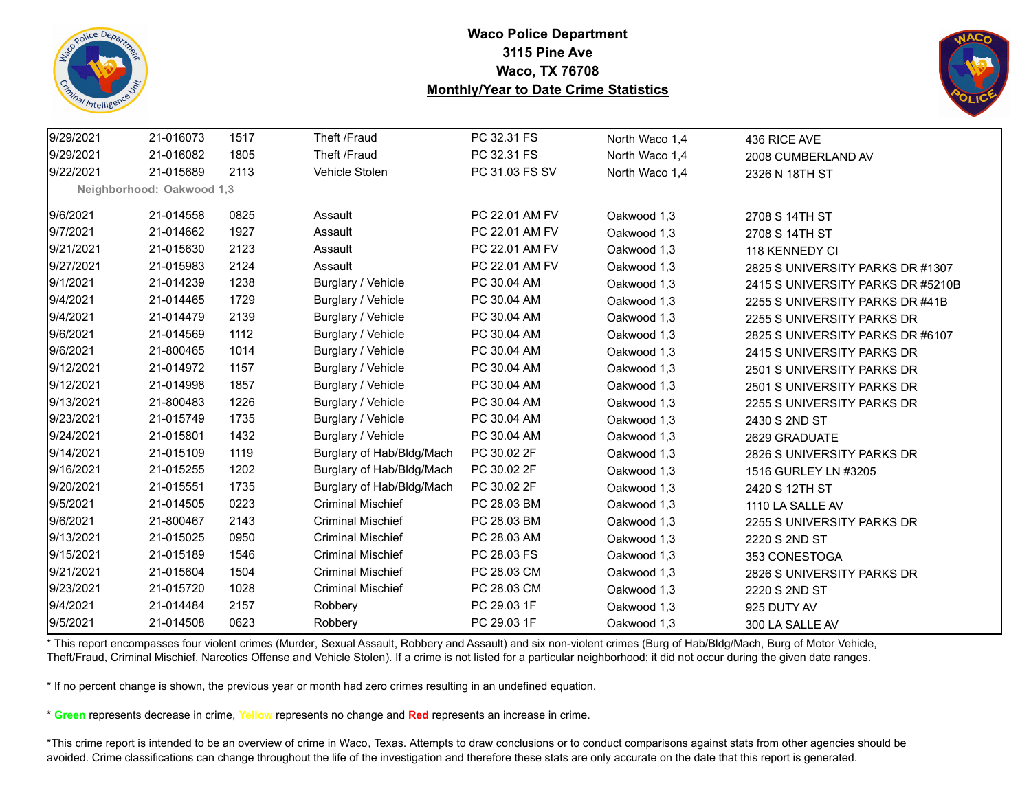



| 9/29/2021 | 21-016073                 | 1517 | Theft /Fraud              | PC 32.31 FS    | North Waco 1,4 | 436 RICE AVE                      |
|-----------|---------------------------|------|---------------------------|----------------|----------------|-----------------------------------|
| 9/29/2021 | 21-016082                 | 1805 | Theft /Fraud              | PC 32.31 FS    | North Waco 1,4 | 2008 CUMBERLAND AV                |
| 9/22/2021 | 21-015689                 | 2113 | Vehicle Stolen            | PC 31.03 FS SV | North Waco 1,4 | 2326 N 18TH ST                    |
|           | Neighborhood: Oakwood 1,3 |      |                           |                |                |                                   |
| 9/6/2021  | 21-014558                 | 0825 | Assault                   | PC 22.01 AM FV | Oakwood 1,3    | 2708 S 14TH ST                    |
| 9/7/2021  | 21-014662                 | 1927 | Assault                   | PC 22.01 AM FV | Oakwood 1,3    | 2708 S 14TH ST                    |
| 9/21/2021 | 21-015630                 | 2123 | Assault                   | PC 22.01 AM FV | Oakwood 1,3    | 118 KENNEDY CI                    |
| 9/27/2021 | 21-015983                 | 2124 | Assault                   | PC 22.01 AM FV | Oakwood 1,3    | 2825 S UNIVERSITY PARKS DR #1307  |
| 9/1/2021  | 21-014239                 | 1238 | Burglary / Vehicle        | PC 30.04 AM    | Oakwood 1,3    | 2415 S UNIVERSITY PARKS DR #5210B |
| 9/4/2021  | 21-014465                 | 1729 | Burglary / Vehicle        | PC 30.04 AM    | Oakwood 1,3    | 2255 S UNIVERSITY PARKS DR #41B   |
| 9/4/2021  | 21-014479                 | 2139 | Burglary / Vehicle        | PC 30.04 AM    | Oakwood 1,3    | 2255 S UNIVERSITY PARKS DR        |
| 9/6/2021  | 21-014569                 | 1112 | Burglary / Vehicle        | PC 30.04 AM    | Oakwood 1,3    | 2825 S UNIVERSITY PARKS DR #6107  |
| 9/6/2021  | 21-800465                 | 1014 | Burglary / Vehicle        | PC 30.04 AM    | Oakwood 1,3    | 2415 S UNIVERSITY PARKS DR        |
| 9/12/2021 | 21-014972                 | 1157 | Burglary / Vehicle        | PC 30.04 AM    | Oakwood 1,3    | 2501 S UNIVERSITY PARKS DR        |
| 9/12/2021 | 21-014998                 | 1857 | Burglary / Vehicle        | PC 30.04 AM    | Oakwood 1,3    | 2501 S UNIVERSITY PARKS DR        |
| 9/13/2021 | 21-800483                 | 1226 | Burglary / Vehicle        | PC 30.04 AM    | Oakwood 1,3    | 2255 S UNIVERSITY PARKS DR        |
| 9/23/2021 | 21-015749                 | 1735 | Burglary / Vehicle        | PC 30.04 AM    | Oakwood 1,3    | 2430 S 2ND ST                     |
| 9/24/2021 | 21-015801                 | 1432 | Burglary / Vehicle        | PC 30.04 AM    | Oakwood 1,3    | 2629 GRADUATE                     |
| 9/14/2021 | 21-015109                 | 1119 | Burglary of Hab/Bldg/Mach | PC 30.02 2F    | Oakwood 1,3    | 2826 S UNIVERSITY PARKS DR        |
| 9/16/2021 | 21-015255                 | 1202 | Burglary of Hab/Bldg/Mach | PC 30.02 2F    | Oakwood 1,3    | 1516 GURLEY LN #3205              |
| 9/20/2021 | 21-015551                 | 1735 | Burglary of Hab/Bldg/Mach | PC 30.02 2F    | Oakwood 1,3    | 2420 S 12TH ST                    |
| 9/5/2021  | 21-014505                 | 0223 | <b>Criminal Mischief</b>  | PC 28.03 BM    | Oakwood 1,3    | 1110 LA SALLE AV                  |
| 9/6/2021  | 21-800467                 | 2143 | <b>Criminal Mischief</b>  | PC 28.03 BM    | Oakwood 1,3    | 2255 S UNIVERSITY PARKS DR        |
| 9/13/2021 | 21-015025                 | 0950 | <b>Criminal Mischief</b>  | PC 28.03 AM    | Oakwood 1,3    | 2220 S 2ND ST                     |
| 9/15/2021 | 21-015189                 | 1546 | <b>Criminal Mischief</b>  | PC 28.03 FS    | Oakwood 1,3    | 353 CONESTOGA                     |
| 9/21/2021 | 21-015604                 | 1504 | <b>Criminal Mischief</b>  | PC 28.03 CM    | Oakwood 1,3    | 2826 S UNIVERSITY PARKS DR        |
| 9/23/2021 | 21-015720                 | 1028 | <b>Criminal Mischief</b>  | PC 28.03 CM    | Oakwood 1,3    | 2220 S 2ND ST                     |
| 9/4/2021  | 21-014484                 | 2157 | Robbery                   | PC 29.03 1F    | Oakwood 1,3    | 925 DUTY AV                       |
| 9/5/2021  | 21-014508                 | 0623 | Robbery                   | PC 29.03 1F    | Oakwood 1,3    | 300 LA SALLE AV                   |

\* This report encompasses four violent crimes (Murder, Sexual Assault, Robbery and Assault) and six non-violent crimes (Burg of Hab/Bldg/Mach, Burg of Motor Vehicle, Theft/Fraud, Criminal Mischief, Narcotics Offense and Vehicle Stolen). If a crime is not listed for a particular neighborhood; it did not occur during the given date ranges.

\* If no percent change is shown, the previous year or month had zero crimes resulting in an undefined equation.

\* **Green** represents decrease in crime, **Yellow** represents no change and **Red** represents an increase in crime.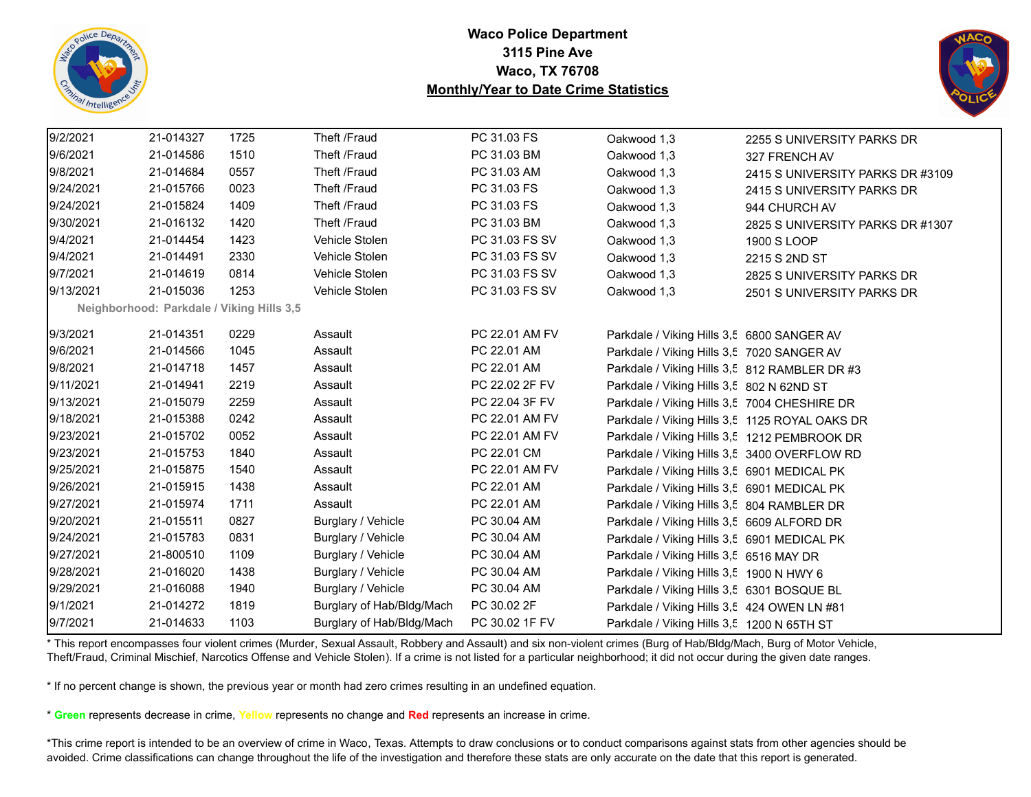



| 9/2/2021  | 21-014327                                 | 1725 | Theft /Fraud              | PC 31.03 FS    | Oakwood 1,3                                    | 2255 S UNIVERSITY PARKS DR       |
|-----------|-------------------------------------------|------|---------------------------|----------------|------------------------------------------------|----------------------------------|
| 9/6/2021  | 21-014586                                 | 1510 | Theft /Fraud              | PC 31.03 BM    | Oakwood 1,3                                    | 327 FRENCH AV                    |
| 9/8/2021  | 21-014684                                 | 0557 | Theft /Fraud              | PC 31.03 AM    | Oakwood 1,3                                    | 2415 S UNIVERSITY PARKS DR #3109 |
| 9/24/2021 | 21-015766                                 | 0023 | Theft /Fraud              | PC 31.03 FS    | Oakwood 1,3                                    | 2415 S UNIVERSITY PARKS DR       |
| 9/24/2021 | 21-015824                                 | 1409 | Theft /Fraud              | PC 31.03 FS    | Oakwood 1,3                                    | 944 CHURCH AV                    |
| 9/30/2021 | 21-016132                                 | 1420 | Theft /Fraud              | PC 31.03 BM    | Oakwood 1,3                                    | 2825 S UNIVERSITY PARKS DR #1307 |
| 9/4/2021  | 21-014454                                 | 1423 | Vehicle Stolen            | PC 31.03 FS SV | Oakwood 1,3                                    | 1900 S LOOP                      |
| 9/4/2021  | 21-014491                                 | 2330 | Vehicle Stolen            | PC 31.03 FS SV | Oakwood 1,3                                    | 2215 S 2ND ST                    |
| 9/7/2021  | 21-014619                                 | 0814 | Vehicle Stolen            | PC 31.03 FS SV | Oakwood 1,3                                    | 2825 S UNIVERSITY PARKS DR       |
| 9/13/2021 | 21-015036                                 | 1253 | Vehicle Stolen            | PC 31.03 FS SV | Oakwood 1,3                                    | 2501 S UNIVERSITY PARKS DR       |
|           | Neighborhood: Parkdale / Viking Hills 3,5 |      |                           |                |                                                |                                  |
| 9/3/2021  | 21-014351                                 | 0229 | Assault                   | PC 22.01 AM FV | Parkdale / Viking Hills 3,5 6800 SANGER AV     |                                  |
| 9/6/2021  | 21-014566                                 | 1045 | Assault                   | PC 22.01 AM    | Parkdale / Viking Hills 3,5 7020 SANGER AV     |                                  |
| 9/8/2021  | 21-014718                                 | 1457 | Assault                   | PC 22.01 AM    | Parkdale / Viking Hills 3,5 812 RAMBLER DR #3  |                                  |
| 9/11/2021 | 21-014941                                 | 2219 | Assault                   | PC 22.02 2F FV | Parkdale / Viking Hills 3,5 802 N 62ND ST      |                                  |
| 9/13/2021 | 21-015079                                 | 2259 | Assault                   | PC 22.04 3F FV | Parkdale / Viking Hills 3,5 7004 CHESHIRE DR   |                                  |
| 9/18/2021 | 21-015388                                 | 0242 | Assault                   | PC 22.01 AM FV | Parkdale / Viking Hills 3,5 1125 ROYAL OAKS DR |                                  |
| 9/23/2021 | 21-015702                                 | 0052 | Assault                   | PC 22.01 AM FV | Parkdale / Viking Hills 3,5 1212 PEMBROOK DR   |                                  |
| 9/23/2021 | 21-015753                                 | 1840 | Assault                   | PC 22.01 CM    | Parkdale / Viking Hills 3,5 3400 OVERFLOW RD   |                                  |
| 9/25/2021 | 21-015875                                 | 1540 | Assault                   | PC 22.01 AM FV | Parkdale / Viking Hills 3,5 6901 MEDICAL PK    |                                  |
| 9/26/2021 | 21-015915                                 | 1438 | Assault                   | PC 22.01 AM    | Parkdale / Viking Hills 3,5 6901 MEDICAL PK    |                                  |
| 9/27/2021 | 21-015974                                 | 1711 | Assault                   | PC 22.01 AM    | Parkdale / Viking Hills 3,5 804 RAMBLER DR     |                                  |
| 9/20/2021 | 21-015511                                 | 0827 | Burglary / Vehicle        | PC 30.04 AM    | Parkdale / Viking Hills 3,5 6609 ALFORD DR     |                                  |
| 9/24/2021 | 21-015783                                 | 0831 | Burglary / Vehicle        | PC 30.04 AM    | Parkdale / Viking Hills 3,5 6901 MEDICAL PK    |                                  |
| 9/27/2021 | 21-800510                                 | 1109 | Burglary / Vehicle        | PC 30.04 AM    | Parkdale / Viking Hills 3,5 6516 MAY DR        |                                  |
| 9/28/2021 | 21-016020                                 | 1438 | Burglary / Vehicle        | PC 30.04 AM    | Parkdale / Viking Hills 3,5 1900 N HWY 6       |                                  |
| 9/29/2021 | 21-016088                                 | 1940 | Burglary / Vehicle        | PC 30.04 AM    | Parkdale / Viking Hills 3,5 6301 BOSQUE BL     |                                  |
| 9/1/2021  | 21-014272                                 | 1819 | Burglary of Hab/Bldg/Mach | PC 30.02 2F    | Parkdale / Viking Hills 3,5 424 OWEN LN #81    |                                  |
| 9/7/2021  | 21-014633                                 | 1103 | Burglary of Hab/Bldg/Mach | PC 30.02 1F FV | Parkdale / Viking Hills 3,5 1200 N 65TH ST     |                                  |
|           |                                           |      |                           |                |                                                |                                  |

\* This report encompasses four violent crimes (Murder, Sexual Assault, Robbery and Assault) and six non-violent crimes (Burg of Hab/Bldg/Mach, Burg of Motor Vehicle, Theft/Fraud, Criminal Mischief, Narcotics Offense and Vehicle Stolen). If a crime is not listed for a particular neighborhood; it did not occur during the given date ranges.

\* If no percent change is shown, the previous year or month had zero crimes resulting in an undefined equation.

\* **Green** represents decrease in crime, **Yellow** represents no change and **Red** represents an increase in crime.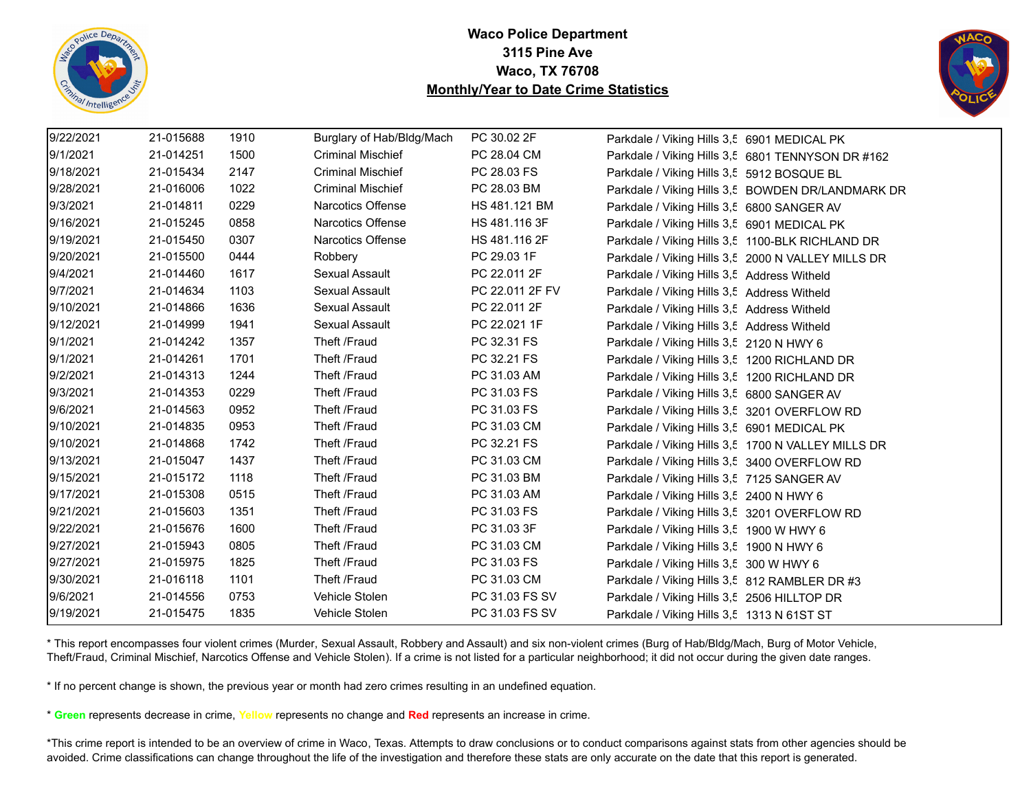



| 9/22/2021 | 21-015688 | 1910 | Burglary of Hab/Bldg/Mach | PC 30.02 2F     | Parkdale / Viking Hills 3,5 6901 MEDICAL PK        |
|-----------|-----------|------|---------------------------|-----------------|----------------------------------------------------|
| 9/1/2021  | 21-014251 | 1500 | <b>Criminal Mischief</b>  | PC 28.04 CM     | Parkdale / Viking Hills 3,5 6801 TENNYSON DR #162  |
| 9/18/2021 | 21-015434 | 2147 | <b>Criminal Mischief</b>  | PC 28.03 FS     | Parkdale / Viking Hills 3,5 5912 BOSQUE BL         |
| 9/28/2021 | 21-016006 | 1022 | <b>Criminal Mischief</b>  | PC 28.03 BM     | Parkdale / Viking Hills 3,5 BOWDEN DR/LANDMARK DR  |
| 9/3/2021  | 21-014811 | 0229 | Narcotics Offense         | HS 481.121 BM   | Parkdale / Viking Hills 3,5 6800 SANGER AV         |
| 9/16/2021 | 21-015245 | 0858 | Narcotics Offense         | HS 481.116 3F   | Parkdale / Viking Hills 3,5 6901 MEDICAL PK        |
| 9/19/2021 | 21-015450 | 0307 | Narcotics Offense         | HS 481.116 2F   | Parkdale / Viking Hills 3,5 1100-BLK RICHLAND DR   |
| 9/20/2021 | 21-015500 | 0444 | Robbery                   | PC 29.03 1F     | Parkdale / Viking Hills 3,5 2000 N VALLEY MILLS DR |
| 9/4/2021  | 21-014460 | 1617 | Sexual Assault            | PC 22.011 2F    | Parkdale / Viking Hills 3,5 Address Witheld        |
| 9/7/2021  | 21-014634 | 1103 | Sexual Assault            | PC 22.011 2F FV | Parkdale / Viking Hills 3,5 Address Witheld        |
| 9/10/2021 | 21-014866 | 1636 | Sexual Assault            | PC 22.011 2F    | Parkdale / Viking Hills 3,5 Address Witheld        |
| 9/12/2021 | 21-014999 | 1941 | Sexual Assault            | PC 22.021 1F    | Parkdale / Viking Hills 3,5 Address Witheld        |
| 9/1/2021  | 21-014242 | 1357 | Theft /Fraud              | PC 32.31 FS     | Parkdale / Viking Hills 3,5 2120 N HWY 6           |
| 9/1/2021  | 21-014261 | 1701 | Theft /Fraud              | PC 32.21 FS     | Parkdale / Viking Hills 3,5 1200 RICHLAND DR       |
| 9/2/2021  | 21-014313 | 1244 | Theft /Fraud              | PC 31.03 AM     | Parkdale / Viking Hills 3,5 1200 RICHLAND DR       |
| 9/3/2021  | 21-014353 | 0229 | Theft /Fraud              | PC 31.03 FS     | Parkdale / Viking Hills 3,5 6800 SANGER AV         |
| 9/6/2021  | 21-014563 | 0952 | Theft /Fraud              | PC 31.03 FS     | Parkdale / Viking Hills 3,5 3201 OVERFLOW RD       |
| 9/10/2021 | 21-014835 | 0953 | Theft /Fraud              | PC 31.03 CM     | Parkdale / Viking Hills 3,5 6901 MEDICAL PK        |
| 9/10/2021 | 21-014868 | 1742 | Theft /Fraud              | PC 32.21 FS     | Parkdale / Viking Hills 3,5 1700 N VALLEY MILLS DR |
| 9/13/2021 | 21-015047 | 1437 | Theft /Fraud              | PC 31.03 CM     | Parkdale / Viking Hills 3,5 3400 OVERFLOW RD       |
| 9/15/2021 | 21-015172 | 1118 | Theft /Fraud              | PC 31.03 BM     | Parkdale / Viking Hills 3,5 7125 SANGER AV         |
| 9/17/2021 | 21-015308 | 0515 | Theft /Fraud              | PC 31.03 AM     | Parkdale / Viking Hills 3,5 2400 N HWY 6           |
| 9/21/2021 | 21-015603 | 1351 | Theft /Fraud              | PC 31.03 FS     | Parkdale / Viking Hills 3,5 3201 OVERFLOW RD       |
| 9/22/2021 | 21-015676 | 1600 | Theft /Fraud              | PC 31.03 3F     | Parkdale / Viking Hills 3,5 1900 W HWY 6           |
| 9/27/2021 | 21-015943 | 0805 | Theft /Fraud              | PC 31.03 CM     | Parkdale / Viking Hills 3,5 1900 N HWY 6           |
| 9/27/2021 | 21-015975 | 1825 | Theft /Fraud              | PC 31.03 FS     | Parkdale / Viking Hills 3,5 300 W HWY 6            |
| 9/30/2021 | 21-016118 | 1101 | Theft /Fraud              | PC 31.03 CM     | Parkdale / Viking Hills 3,5 812 RAMBLER DR #3      |
| 9/6/2021  | 21-014556 | 0753 | Vehicle Stolen            | PC 31.03 FS SV  | Parkdale / Viking Hills 3,5 2506 HILLTOP DR        |
| 9/19/2021 | 21-015475 | 1835 | Vehicle Stolen            | PC 31.03 FS SV  | Parkdale / Viking Hills 3,5 1313 N 61ST ST         |

\* This report encompasses four violent crimes (Murder, Sexual Assault, Robbery and Assault) and six non-violent crimes (Burg of Hab/Bldg/Mach, Burg of Motor Vehicle, Theft/Fraud, Criminal Mischief, Narcotics Offense and Vehicle Stolen). If a crime is not listed for a particular neighborhood; it did not occur during the given date ranges.

\* If no percent change is shown, the previous year or month had zero crimes resulting in an undefined equation.

\* **Green** represents decrease in crime, **Yellow** represents no change and **Red** represents an increase in crime.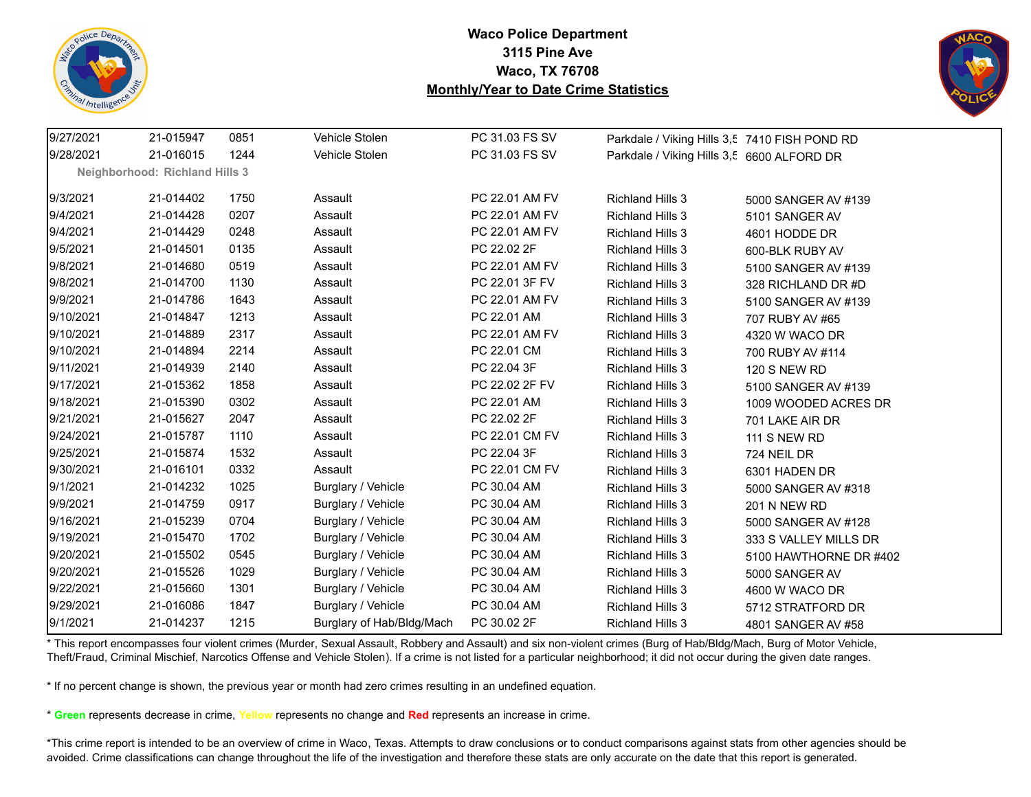



| 9/27/2021 | 21-015947                             | 0851 | Vehicle Stolen            | PC 31.03 FS SV | Parkdale / Viking Hills 3,5 7410 FISH POND RD |                        |
|-----------|---------------------------------------|------|---------------------------|----------------|-----------------------------------------------|------------------------|
| 9/28/2021 | 21-016015                             | 1244 | Vehicle Stolen            | PC 31.03 FS SV | Parkdale / Viking Hills 3,5 6600 ALFORD DR    |                        |
|           | <b>Neighborhood: Richland Hills 3</b> |      |                           |                |                                               |                        |
| 9/3/2021  | 21-014402                             | 1750 | Assault                   | PC 22.01 AM FV | <b>Richland Hills 3</b>                       | 5000 SANGER AV #139    |
| 9/4/2021  | 21-014428                             | 0207 | Assault                   | PC 22.01 AM FV | <b>Richland Hills 3</b>                       | 5101 SANGER AV         |
| 9/4/2021  | 21-014429                             | 0248 | Assault                   | PC 22.01 AM FV | <b>Richland Hills 3</b>                       | 4601 HODDE DR          |
| 9/5/2021  | 21-014501                             | 0135 | Assault                   | PC 22.02 2F    | <b>Richland Hills 3</b>                       | 600-BLK RUBY AV        |
| 9/8/2021  | 21-014680                             | 0519 | Assault                   | PC 22.01 AM FV | <b>Richland Hills 3</b>                       | 5100 SANGER AV #139    |
| 9/8/2021  | 21-014700                             | 1130 | Assault                   | PC 22.01 3F FV | <b>Richland Hills 3</b>                       | 328 RICHLAND DR #D     |
| 9/9/2021  | 21-014786                             | 1643 | Assault                   | PC 22.01 AM FV | <b>Richland Hills 3</b>                       | 5100 SANGER AV #139    |
| 9/10/2021 | 21-014847                             | 1213 | Assault                   | PC 22.01 AM    | <b>Richland Hills 3</b>                       | 707 RUBY AV #65        |
| 9/10/2021 | 21-014889                             | 2317 | Assault                   | PC 22.01 AM FV | <b>Richland Hills 3</b>                       | 4320 W WACO DR         |
| 9/10/2021 | 21-014894                             | 2214 | Assault                   | PC 22.01 CM    | <b>Richland Hills 3</b>                       | 700 RUBY AV #114       |
| 9/11/2021 | 21-014939                             | 2140 | Assault                   | PC 22.04 3F    | <b>Richland Hills 3</b>                       | <b>120 S NEW RD</b>    |
| 9/17/2021 | 21-015362                             | 1858 | Assault                   | PC 22.02 2F FV | <b>Richland Hills 3</b>                       | 5100 SANGER AV #139    |
| 9/18/2021 | 21-015390                             | 0302 | Assault                   | PC 22.01 AM    | <b>Richland Hills 3</b>                       | 1009 WOODED ACRES DR   |
| 9/21/2021 | 21-015627                             | 2047 | Assault                   | PC 22.02 2F    | <b>Richland Hills 3</b>                       | 701 LAKE AIR DR        |
| 9/24/2021 | 21-015787                             | 1110 | Assault                   | PC 22.01 CM FV | <b>Richland Hills 3</b>                       | <b>111 S NEW RD</b>    |
| 9/25/2021 | 21-015874                             | 1532 | Assault                   | PC 22.04 3F    | <b>Richland Hills 3</b>                       | 724 NEIL DR            |
| 9/30/2021 | 21-016101                             | 0332 | Assault                   | PC 22.01 CM FV | <b>Richland Hills 3</b>                       | 6301 HADEN DR          |
| 9/1/2021  | 21-014232                             | 1025 | Burglary / Vehicle        | PC 30.04 AM    | <b>Richland Hills 3</b>                       | 5000 SANGER AV #318    |
| 9/9/2021  | 21-014759                             | 0917 | Burglary / Vehicle        | PC 30.04 AM    | <b>Richland Hills 3</b>                       | <b>201 N NEW RD</b>    |
| 9/16/2021 | 21-015239                             | 0704 | Burglary / Vehicle        | PC 30.04 AM    | <b>Richland Hills 3</b>                       | 5000 SANGER AV #128    |
| 9/19/2021 | 21-015470                             | 1702 | Burglary / Vehicle        | PC 30.04 AM    | <b>Richland Hills 3</b>                       | 333 S VALLEY MILLS DR  |
| 9/20/2021 | 21-015502                             | 0545 | Burglary / Vehicle        | PC 30.04 AM    | <b>Richland Hills 3</b>                       | 5100 HAWTHORNE DR #402 |
| 9/20/2021 | 21-015526                             | 1029 | Burglary / Vehicle        | PC 30.04 AM    | <b>Richland Hills 3</b>                       | 5000 SANGER AV         |
| 9/22/2021 | 21-015660                             | 1301 | Burglary / Vehicle        | PC 30.04 AM    | <b>Richland Hills 3</b>                       | 4600 W WACO DR         |
| 9/29/2021 | 21-016086                             | 1847 | Burglary / Vehicle        | PC 30.04 AM    | <b>Richland Hills 3</b>                       | 5712 STRATFORD DR      |
| 9/1/2021  | 21-014237                             | 1215 | Burglary of Hab/Bldg/Mach | PC 30.02 2F    | <b>Richland Hills 3</b>                       | 4801 SANGER AV #58     |

\* This report encompasses four violent crimes (Murder, Sexual Assault, Robbery and Assault) and six non-violent crimes (Burg of Hab/Bldg/Mach, Burg of Motor Vehicle, Theft/Fraud, Criminal Mischief, Narcotics Offense and Vehicle Stolen). If a crime is not listed for a particular neighborhood; it did not occur during the given date ranges.

\* If no percent change is shown, the previous year or month had zero crimes resulting in an undefined equation.

\* **Green** represents decrease in crime, **Yellow** represents no change and **Red** represents an increase in crime.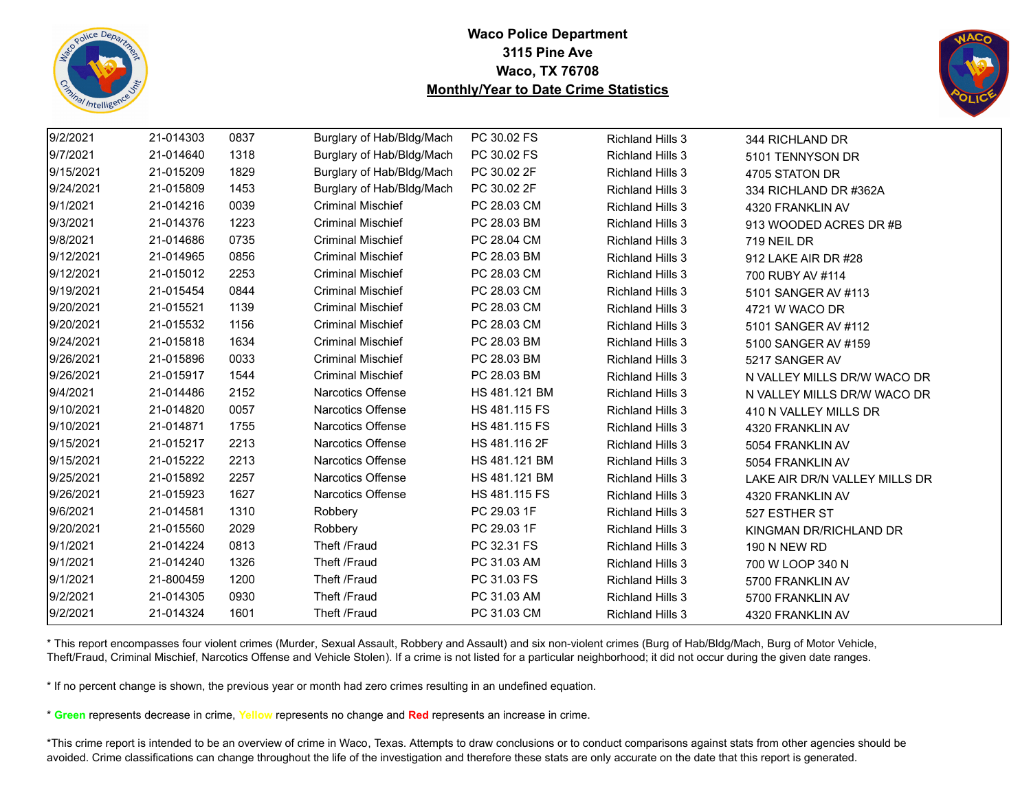



| 9/2/2021  | 21-014303 | 0837 | Burglary of Hab/Bldg/Mach | PC 30.02 FS   | <b>Richland Hills 3</b> | 344 RICHLAND DR               |
|-----------|-----------|------|---------------------------|---------------|-------------------------|-------------------------------|
| 9/7/2021  | 21-014640 | 1318 | Burglary of Hab/Bldg/Mach | PC 30.02 FS   | <b>Richland Hills 3</b> | 5101 TENNYSON DR              |
| 9/15/2021 | 21-015209 | 1829 | Burglary of Hab/Bldg/Mach | PC 30.02 2F   | <b>Richland Hills 3</b> | 4705 STATON DR                |
| 9/24/2021 | 21-015809 | 1453 | Burglary of Hab/Bldg/Mach | PC 30.02 2F   | <b>Richland Hills 3</b> | 334 RICHLAND DR #362A         |
| 9/1/2021  | 21-014216 | 0039 | <b>Criminal Mischief</b>  | PC 28.03 CM   | <b>Richland Hills 3</b> | 4320 FRANKLIN AV              |
| 9/3/2021  | 21-014376 | 1223 | <b>Criminal Mischief</b>  | PC 28.03 BM   | <b>Richland Hills 3</b> | 913 WOODED ACRES DR #B        |
| 9/8/2021  | 21-014686 | 0735 | <b>Criminal Mischief</b>  | PC 28.04 CM   | <b>Richland Hills 3</b> | 719 NEIL DR                   |
| 9/12/2021 | 21-014965 | 0856 | <b>Criminal Mischief</b>  | PC 28.03 BM   | <b>Richland Hills 3</b> | 912 LAKE AIR DR #28           |
| 9/12/2021 | 21-015012 | 2253 | <b>Criminal Mischief</b>  | PC 28.03 CM   | <b>Richland Hills 3</b> | 700 RUBY AV #114              |
| 9/19/2021 | 21-015454 | 0844 | <b>Criminal Mischief</b>  | PC 28.03 CM   | <b>Richland Hills 3</b> | 5101 SANGER AV #113           |
| 9/20/2021 | 21-015521 | 1139 | <b>Criminal Mischief</b>  | PC 28.03 CM   | <b>Richland Hills 3</b> | 4721 W WACO DR                |
| 9/20/2021 | 21-015532 | 1156 | <b>Criminal Mischief</b>  | PC 28.03 CM   | <b>Richland Hills 3</b> | 5101 SANGER AV #112           |
| 9/24/2021 | 21-015818 | 1634 | <b>Criminal Mischief</b>  | PC 28.03 BM   | <b>Richland Hills 3</b> | 5100 SANGER AV #159           |
| 9/26/2021 | 21-015896 | 0033 | <b>Criminal Mischief</b>  | PC 28.03 BM   | <b>Richland Hills 3</b> | 5217 SANGER AV                |
| 9/26/2021 | 21-015917 | 1544 | <b>Criminal Mischief</b>  | PC 28.03 BM   | <b>Richland Hills 3</b> | N VALLEY MILLS DR/W WACO DR   |
| 9/4/2021  | 21-014486 | 2152 | <b>Narcotics Offense</b>  | HS 481.121 BM | <b>Richland Hills 3</b> | N VALLEY MILLS DR/W WACO DR   |
| 9/10/2021 | 21-014820 | 0057 | Narcotics Offense         | HS 481.115 FS | <b>Richland Hills 3</b> | 410 N VALLEY MILLS DR         |
| 9/10/2021 | 21-014871 | 1755 | <b>Narcotics Offense</b>  | HS 481.115 FS | <b>Richland Hills 3</b> | 4320 FRANKLIN AV              |
| 9/15/2021 | 21-015217 | 2213 | <b>Narcotics Offense</b>  | HS 481.116 2F | <b>Richland Hills 3</b> | 5054 FRANKLIN AV              |
| 9/15/2021 | 21-015222 | 2213 | Narcotics Offense         | HS 481.121 BM | <b>Richland Hills 3</b> | 5054 FRANKLIN AV              |
| 9/25/2021 | 21-015892 | 2257 | <b>Narcotics Offense</b>  | HS 481.121 BM | <b>Richland Hills 3</b> | LAKE AIR DR/N VALLEY MILLS DR |
| 9/26/2021 | 21-015923 | 1627 | <b>Narcotics Offense</b>  | HS 481.115 FS | <b>Richland Hills 3</b> | 4320 FRANKLIN AV              |
| 9/6/2021  | 21-014581 | 1310 | Robbery                   | PC 29.03 1F   | <b>Richland Hills 3</b> | 527 ESTHER ST                 |
| 9/20/2021 | 21-015560 | 2029 | Robbery                   | PC 29.03 1F   | <b>Richland Hills 3</b> | KINGMAN DR/RICHLAND DR        |
| 9/1/2021  | 21-014224 | 0813 | Theft /Fraud              | PC 32.31 FS   | <b>Richland Hills 3</b> | <b>190 N NEW RD</b>           |
| 9/1/2021  | 21-014240 | 1326 | Theft /Fraud              | PC 31.03 AM   | <b>Richland Hills 3</b> | 700 W LOOP 340 N              |
| 9/1/2021  | 21-800459 | 1200 | Theft /Fraud              | PC 31.03 FS   | <b>Richland Hills 3</b> | 5700 FRANKLIN AV              |
| 9/2/2021  | 21-014305 | 0930 | Theft /Fraud              | PC 31.03 AM   | <b>Richland Hills 3</b> | 5700 FRANKLIN AV              |
| 9/2/2021  | 21-014324 | 1601 | Theft /Fraud              | PC 31.03 CM   | <b>Richland Hills 3</b> | 4320 FRANKLIN AV              |
|           |           |      |                           |               |                         |                               |

\* This report encompasses four violent crimes (Murder, Sexual Assault, Robbery and Assault) and six non-violent crimes (Burg of Hab/Bldg/Mach, Burg of Motor Vehicle, Theft/Fraud, Criminal Mischief, Narcotics Offense and Vehicle Stolen). If a crime is not listed for a particular neighborhood; it did not occur during the given date ranges.

\* If no percent change is shown, the previous year or month had zero crimes resulting in an undefined equation.

\* **Green** represents decrease in crime, **Yellow** represents no change and **Red** represents an increase in crime.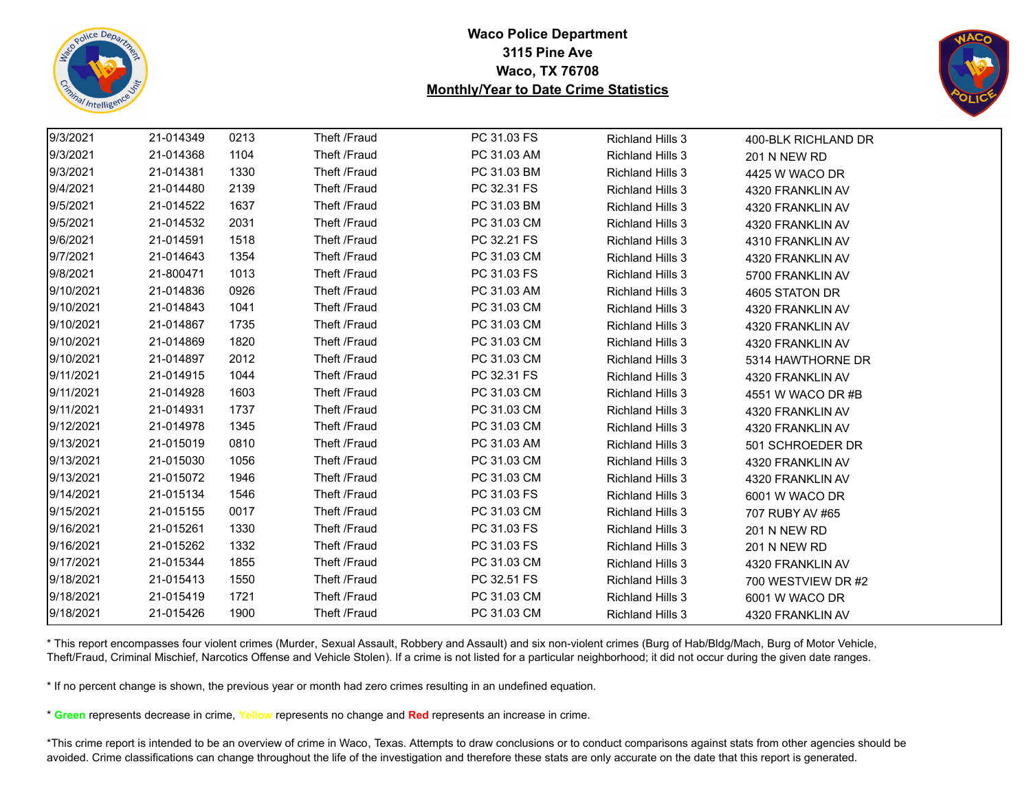



| 9/3/2021  | 21-014349 | 0213 | Theft /Fraud | PC 31.03 FS | <b>Richland Hills 3</b> | 400-BLK RICHLAND DR |
|-----------|-----------|------|--------------|-------------|-------------------------|---------------------|
| 9/3/2021  | 21-014368 | 1104 | Theft /Fraud | PC 31.03 AM | <b>Richland Hills 3</b> | 201 N NEW RD        |
| 9/3/2021  | 21-014381 | 1330 | Theft /Fraud | PC 31.03 BM | <b>Richland Hills 3</b> | 4425 W WACO DR      |
| 9/4/2021  | 21-014480 | 2139 | Theft /Fraud | PC 32.31 FS | <b>Richland Hills 3</b> | 4320 FRANKLIN AV    |
| 9/5/2021  | 21-014522 | 1637 | Theft /Fraud | PC 31.03 BM | <b>Richland Hills 3</b> | 4320 FRANKLIN AV    |
| 9/5/2021  | 21-014532 | 2031 | Theft /Fraud | PC 31.03 CM | <b>Richland Hills 3</b> | 4320 FRANKLIN AV    |
| 9/6/2021  | 21-014591 | 1518 | Theft /Fraud | PC 32.21 FS | <b>Richland Hills 3</b> | 4310 FRANKLIN AV    |
| 9/7/2021  | 21-014643 | 1354 | Theft /Fraud | PC 31.03 CM | <b>Richland Hills 3</b> | 4320 FRANKLIN AV    |
| 9/8/2021  | 21-800471 | 1013 | Theft /Fraud | PC 31.03 FS | Richland Hills 3        | 5700 FRANKLIN AV    |
| 9/10/2021 | 21-014836 | 0926 | Theft /Fraud | PC 31.03 AM | <b>Richland Hills 3</b> | 4605 STATON DR      |
| 9/10/2021 | 21-014843 | 1041 | Theft /Fraud | PC 31.03 CM | <b>Richland Hills 3</b> | 4320 FRANKLIN AV    |
| 9/10/2021 | 21-014867 | 1735 | Theft /Fraud | PC 31.03 CM | <b>Richland Hills 3</b> | 4320 FRANKLIN AV    |
| 9/10/2021 | 21-014869 | 1820 | Theft /Fraud | PC 31.03 CM | <b>Richland Hills 3</b> | 4320 FRANKLIN AV    |
| 9/10/2021 | 21-014897 | 2012 | Theft /Fraud | PC 31.03 CM | <b>Richland Hills 3</b> | 5314 HAWTHORNE DR   |
| 9/11/2021 | 21-014915 | 1044 | Theft /Fraud | PC 32.31 FS | <b>Richland Hills 3</b> | 4320 FRANKLIN AV    |
| 9/11/2021 | 21-014928 | 1603 | Theft /Fraud | PC 31.03 CM | <b>Richland Hills 3</b> | 4551 W WACO DR #B   |
| 9/11/2021 | 21-014931 | 1737 | Theft /Fraud | PC 31.03 CM | <b>Richland Hills 3</b> | 4320 FRANKLIN AV    |
| 9/12/2021 | 21-014978 | 1345 | Theft /Fraud | PC 31.03 CM | <b>Richland Hills 3</b> | 4320 FRANKLIN AV    |
| 9/13/2021 | 21-015019 | 0810 | Theft /Fraud | PC 31.03 AM | <b>Richland Hills 3</b> | 501 SCHROEDER DR    |
| 9/13/2021 | 21-015030 | 1056 | Theft /Fraud | PC 31.03 CM | <b>Richland Hills 3</b> | 4320 FRANKLIN AV    |
| 9/13/2021 | 21-015072 | 1946 | Theft /Fraud | PC 31.03 CM | <b>Richland Hills 3</b> | 4320 FRANKLIN AV    |
| 9/14/2021 | 21-015134 | 1546 | Theft /Fraud | PC 31.03 FS | <b>Richland Hills 3</b> | 6001 W WACO DR      |
| 9/15/2021 | 21-015155 | 0017 | Theft /Fraud | PC 31.03 CM | <b>Richland Hills 3</b> | 707 RUBY AV #65     |
| 9/16/2021 | 21-015261 | 1330 | Theft /Fraud | PC 31.03 FS | <b>Richland Hills 3</b> | 201 N NEW RD        |
| 9/16/2021 | 21-015262 | 1332 | Theft /Fraud | PC 31.03 FS | <b>Richland Hills 3</b> | 201 N NEW RD        |
| 9/17/2021 | 21-015344 | 1855 | Theft /Fraud | PC 31.03 CM | <b>Richland Hills 3</b> | 4320 FRANKLIN AV    |
| 9/18/2021 | 21-015413 | 1550 | Theft /Fraud | PC 32.51 FS | <b>Richland Hills 3</b> | 700 WESTVIEW DR #2  |
| 9/18/2021 | 21-015419 | 1721 | Theft /Fraud | PC 31.03 CM | <b>Richland Hills 3</b> | 6001 W WACO DR      |
| 9/18/2021 | 21-015426 | 1900 | Theft /Fraud | PC 31.03 CM | <b>Richland Hills 3</b> | 4320 FRANKLIN AV    |

\* This report encompasses four violent crimes (Murder, Sexual Assault, Robbery and Assault) and six non-violent crimes (Burg of Hab/Bldg/Mach, Burg of Motor Vehicle, Theft/Fraud, Criminal Mischief, Narcotics Offense and Vehicle Stolen). If a crime is not listed for a particular neighborhood; it did not occur during the given date ranges.

\* If no percent change is shown, the previous year or month had zero crimes resulting in an undefined equation.

\* **Green** represents decrease in crime, **Yellow** represents no change and **Red** represents an increase in crime.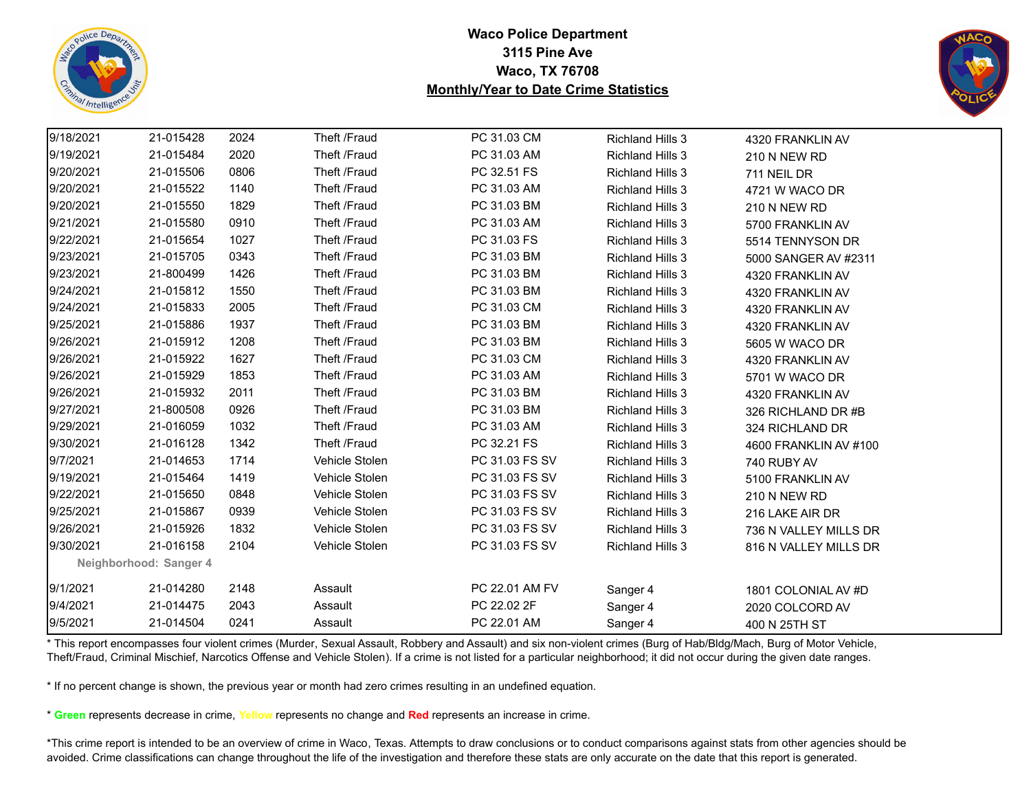



| 9/18/2021 | 21-015428              | 2024 | Theft /Fraud   | PC 31.03 CM    | <b>Richland Hills 3</b> | 4320 FRANKLIN AV      |
|-----------|------------------------|------|----------------|----------------|-------------------------|-----------------------|
| 9/19/2021 | 21-015484              | 2020 | Theft /Fraud   | PC 31.03 AM    | <b>Richland Hills 3</b> | 210 N NEW RD          |
| 9/20/2021 | 21-015506              | 0806 | Theft /Fraud   | PC 32.51 FS    | <b>Richland Hills 3</b> | 711 NEIL DR           |
| 9/20/2021 | 21-015522              | 1140 | Theft /Fraud   | PC 31.03 AM    | <b>Richland Hills 3</b> | 4721 W WACO DR        |
| 9/20/2021 | 21-015550              | 1829 | Theft /Fraud   | PC 31.03 BM    | <b>Richland Hills 3</b> | 210 N NEW RD          |
| 9/21/2021 | 21-015580              | 0910 | Theft /Fraud   | PC 31.03 AM    | <b>Richland Hills 3</b> | 5700 FRANKLIN AV      |
| 9/22/2021 | 21-015654              | 1027 | Theft /Fraud   | PC 31.03 FS    | <b>Richland Hills 3</b> | 5514 TENNYSON DR      |
| 9/23/2021 | 21-015705              | 0343 | Theft /Fraud   | PC 31.03 BM    | <b>Richland Hills 3</b> | 5000 SANGER AV #2311  |
| 9/23/2021 | 21-800499              | 1426 | Theft /Fraud   | PC 31.03 BM    | <b>Richland Hills 3</b> | 4320 FRANKLIN AV      |
| 9/24/2021 | 21-015812              | 1550 | Theft /Fraud   | PC 31.03 BM    | <b>Richland Hills 3</b> | 4320 FRANKLIN AV      |
| 9/24/2021 | 21-015833              | 2005 | Theft /Fraud   | PC 31.03 CM    | <b>Richland Hills 3</b> | 4320 FRANKLIN AV      |
| 9/25/2021 | 21-015886              | 1937 | Theft /Fraud   | PC 31.03 BM    | <b>Richland Hills 3</b> | 4320 FRANKLIN AV      |
| 9/26/2021 | 21-015912              | 1208 | Theft /Fraud   | PC 31.03 BM    | <b>Richland Hills 3</b> | 5605 W WACO DR        |
| 9/26/2021 | 21-015922              | 1627 | Theft /Fraud   | PC 31.03 CM    | <b>Richland Hills 3</b> | 4320 FRANKLIN AV      |
| 9/26/2021 | 21-015929              | 1853 | Theft /Fraud   | PC 31.03 AM    | <b>Richland Hills 3</b> | 5701 W WACO DR        |
| 9/26/2021 | 21-015932              | 2011 | Theft /Fraud   | PC 31.03 BM    | <b>Richland Hills 3</b> | 4320 FRANKLIN AV      |
| 9/27/2021 | 21-800508              | 0926 | Theft /Fraud   | PC 31.03 BM    | <b>Richland Hills 3</b> | 326 RICHLAND DR #B    |
| 9/29/2021 | 21-016059              | 1032 | Theft /Fraud   | PC 31.03 AM    | <b>Richland Hills 3</b> | 324 RICHLAND DR       |
| 9/30/2021 | 21-016128              | 1342 | Theft /Fraud   | PC 32.21 FS    | <b>Richland Hills 3</b> | 4600 FRANKLIN AV #100 |
| 9/7/2021  | 21-014653              | 1714 | Vehicle Stolen | PC 31.03 FS SV | <b>Richland Hills 3</b> | 740 RUBY AV           |
| 9/19/2021 | 21-015464              | 1419 | Vehicle Stolen | PC 31.03 FS SV | <b>Richland Hills 3</b> | 5100 FRANKLIN AV      |
| 9/22/2021 | 21-015650              | 0848 | Vehicle Stolen | PC 31.03 FS SV | <b>Richland Hills 3</b> | 210 N NEW RD          |
| 9/25/2021 | 21-015867              | 0939 | Vehicle Stolen | PC 31.03 FS SV | <b>Richland Hills 3</b> | 216 LAKE AIR DR       |
| 9/26/2021 | 21-015926              | 1832 | Vehicle Stolen | PC 31.03 FS SV | <b>Richland Hills 3</b> | 736 N VALLEY MILLS DR |
| 9/30/2021 | 21-016158              | 2104 | Vehicle Stolen | PC 31.03 FS SV | <b>Richland Hills 3</b> | 816 N VALLEY MILLS DR |
|           | Neighborhood: Sanger 4 |      |                |                |                         |                       |
| 9/1/2021  | 21-014280              | 2148 | Assault        | PC 22.01 AM FV | Sanger 4                | 1801 COLONIAL AV #D   |
| 9/4/2021  | 21-014475              | 2043 | Assault        | PC 22.02 2F    | Sanger 4                | 2020 COLCORD AV       |
| 9/5/2021  | 21-014504              | 0241 | Assault        | PC 22.01 AM    | Sanger 4                | 400 N 25TH ST         |

\* This report encompasses four violent crimes (Murder, Sexual Assault, Robbery and Assault) and six non-violent crimes (Burg of Hab/Bldg/Mach, Burg of Motor Vehicle, Theft/Fraud, Criminal Mischief, Narcotics Offense and Vehicle Stolen). If a crime is not listed for a particular neighborhood; it did not occur during the given date ranges.

\* If no percent change is shown, the previous year or month had zero crimes resulting in an undefined equation.

\* **Green** represents decrease in crime, **Yellow** represents no change and **Red** represents an increase in crime.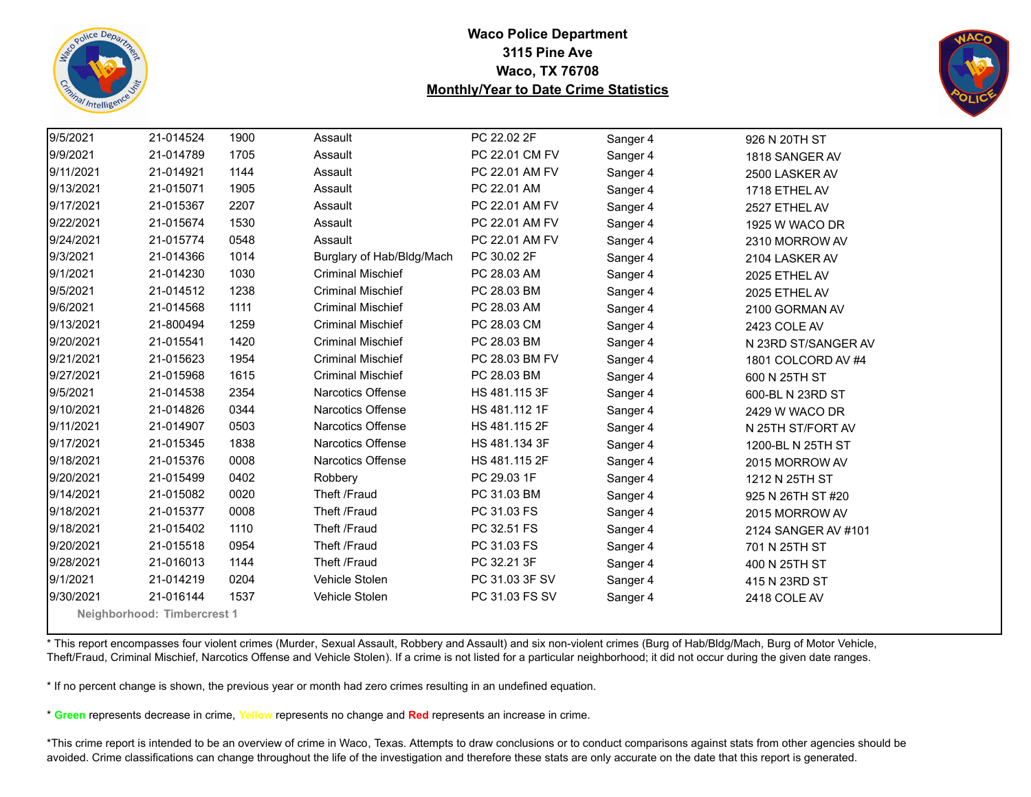



| 9/5/2021  | 21-014524                   | 1900 | Assault                   | PC 22.02 2F    | Sanger 4 | 926 N 20TH ST       |  |
|-----------|-----------------------------|------|---------------------------|----------------|----------|---------------------|--|
| 9/9/2021  | 21-014789                   | 1705 | Assault                   | PC 22.01 CM FV | Sanger 4 | 1818 SANGER AV      |  |
| 9/11/2021 | 21-014921                   | 1144 | Assault                   | PC 22.01 AM FV | Sanger 4 | 2500 LASKER AV      |  |
| 9/13/2021 | 21-015071                   | 1905 | Assault                   | PC 22.01 AM    | Sanger 4 | 1718 ETHEL AV       |  |
| 9/17/2021 | 21-015367                   | 2207 | Assault                   | PC 22.01 AM FV | Sanger 4 | 2527 ETHEL AV       |  |
| 9/22/2021 | 21-015674                   | 1530 | Assault                   | PC 22.01 AM FV | Sanger 4 | 1925 W WACO DR      |  |
| 9/24/2021 | 21-015774                   | 0548 | Assault                   | PC 22.01 AM FV | Sanger 4 | 2310 MORROW AV      |  |
| 9/3/2021  | 21-014366                   | 1014 | Burglary of Hab/Bldg/Mach | PC 30.02 2F    | Sanger 4 | 2104 LASKER AV      |  |
| 9/1/2021  | 21-014230                   | 1030 | <b>Criminal Mischief</b>  | PC 28.03 AM    | Sanger 4 | 2025 ETHEL AV       |  |
| 9/5/2021  | 21-014512                   | 1238 | <b>Criminal Mischief</b>  | PC 28.03 BM    | Sanger 4 | 2025 ETHEL AV       |  |
| 9/6/2021  | 21-014568                   | 1111 | <b>Criminal Mischief</b>  | PC 28.03 AM    | Sanger 4 | 2100 GORMAN AV      |  |
| 9/13/2021 | 21-800494                   | 1259 | <b>Criminal Mischief</b>  | PC 28.03 CM    | Sanger 4 | 2423 COLE AV        |  |
| 9/20/2021 | 21-015541                   | 1420 | <b>Criminal Mischief</b>  | PC 28.03 BM    | Sanger 4 | N 23RD ST/SANGER AV |  |
| 9/21/2021 | 21-015623                   | 1954 | <b>Criminal Mischief</b>  | PC 28.03 BM FV | Sanger 4 | 1801 COLCORD AV #4  |  |
| 9/27/2021 | 21-015968                   | 1615 | <b>Criminal Mischief</b>  | PC 28.03 BM    | Sanger 4 | 600 N 25TH ST       |  |
| 9/5/2021  | 21-014538                   | 2354 | Narcotics Offense         | HS 481.115 3F  | Sanger 4 | 600-BL N 23RD ST    |  |
| 9/10/2021 | 21-014826                   | 0344 | <b>Narcotics Offense</b>  | HS 481.112 1F  | Sanger 4 | 2429 W WACO DR      |  |
| 9/11/2021 | 21-014907                   | 0503 | <b>Narcotics Offense</b>  | HS 481.115 2F  | Sanger 4 | N 25TH ST/FORT AV   |  |
| 9/17/2021 | 21-015345                   | 1838 | <b>Narcotics Offense</b>  | HS 481.134 3F  | Sanger 4 | 1200-BL N 25TH ST   |  |
| 9/18/2021 | 21-015376                   | 0008 | Narcotics Offense         | HS 481.115 2F  | Sanger 4 | 2015 MORROW AV      |  |
| 9/20/2021 | 21-015499                   | 0402 | Robbery                   | PC 29.03 1F    | Sanger 4 | 1212 N 25TH ST      |  |
| 9/14/2021 | 21-015082                   | 0020 | Theft /Fraud              | PC 31.03 BM    | Sanger 4 | 925 N 26TH ST #20   |  |
| 9/18/2021 | 21-015377                   | 0008 | Theft /Fraud              | PC 31.03 FS    | Sanger 4 | 2015 MORROW AV      |  |
| 9/18/2021 | 21-015402                   | 1110 | Theft /Fraud              | PC 32.51 FS    | Sanger 4 | 2124 SANGER AV #101 |  |
| 9/20/2021 | 21-015518                   | 0954 | Theft /Fraud              | PC 31.03 FS    | Sanger 4 | 701 N 25TH ST       |  |
| 9/28/2021 | 21-016013                   | 1144 | Theft /Fraud              | PC 32.21 3F    | Sanger 4 | 400 N 25TH ST       |  |
| 9/1/2021  | 21-014219                   | 0204 | Vehicle Stolen            | PC 31.03 3F SV | Sanger 4 | 415 N 23RD ST       |  |
| 9/30/2021 | 21-016144                   | 1537 | Vehicle Stolen            | PC 31.03 FS SV | Sanger 4 | 2418 COLE AV        |  |
|           | Neighborhood: Timbercrest 1 |      |                           |                |          |                     |  |

\* This report encompasses four violent crimes (Murder, Sexual Assault, Robbery and Assault) and six non-violent crimes (Burg of Hab/Bldg/Mach, Burg of Motor Vehicle, Theft/Fraud, Criminal Mischief, Narcotics Offense and Vehicle Stolen). If a crime is not listed for a particular neighborhood; it did not occur during the given date ranges.

\* If no percent change is shown, the previous year or month had zero crimes resulting in an undefined equation.

\* **Green** represents decrease in crime, **Yellow** represents no change and **Red** represents an increase in crime.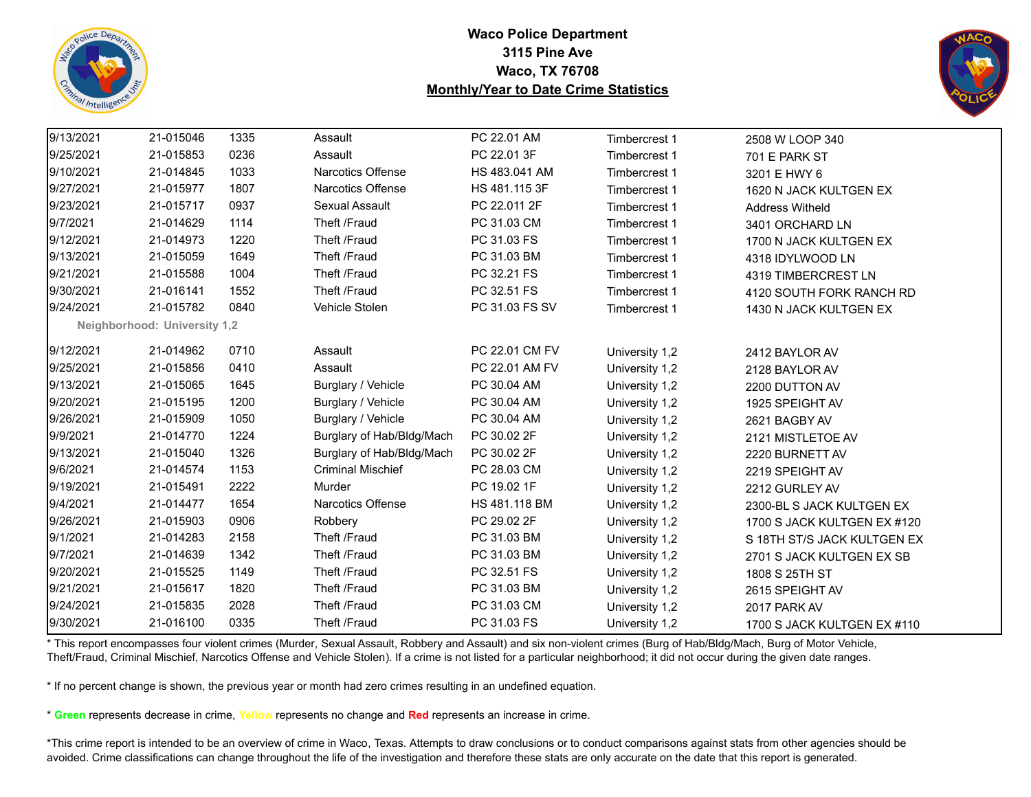



| 9/13/2021 | 21-015046                    | 1335 | Assault                   | PC 22.01 AM    | Timbercrest 1  | 2508 W LOOP 340             |
|-----------|------------------------------|------|---------------------------|----------------|----------------|-----------------------------|
| 9/25/2021 | 21-015853                    | 0236 | Assault                   | PC 22.01 3F    | Timbercrest 1  | 701 E PARK ST               |
| 9/10/2021 | 21-014845                    | 1033 | Narcotics Offense         | HS 483.041 AM  | Timbercrest 1  | 3201 E HWY 6                |
| 9/27/2021 | 21-015977                    | 1807 | Narcotics Offense         | HS 481.115 3F  | Timbercrest 1  | 1620 N JACK KULTGEN EX      |
| 9/23/2021 | 21-015717                    | 0937 | Sexual Assault            | PC 22.011 2F   | Timbercrest 1  | <b>Address Witheld</b>      |
| 9/7/2021  | 21-014629                    | 1114 | Theft /Fraud              | PC 31.03 CM    | Timbercrest 1  | 3401 ORCHARD LN             |
| 9/12/2021 | 21-014973                    | 1220 | Theft /Fraud              | PC 31.03 FS    | Timbercrest 1  | 1700 N JACK KULTGEN EX      |
| 9/13/2021 | 21-015059                    | 1649 | Theft /Fraud              | PC 31.03 BM    | Timbercrest 1  | 4318 IDYLWOOD LN            |
| 9/21/2021 | 21-015588                    | 1004 | Theft /Fraud              | PC 32.21 FS    | Timbercrest 1  | 4319 TIMBERCREST LN         |
| 9/30/2021 | 21-016141                    | 1552 | Theft /Fraud              | PC 32.51 FS    | Timbercrest 1  | 4120 SOUTH FORK RANCH RD    |
| 9/24/2021 | 21-015782                    | 0840 | Vehicle Stolen            | PC 31.03 FS SV | Timbercrest 1  | 1430 N JACK KULTGEN EX      |
|           | Neighborhood: University 1,2 |      |                           |                |                |                             |
| 9/12/2021 | 21-014962                    | 0710 | Assault                   | PC 22.01 CM FV | University 1,2 | 2412 BAYLOR AV              |
| 9/25/2021 | 21-015856                    | 0410 | Assault                   | PC 22.01 AM FV | University 1,2 | 2128 BAYLOR AV              |
| 9/13/2021 | 21-015065                    | 1645 | Burglary / Vehicle        | PC 30.04 AM    | University 1,2 | 2200 DUTTON AV              |
| 9/20/2021 | 21-015195                    | 1200 | Burglary / Vehicle        | PC 30.04 AM    | University 1,2 | 1925 SPEIGHT AV             |
| 9/26/2021 | 21-015909                    | 1050 | Burglary / Vehicle        | PC 30.04 AM    | University 1,2 | 2621 BAGBY AV               |
| 9/9/2021  | 21-014770                    | 1224 | Burglary of Hab/Bldg/Mach | PC 30.02 2F    | University 1,2 | 2121 MISTLETOE AV           |
| 9/13/2021 | 21-015040                    | 1326 | Burglary of Hab/Bldg/Mach | PC 30.02 2F    | University 1,2 | 2220 BURNETT AV             |
| 9/6/2021  | 21-014574                    | 1153 | <b>Criminal Mischief</b>  | PC 28.03 CM    | University 1,2 | 2219 SPEIGHT AV             |
| 9/19/2021 | 21-015491                    | 2222 | Murder                    | PC 19.02 1F    | University 1,2 | 2212 GURLEY AV              |
| 9/4/2021  | 21-014477                    | 1654 | Narcotics Offense         | HS 481.118 BM  | University 1,2 | 2300-BL S JACK KULTGEN EX   |
| 9/26/2021 | 21-015903                    | 0906 | Robbery                   | PC 29.02 2F    | University 1,2 | 1700 S JACK KULTGEN EX #120 |
| 9/1/2021  | 21-014283                    | 2158 | Theft /Fraud              | PC 31.03 BM    | University 1,2 | S 18TH ST/S JACK KULTGEN EX |
| 9/7/2021  | 21-014639                    | 1342 | Theft /Fraud              | PC 31.03 BM    | University 1,2 | 2701 S JACK KULTGEN EX SB   |
| 9/20/2021 | 21-015525                    | 1149 | Theft /Fraud              | PC 32.51 FS    | University 1,2 | 1808 S 25TH ST              |
| 9/21/2021 | 21-015617                    | 1820 | Theft /Fraud              | PC 31.03 BM    | University 1,2 | 2615 SPEIGHT AV             |
| 9/24/2021 | 21-015835                    | 2028 | Theft /Fraud              | PC 31.03 CM    | University 1,2 | 2017 PARK AV                |
| 9/30/2021 | 21-016100                    | 0335 | Theft /Fraud              | PC 31.03 FS    | University 1,2 | 1700 S JACK KULTGEN EX #110 |

\* This report encompasses four violent crimes (Murder, Sexual Assault, Robbery and Assault) and six non-violent crimes (Burg of Hab/Bldg/Mach, Burg of Motor Vehicle, Theft/Fraud, Criminal Mischief, Narcotics Offense and Vehicle Stolen). If a crime is not listed for a particular neighborhood; it did not occur during the given date ranges.

\* If no percent change is shown, the previous year or month had zero crimes resulting in an undefined equation.

\* **Green** represents decrease in crime, **Yellow** represents no change and **Red** represents an increase in crime.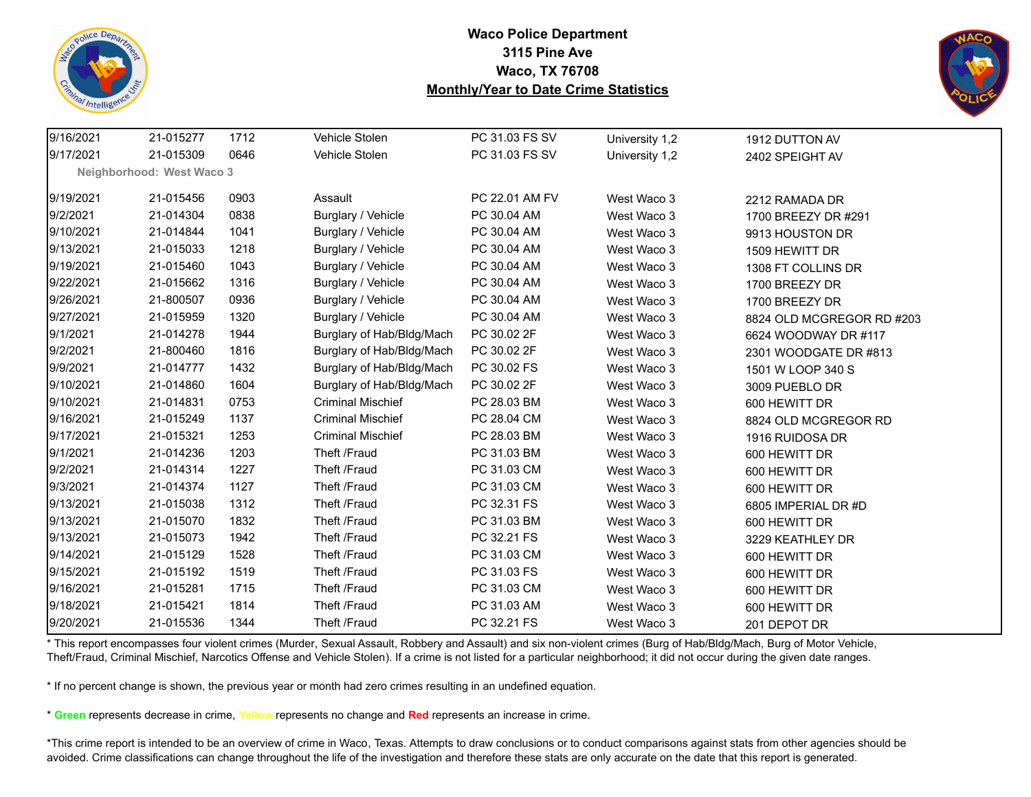



| 9/16/2021 | 21-015277                 | 1712 | Vehicle Stolen            | PC 31.03 FS SV | University 1,2 | 1912 DUTTON AV            |
|-----------|---------------------------|------|---------------------------|----------------|----------------|---------------------------|
| 9/17/2021 | 21-015309                 | 0646 | Vehicle Stolen            | PC 31.03 FS SV | University 1,2 | 2402 SPEIGHT AV           |
|           | Neighborhood: West Waco 3 |      |                           |                |                |                           |
| 9/19/2021 | 21-015456                 | 0903 | Assault                   | PC 22.01 AM FV | West Waco 3    | 2212 RAMADA DR            |
| 9/2/2021  | 21-014304                 | 0838 | Burglary / Vehicle        | PC 30.04 AM    | West Waco 3    | 1700 BREEZY DR #291       |
| 9/10/2021 | 21-014844                 | 1041 | Burglary / Vehicle        | PC 30.04 AM    | West Waco 3    | 9913 HOUSTON DR           |
| 9/13/2021 | 21-015033                 | 1218 | Burglary / Vehicle        | PC 30.04 AM    | West Waco 3    | 1509 HEWITT DR            |
| 9/19/2021 | 21-015460                 | 1043 | Burglary / Vehicle        | PC 30.04 AM    | West Waco 3    | 1308 FT COLLINS DR        |
| 9/22/2021 | 21-015662                 | 1316 | Burglary / Vehicle        | PC 30.04 AM    | West Waco 3    | 1700 BREEZY DR            |
| 9/26/2021 | 21-800507                 | 0936 | Burglary / Vehicle        | PC 30.04 AM    | West Waco 3    | 1700 BREEZY DR            |
| 9/27/2021 | 21-015959                 | 1320 | Burglary / Vehicle        | PC 30.04 AM    | West Waco 3    | 8824 OLD MCGREGOR RD #203 |
| 9/1/2021  | 21-014278                 | 1944 | Burglary of Hab/Bldg/Mach | PC 30.02 2F    | West Waco 3    | 6624 WOODWAY DR #117      |
| 9/2/2021  | 21-800460                 | 1816 | Burglary of Hab/Bldg/Mach | PC 30.02 2F    | West Waco 3    | 2301 WOODGATE DR #813     |
| 9/9/2021  | 21-014777                 | 1432 | Burglary of Hab/Bldg/Mach | PC 30.02 FS    | West Waco 3    | 1501 W LOOP 340 S         |
| 9/10/2021 | 21-014860                 | 1604 | Burglary of Hab/Bldg/Mach | PC 30.02 2F    | West Waco 3    | 3009 PUEBLO DR            |
| 9/10/2021 | 21-014831                 | 0753 | <b>Criminal Mischief</b>  | PC 28.03 BM    | West Waco 3    | 600 HEWITT DR             |
| 9/16/2021 | 21-015249                 | 1137 | <b>Criminal Mischief</b>  | PC 28.04 CM    | West Waco 3    | 8824 OLD MCGREGOR RD      |
| 9/17/2021 | 21-015321                 | 1253 | <b>Criminal Mischief</b>  | PC 28.03 BM    | West Waco 3    | 1916 RUIDOSA DR           |
| 9/1/2021  | 21-014236                 | 1203 | Theft /Fraud              | PC 31.03 BM    | West Waco 3    | 600 HEWITT DR             |
| 9/2/2021  | 21-014314                 | 1227 | Theft /Fraud              | PC 31.03 CM    | West Waco 3    | 600 HEWITT DR             |
| 9/3/2021  | 21-014374                 | 1127 | Theft /Fraud              | PC 31.03 CM    | West Waco 3    | 600 HEWITT DR             |
| 9/13/2021 | 21-015038                 | 1312 | Theft /Fraud              | PC 32.31 FS    | West Waco 3    | 6805 IMPERIAL DR #D       |
| 9/13/2021 | 21-015070                 | 1832 | Theft /Fraud              | PC 31.03 BM    | West Waco 3    | 600 HEWITT DR             |
| 9/13/2021 | 21-015073                 | 1942 | Theft /Fraud              | PC 32.21 FS    | West Waco 3    | 3229 KEATHLEY DR          |
| 9/14/2021 | 21-015129                 | 1528 | Theft /Fraud              | PC 31.03 CM    | West Waco 3    | 600 HEWITT DR             |
| 9/15/2021 | 21-015192                 | 1519 | Theft /Fraud              | PC 31.03 FS    | West Waco 3    | 600 HEWITT DR             |
| 9/16/2021 | 21-015281                 | 1715 | Theft /Fraud              | PC 31.03 CM    | West Waco 3    | 600 HEWITT DR             |
| 9/18/2021 | 21-015421                 | 1814 | Theft /Fraud              | PC 31.03 AM    | West Waco 3    | 600 HEWITT DR             |
| 9/20/2021 | 21-015536                 | 1344 | Theft /Fraud              | PC 32.21 FS    | West Waco 3    | 201 DEPOT DR              |

\* This report encompasses four violent crimes (Murder, Sexual Assault, Robbery and Assault) and six non-violent crimes (Burg of Hab/Bldg/Mach, Burg of Motor Vehicle, Theft/Fraud, Criminal Mischief, Narcotics Offense and Vehicle Stolen). If a crime is not listed for a particular neighborhood; it did not occur during the given date ranges.

\* If no percent change is shown, the previous year or month had zero crimes resulting in an undefined equation.

\* **Green** represents decrease in crime, **Yellow** represents no change and **Red** represents an increase in crime.